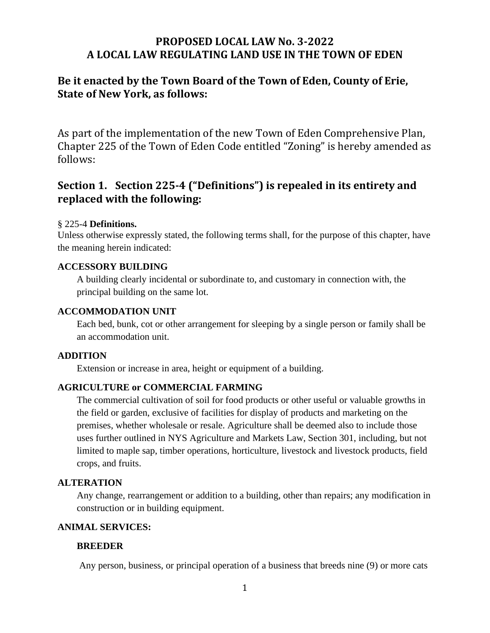# **PROPOSED LOCAL LAW No. 3-2022 A LOCAL LAW REGULATING LAND USE IN THE TOWN OF EDEN**

# **Be it enacted by the Town Board of the Town of Eden, County of Erie, State of New York, as follows:**

As part of the implementation of the new Town of Eden Comprehensive Plan, Chapter 225 of the Town of Eden Code entitled "Zoning" is hereby amended as follows:

# **Section 1. Section 225-4 ("Definitions") is repealed in its entirety and replaced with the following:**

## § 225-4 **Definitions.**

Unless otherwise expressly stated, the following terms shall, for the purpose of this chapter, have the meaning herein indicated:

### **ACCESSORY BUILDING**

A building clearly incidental or subordinate to, and customary in connection with, the principal building on the same lot.

### **ACCOMMODATION UNIT**

Each bed, bunk, cot or other arrangement for sleeping by a single person or family shall be an accommodation unit.

#### **ADDITION**

Extension or increase in area, height or equipment of a building.

## **AGRICULTURE or COMMERCIAL FARMING**

The commercial cultivation of soil for food products or other useful or valuable growths in the field or garden, exclusive of facilities for display of products and marketing on the premises, whether wholesale or resale. Agriculture shall be deemed also to include those uses further outlined in NYS Agriculture and Markets Law, Section 301, including, but not limited to maple sap, timber operations, horticulture, livestock and livestock products, field crops, and fruits.

#### **ALTERATION**

Any change, rearrangement or addition to a building, other than repairs; any modification in construction or in building equipment.

## **ANIMAL SERVICES:**

## **BREEDER**

Any person, business, or principal operation of a business that breeds nine (9) or more cats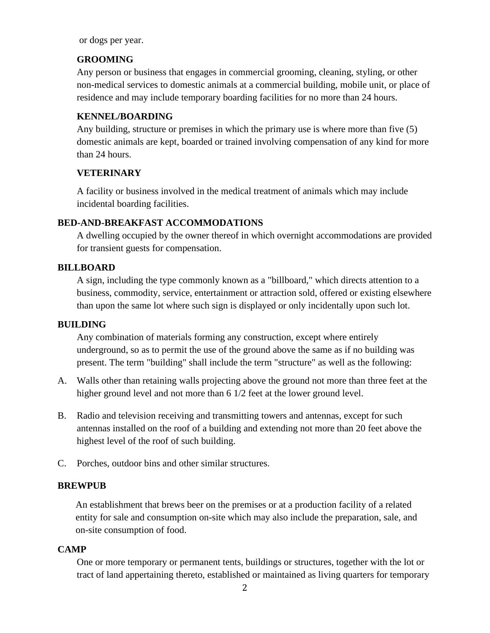or dogs per year.

### **GROOMING**

Any person or business that engages in commercial grooming, cleaning, styling, or other non-medical services to domestic animals at a commercial building, mobile unit, or place of residence and may include temporary boarding facilities for no more than 24 hours.

### **KENNEL/BOARDING**

Any building, structure or premises in which the primary use is where more than five (5) domestic animals are kept, boarded or trained involving compensation of any kind for more than 24 hours.

### **VETERINARY**

A facility or business involved in the medical treatment of animals which may include incidental boarding facilities.

### **BED-AND-BREAKFAST ACCOMMODATIONS**

A dwelling occupied by the owner thereof in which overnight accommodations are provided for transient guests for compensation.

#### **BILLBOARD**

A sign, including the type commonly known as a "billboard," which directs attention to a business, commodity, service, entertainment or attraction sold, offered or existing elsewhere than upon the same lot where such sign is displayed or only incidentally upon such lot.

#### **BUILDING**

Any combination of materials forming any construction, except where entirely underground, so as to permit the use of the ground above the same as if no building was present. The term "building" shall include the term "structure" as well as the following:

- A. Walls other than retaining walls projecting above the ground not more than three feet at the higher ground level and not more than 6 1/2 feet at the lower ground level.
- B. Radio and television receiving and transmitting towers and antennas, except for such antennas installed on the roof of a building and extending not more than 20 feet above the highest level of the roof of such building.
- C. Porches, outdoor bins and other similar structures.

#### **BREWPUB**

An establishment that brews beer on the premises or at a production facility of a related entity for sale and consumption on-site which may also include the preparation, sale, and on-site consumption of food.

#### **CAMP**

One or more temporary or permanent tents, buildings or structures, together with the lot or tract of land appertaining thereto, established or maintained as living quarters for temporary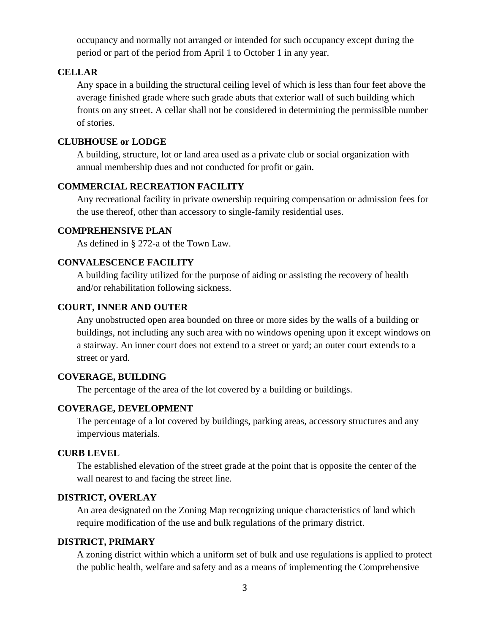occupancy and normally not arranged or intended for such occupancy except during the period or part of the period from April 1 to October 1 in any year.

#### **CELLAR**

Any space in a building the structural ceiling level of which is less than four feet above the average finished grade where such grade abuts that exterior wall of such building which fronts on any street. A cellar shall not be considered in determining the permissible number of stories.

### **CLUBHOUSE or LODGE**

A building, structure, lot or land area used as a private club or social organization with annual membership dues and not conducted for profit or gain.

## **COMMERCIAL RECREATION FACILITY**

Any recreational facility in private ownership requiring compensation or admission fees for the use thereof, other than accessory to single-family residential uses.

## **COMPREHENSIVE PLAN**

As defined in § 272-a of the Town Law.

### **CONVALESCENCE FACILITY**

A building facility utilized for the purpose of aiding or assisting the recovery of health and/or rehabilitation following sickness.

### **COURT, INNER AND OUTER**

Any unobstructed open area bounded on three or more sides by the walls of a building or buildings, not including any such area with no windows opening upon it except windows on a stairway. An inner court does not extend to a street or yard; an outer court extends to a street or yard.

#### **COVERAGE, BUILDING**

The percentage of the area of the lot covered by a building or buildings.

## **COVERAGE, DEVELOPMENT**

The percentage of a lot covered by buildings, parking areas, accessory structures and any impervious materials.

#### **CURB LEVEL**

The established elevation of the street grade at the point that is opposite the center of the wall nearest to and facing the street line.

#### **DISTRICT, OVERLAY**

An area designated on the Zoning Map recognizing unique characteristics of land which require modification of the use and bulk regulations of the primary district.

#### **DISTRICT, PRIMARY**

A zoning district within which a uniform set of bulk and use regulations is applied to protect the public health, welfare and safety and as a means of implementing the Comprehensive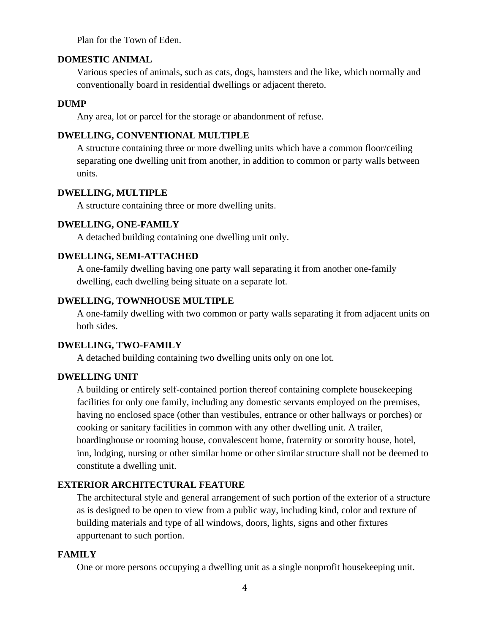Plan for the Town of Eden.

### **DOMESTIC ANIMAL**

Various species of animals, such as cats, dogs, hamsters and the like, which normally and conventionally board in residential dwellings or adjacent thereto.

#### **DUMP**

Any area, lot or parcel for the storage or abandonment of refuse.

#### **DWELLING, CONVENTIONAL MULTIPLE**

A structure containing three or more dwelling units which have a common floor/ceiling separating one dwelling unit from another, in addition to common or party walls between units.

### **DWELLING, MULTIPLE**

A structure containing three or more dwelling units.

### **DWELLING, ONE-FAMILY**

A detached building containing one dwelling unit only.

### **DWELLING, SEMI-ATTACHED**

A one-family dwelling having one party wall separating it from another one-family dwelling, each dwelling being situate on a separate lot.

#### **DWELLING, TOWNHOUSE MULTIPLE**

A one-family dwelling with two common or party walls separating it from adjacent units on both sides.

### **DWELLING, TWO-FAMILY**

A detached building containing two dwelling units only on one lot.

#### **DWELLING UNIT**

A building or entirely self-contained portion thereof containing complete housekeeping facilities for only one family, including any domestic servants employed on the premises, having no enclosed space (other than vestibules, entrance or other hallways or porches) or cooking or sanitary facilities in common with any other dwelling unit. A trailer, boardinghouse or rooming house, convalescent home, fraternity or sorority house, hotel, inn, lodging, nursing or other similar home or other similar structure shall not be deemed to constitute a dwelling unit.

#### **EXTERIOR ARCHITECTURAL FEATURE**

The architectural style and general arrangement of such portion of the exterior of a structure as is designed to be open to view from a public way, including kind, color and texture of building materials and type of all windows, doors, lights, signs and other fixtures appurtenant to such portion.

#### **FAMILY**

One or more persons occupying a dwelling unit as a single nonprofit housekeeping unit.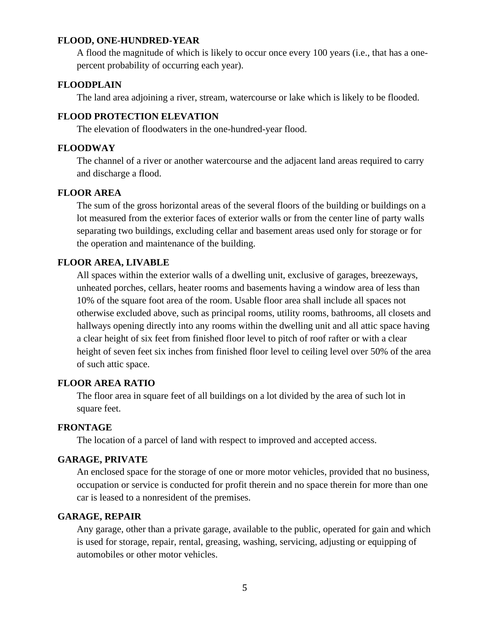#### **FLOOD, ONE-HUNDRED-YEAR**

A flood the magnitude of which is likely to occur once every 100 years (i.e., that has a onepercent probability of occurring each year).

#### **FLOODPLAIN**

The land area adjoining a river, stream, watercourse or lake which is likely to be flooded.

#### **FLOOD PROTECTION ELEVATION**

The elevation of floodwaters in the one-hundred-year flood.

#### **FLOODWAY**

The channel of a river or another watercourse and the adjacent land areas required to carry and discharge a flood.

#### **FLOOR AREA**

The sum of the gross horizontal areas of the several floors of the building or buildings on a lot measured from the exterior faces of exterior walls or from the center line of party walls separating two buildings, excluding cellar and basement areas used only for storage or for the operation and maintenance of the building.

#### **FLOOR AREA, LIVABLE**

All spaces within the exterior walls of a dwelling unit, exclusive of garages, breezeways, unheated porches, cellars, heater rooms and basements having a window area of less than 10% of the square foot area of the room. Usable floor area shall include all spaces not otherwise excluded above, such as principal rooms, utility rooms, bathrooms, all closets and hallways opening directly into any rooms within the dwelling unit and all attic space having a clear height of six feet from finished floor level to pitch of roof rafter or with a clear height of seven feet six inches from finished floor level to ceiling level over 50% of the area of such attic space.

### **FLOOR AREA RATIO**

The floor area in square feet of all buildings on a lot divided by the area of such lot in square feet.

#### **FRONTAGE**

The location of a parcel of land with respect to improved and accepted access.

#### **GARAGE, PRIVATE**

An enclosed space for the storage of one or more motor vehicles, provided that no business, occupation or service is conducted for profit therein and no space therein for more than one car is leased to a nonresident of the premises.

### **GARAGE, REPAIR**

Any garage, other than a private garage, available to the public, operated for gain and which is used for storage, repair, rental, greasing, washing, servicing, adjusting or equipping of automobiles or other motor vehicles.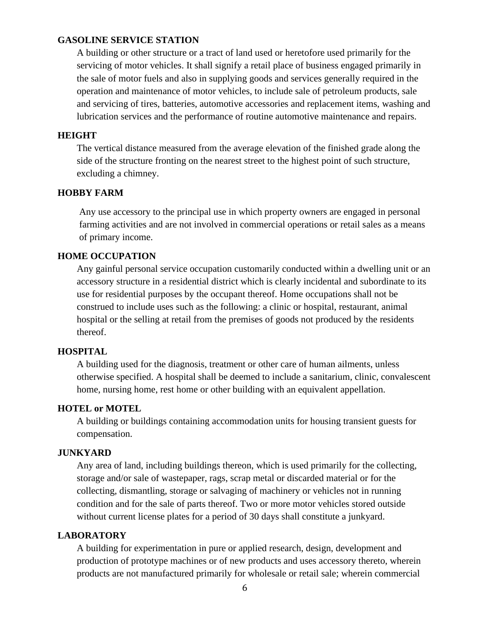### **GASOLINE SERVICE STATION**

A building or other structure or a tract of land used or heretofore used primarily for the servicing of motor vehicles. It shall signify a retail place of business engaged primarily in the sale of motor fuels and also in supplying goods and services generally required in the operation and maintenance of motor vehicles, to include sale of petroleum products, sale and servicing of tires, batteries, automotive accessories and replacement items, washing and lubrication services and the performance of routine automotive maintenance and repairs.

#### **HEIGHT**

The vertical distance measured from the average elevation of the finished grade along the side of the structure fronting on the nearest street to the highest point of such structure, excluding a chimney.

#### **HOBBY FARM**

Any use accessory to the principal use in which property owners are engaged in personal farming activities and are not involved in commercial operations or retail sales as a means of primary income.

### **HOME OCCUPATION**

Any gainful personal service occupation customarily conducted within a dwelling unit or an accessory structure in a residential district which is clearly incidental and subordinate to its use for residential purposes by the occupant thereof. Home occupations shall not be construed to include uses such as the following: a clinic or hospital, restaurant, animal hospital or the selling at retail from the premises of goods not produced by the residents thereof.

#### **HOSPITAL**

A building used for the diagnosis, treatment or other care of human ailments, unless otherwise specified. A hospital shall be deemed to include a sanitarium, clinic, convalescent home, nursing home, rest home or other building with an equivalent appellation.

#### **HOTEL or MOTEL**

A building or buildings containing accommodation units for housing transient guests for compensation.

#### **JUNKYARD**

Any area of land, including buildings thereon, which is used primarily for the collecting, storage and/or sale of wastepaper, rags, scrap metal or discarded material or for the collecting, dismantling, storage or salvaging of machinery or vehicles not in running condition and for the sale of parts thereof. Two or more motor vehicles stored outside without current license plates for a period of 30 days shall constitute a junkyard.

### **LABORATORY**

A building for experimentation in pure or applied research, design, development and production of prototype machines or of new products and uses accessory thereto, wherein products are not manufactured primarily for wholesale or retail sale; wherein commercial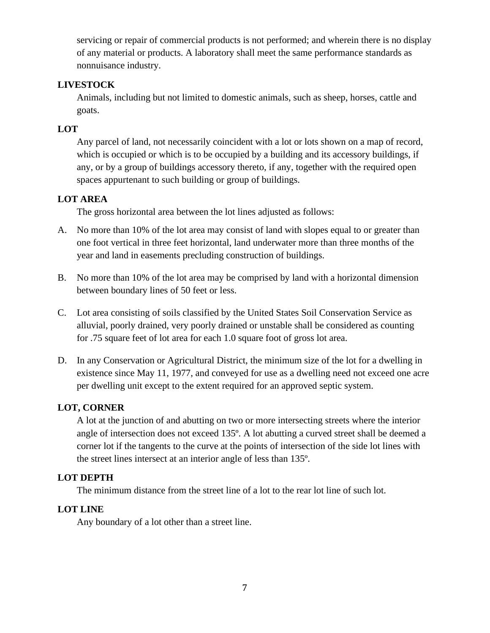servicing or repair of commercial products is not performed; and wherein there is no display of any material or products. A laboratory shall meet the same performance standards as nonnuisance industry.

## **LIVESTOCK**

Animals, including but not limited to domestic animals, such as sheep, horses, cattle and goats.

## **LOT**

Any parcel of land, not necessarily coincident with a lot or lots shown on a map of record, which is occupied or which is to be occupied by a building and its accessory buildings, if any, or by a group of buildings accessory thereto, if any, together with the required open spaces appurtenant to such building or group of buildings.

## **LOT AREA**

The gross horizontal area between the lot lines adjusted as follows:

- A. No more than 10% of the lot area may consist of land with slopes equal to or greater than one foot vertical in three feet horizontal, land underwater more than three months of the year and land in easements precluding construction of buildings.
- B. No more than 10% of the lot area may be comprised by land with a horizontal dimension between boundary lines of 50 feet or less.
- C. Lot area consisting of soils classified by the United States Soil Conservation Service as alluvial, poorly drained, very poorly drained or unstable shall be considered as counting for .75 square feet of lot area for each 1.0 square foot of gross lot area.
- D. In any Conservation or Agricultural District, the minimum size of the lot for a dwelling in existence since May 11, 1977, and conveyed for use as a dwelling need not exceed one acre per dwelling unit except to the extent required for an approved septic system.

## **LOT, CORNER**

A lot at the junction of and abutting on two or more intersecting streets where the interior angle of intersection does not exceed 135º. A lot abutting a curved street shall be deemed a corner lot if the tangents to the curve at the points of intersection of the side lot lines with the street lines intersect at an interior angle of less than 135º.

## **LOT DEPTH**

The minimum distance from the street line of a lot to the rear lot line of such lot.

## **LOT LINE**

Any boundary of a lot other than a street line.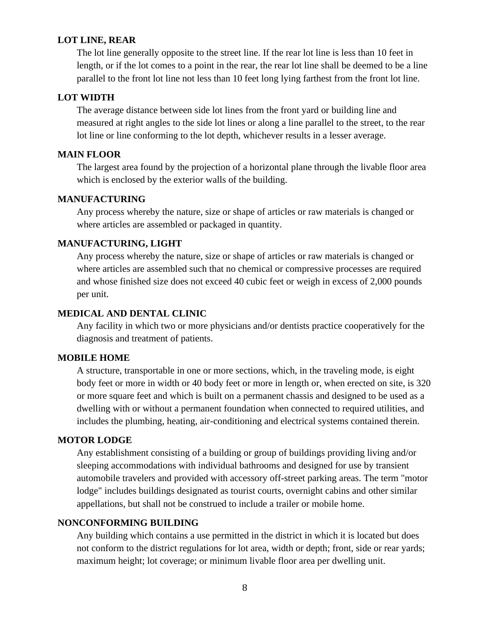#### **LOT LINE, REAR**

The lot line generally opposite to the street line. If the rear lot line is less than 10 feet in length, or if the lot comes to a point in the rear, the rear lot line shall be deemed to be a line parallel to the front lot line not less than 10 feet long lying farthest from the front lot line.

### **LOT WIDTH**

The average distance between side lot lines from the front yard or building line and measured at right angles to the side lot lines or along a line parallel to the street, to the rear lot line or line conforming to the lot depth, whichever results in a lesser average.

#### **MAIN FLOOR**

The largest area found by the projection of a horizontal plane through the livable floor area which is enclosed by the exterior walls of the building.

### **MANUFACTURING**

Any process whereby the nature, size or shape of articles or raw materials is changed or where articles are assembled or packaged in quantity.

#### **MANUFACTURING, LIGHT**

Any process whereby the nature, size or shape of articles or raw materials is changed or where articles are assembled such that no chemical or compressive processes are required and whose finished size does not exceed 40 cubic feet or weigh in excess of 2,000 pounds per unit.

#### **MEDICAL AND DENTAL CLINIC**

Any facility in which two or more physicians and/or dentists practice cooperatively for the diagnosis and treatment of patients.

#### **MOBILE HOME**

A structure, transportable in one or more sections, which, in the traveling mode, is eight body feet or more in width or 40 body feet or more in length or, when erected on site, is 320 or more square feet and which is built on a permanent chassis and designed to be used as a dwelling with or without a permanent foundation when connected to required utilities, and includes the plumbing, heating, air-conditioning and electrical systems contained therein.

#### **MOTOR LODGE**

Any establishment consisting of a building or group of buildings providing living and/or sleeping accommodations with individual bathrooms and designed for use by transient automobile travelers and provided with accessory off-street parking areas. The term "motor lodge" includes buildings designated as tourist courts, overnight cabins and other similar appellations, but shall not be construed to include a trailer or mobile home.

#### **NONCONFORMING BUILDING**

Any building which contains a use permitted in the district in which it is located but does not conform to the district regulations for lot area, width or depth; front, side or rear yards; maximum height; lot coverage; or minimum livable floor area per dwelling unit.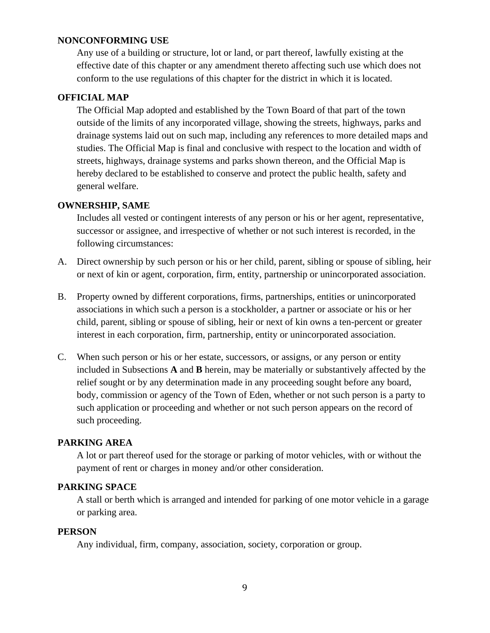#### **NONCONFORMING USE**

Any use of a building or structure, lot or land, or part thereof, lawfully existing at the effective date of this chapter or any amendment thereto affecting such use which does not conform to the use regulations of this chapter for the district in which it is located.

#### **OFFICIAL MAP**

The Official Map adopted and established by the Town Board of that part of the town outside of the limits of any incorporated village, showing the streets, highways, parks and drainage systems laid out on such map, including any references to more detailed maps and studies. The Official Map is final and conclusive with respect to the location and width of streets, highways, drainage systems and parks shown thereon, and the Official Map is hereby declared to be established to conserve and protect the public health, safety and general welfare.

#### **OWNERSHIP, SAME**

Includes all vested or contingent interests of any person or his or her agent, representative, successor or assignee, and irrespective of whether or not such interest is recorded, in the following circumstances:

- A. Direct ownership by such person or his or her child, parent, sibling or spouse of sibling, heir or next of kin or agent, corporation, firm, entity, partnership or unincorporated association.
- B. Property owned by different corporations, firms, partnerships, entities or unincorporated associations in which such a person is a stockholder, a partner or associate or his or her child, parent, sibling or spouse of sibling, heir or next of kin owns a ten-percent or greater interest in each corporation, firm, partnership, entity or unincorporated association.
- C. When such person or his or her estate, successors, or assigns, or any person or entity included in Subsections **A** and **B** herein, may be materially or substantively affected by the relief sought or by any determination made in any proceeding sought before any board, body, commission or agency of the Town of Eden, whether or not such person is a party to such application or proceeding and whether or not such person appears on the record of such proceeding.

#### **PARKING AREA**

A lot or part thereof used for the storage or parking of motor vehicles, with or without the payment of rent or charges in money and/or other consideration.

#### **PARKING SPACE**

A stall or berth which is arranged and intended for parking of one motor vehicle in a garage or parking area.

#### **PERSON**

Any individual, firm, company, association, society, corporation or group.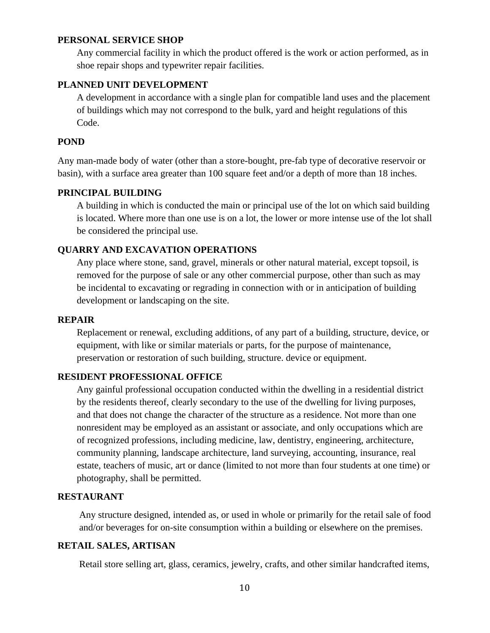#### **PERSONAL SERVICE SHOP**

Any commercial facility in which the product offered is the work or action performed, as in shoe repair shops and typewriter repair facilities.

#### **PLANNED UNIT DEVELOPMENT**

A development in accordance with a single plan for compatible land uses and the placement of buildings which may not correspond to the bulk, yard and height regulations of this Code.

#### **POND**

Any man-made body of water (other than a store-bought, pre-fab type of decorative reservoir or basin), with a surface area greater than 100 square feet and/or a depth of more than 18 inches.

#### **PRINCIPAL BUILDING**

A building in which is conducted the main or principal use of the lot on which said building is located. Where more than one use is on a lot, the lower or more intense use of the lot shall be considered the principal use.

#### **QUARRY AND EXCAVATION OPERATIONS**

Any place where stone, sand, gravel, minerals or other natural material, except topsoil, is removed for the purpose of sale or any other commercial purpose, other than such as may be incidental to excavating or regrading in connection with or in anticipation of building development or landscaping on the site.

#### **REPAIR**

Replacement or renewal, excluding additions, of any part of a building, structure, device, or equipment, with like or similar materials or parts, for the purpose of maintenance, preservation or restoration of such building, structure. device or equipment.

#### **RESIDENT PROFESSIONAL OFFICE**

Any gainful professional occupation conducted within the dwelling in a residential district by the residents thereof, clearly secondary to the use of the dwelling for living purposes, and that does not change the character of the structure as a residence. Not more than one nonresident may be employed as an assistant or associate, and only occupations which are of recognized professions, including medicine, law, dentistry, engineering, architecture, community planning, landscape architecture, land surveying, accounting, insurance, real estate, teachers of music, art or dance (limited to not more than four students at one time) or photography, shall be permitted.

### **RESTAURANT**

Any structure designed, intended as, or used in whole or primarily for the retail sale of food and/or beverages for on-site consumption within a building or elsewhere on the premises.

#### **RETAIL SALES, ARTISAN**

Retail store selling art, glass, ceramics, jewelry, crafts, and other similar handcrafted items,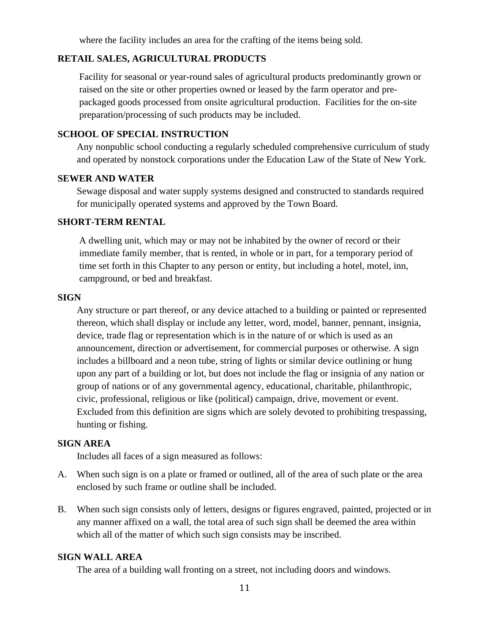where the facility includes an area for the crafting of the items being sold.

### **RETAIL SALES, AGRICULTURAL PRODUCTS**

Facility for seasonal or year-round sales of agricultural products predominantly grown or raised on the site or other properties owned or leased by the farm operator and prepackaged goods processed from onsite agricultural production. Facilities for the on-site preparation/processing of such products may be included.

#### **SCHOOL OF SPECIAL INSTRUCTION**

Any nonpublic school conducting a regularly scheduled comprehensive curriculum of study and operated by nonstock corporations under the Education Law of the State of New York.

#### **SEWER AND WATER**

Sewage disposal and water supply systems designed and constructed to standards required for municipally operated systems and approved by the Town Board.

#### **SHORT-TERM RENTAL**

A dwelling unit, which may or may not be inhabited by the owner of record or their immediate family member, that is rented, in whole or in part, for a temporary period of time set forth in this Chapter to any person or entity, but including a hotel, motel, inn, campground, or bed and breakfast.

#### **SIGN**

Any structure or part thereof, or any device attached to a building or painted or represented thereon, which shall display or include any letter, word, model, banner, pennant, insignia, device, trade flag or representation which is in the nature of or which is used as an announcement, direction or advertisement, for commercial purposes or otherwise. A sign includes a billboard and a neon tube, string of lights or similar device outlining or hung upon any part of a building or lot, but does not include the flag or insignia of any nation or group of nations or of any governmental agency, educational, charitable, philanthropic, civic, professional, religious or like (political) campaign, drive, movement or event. Excluded from this definition are signs which are solely devoted to prohibiting trespassing, hunting or fishing.

#### **SIGN AREA**

Includes all faces of a sign measured as follows:

- A. When such sign is on a plate or framed or outlined, all of the area of such plate or the area enclosed by such frame or outline shall be included.
- B. When such sign consists only of letters, designs or figures engraved, painted, projected or in any manner affixed on a wall, the total area of such sign shall be deemed the area within which all of the matter of which such sign consists may be inscribed.

#### **SIGN WALL AREA**

The area of a building wall fronting on a street, not including doors and windows.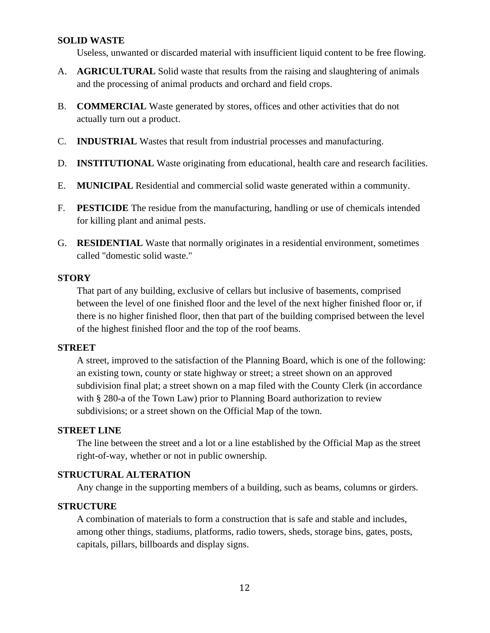#### **SOLID WASTE**

Useless, unwanted or discarded material with insufficient liquid content to be free flowing.

- A. **AGRICULTURAL** Solid waste that results from the raising and slaughtering of animals and the processing of animal products and orchard and field crops.
- B. **COMMERCIAL** Waste generated by stores, offices and other activities that do not actually turn out a product.
- C. **INDUSTRIAL** Wastes that result from industrial processes and manufacturing.
- D. **INSTITUTIONAL** Waste originating from educational, health care and research facilities.
- E. **MUNICIPAL** Residential and commercial solid waste generated within a community.
- F. **PESTICIDE** The residue from the manufacturing, handling or use of chemicals intended for killing plant and animal pests.
- G. **RESIDENTIAL** Waste that normally originates in a residential environment, sometimes called "domestic solid waste."

#### **STORY**

That part of any building, exclusive of cellars but inclusive of basements, comprised between the level of one finished floor and the level of the next higher finished floor or, if there is no higher finished floor, then that part of the building comprised between the level of the highest finished floor and the top of the roof beams.

#### **STREET**

A street, improved to the satisfaction of the Planning Board, which is one of the following: an existing town, county or state highway or street; a street shown on an approved subdivision final plat; a street shown on a map filed with the County Clerk (in accordance with § 280-a of the Town Law) prior to Planning Board authorization to review subdivisions; or a street shown on the Official Map of the town.

### **STREET LINE**

The line between the street and a lot or a line established by the Official Map as the street right-of-way, whether or not in public ownership.

#### **STRUCTURAL ALTERATION**

Any change in the supporting members of a building, such as beams, columns or girders.

#### **STRUCTURE**

A combination of materials to form a construction that is safe and stable and includes, among other things, stadiums, platforms, radio towers, sheds, storage bins, gates, posts, capitals, pillars, billboards and display signs.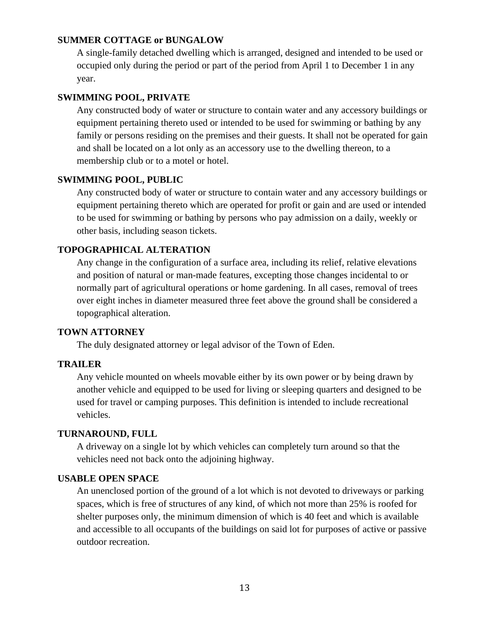### **SUMMER COTTAGE or BUNGALOW**

A single-family detached dwelling which is arranged, designed and intended to be used or occupied only during the period or part of the period from April 1 to December 1 in any year.

### **SWIMMING POOL, PRIVATE**

Any constructed body of water or structure to contain water and any accessory buildings or equipment pertaining thereto used or intended to be used for swimming or bathing by any family or persons residing on the premises and their guests. It shall not be operated for gain and shall be located on a lot only as an accessory use to the dwelling thereon, to a membership club or to a motel or hotel.

### **SWIMMING POOL, PUBLIC**

Any constructed body of water or structure to contain water and any accessory buildings or equipment pertaining thereto which are operated for profit or gain and are used or intended to be used for swimming or bathing by persons who pay admission on a daily, weekly or other basis, including season tickets.

### **TOPOGRAPHICAL ALTERATION**

Any change in the configuration of a surface area, including its relief, relative elevations and position of natural or man-made features, excepting those changes incidental to or normally part of agricultural operations or home gardening. In all cases, removal of trees over eight inches in diameter measured three feet above the ground shall be considered a topographical alteration.

#### **TOWN ATTORNEY**

The duly designated attorney or legal advisor of the Town of Eden.

#### **TRAILER**

Any vehicle mounted on wheels movable either by its own power or by being drawn by another vehicle and equipped to be used for living or sleeping quarters and designed to be used for travel or camping purposes. This definition is intended to include recreational vehicles.

#### **TURNAROUND, FULL**

A driveway on a single lot by which vehicles can completely turn around so that the vehicles need not back onto the adjoining highway.

#### **USABLE OPEN SPACE**

An unenclosed portion of the ground of a lot which is not devoted to driveways or parking spaces, which is free of structures of any kind, of which not more than 25% is roofed for shelter purposes only, the minimum dimension of which is 40 feet and which is available and accessible to all occupants of the buildings on said lot for purposes of active or passive outdoor recreation.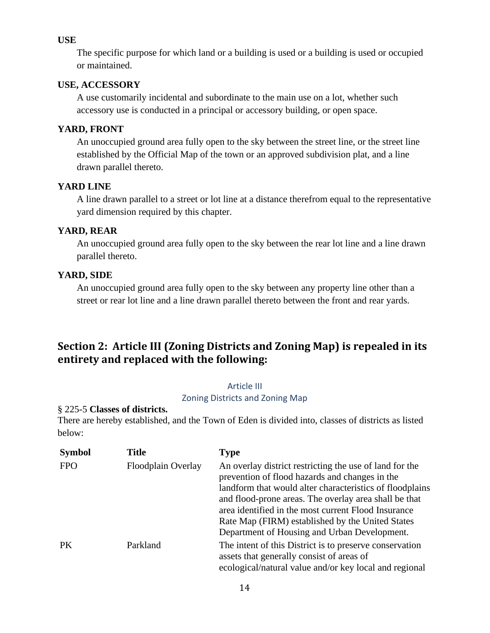### **USE**

The specific purpose for which land or a building is used or a building is used or occupied or maintained.

### **USE, ACCESSORY**

A use customarily incidental and subordinate to the main use on a lot, whether such accessory use is conducted in a principal or accessory building, or open space.

## **YARD, FRONT**

An unoccupied ground area fully open to the sky between the street line, or the street line established by the Official Map of the town or an approved subdivision plat, and a line drawn parallel thereto.

## **YARD LINE**

A line drawn parallel to a street or lot line at a distance therefrom equal to the representative yard dimension required by this chapter.

## **YARD, REAR**

An unoccupied ground area fully open to the sky between the rear lot line and a line drawn parallel thereto.

## **YARD, SIDE**

An unoccupied ground area fully open to the sky between any property line other than a street or rear lot line and a line drawn parallel thereto between the front and rear yards.

# **Section 2: Article III (Zoning Districts and Zoning Map) is repealed in its entirety and replaced with the following:**

## Article III

Zoning Districts and Zoning Map

## § 225-5 **Classes of districts.**

There are hereby established, and the Town of Eden is divided into, classes of districts as listed below:

| <b>Symbol</b> | <b>Title</b>       | <b>Type</b>                                                                                                                                                                                                                                                                                                                                                                               |
|---------------|--------------------|-------------------------------------------------------------------------------------------------------------------------------------------------------------------------------------------------------------------------------------------------------------------------------------------------------------------------------------------------------------------------------------------|
| <b>FPO</b>    | Floodplain Overlay | An overlay district restricting the use of land for the<br>prevention of flood hazards and changes in the<br>landform that would alter characteristics of floodplains<br>and flood-prone areas. The overlay area shall be that<br>area identified in the most current Flood Insurance<br>Rate Map (FIRM) established by the United States<br>Department of Housing and Urban Development. |
| <b>PK</b>     | Parkland           | The intent of this District is to preserve conservation<br>assets that generally consist of areas of<br>ecological/natural value and/or key local and regional                                                                                                                                                                                                                            |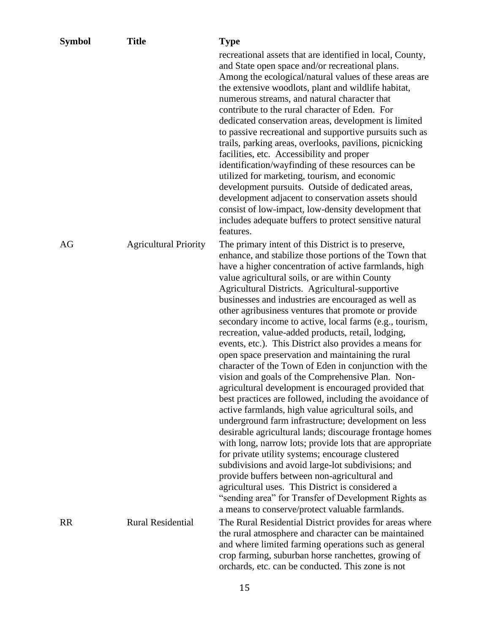| <b>Symbol</b> | <b>Title</b>                 | <b>Type</b>                                                                                                                                                                                                                                                                                                                                                                                                                                                                                                                                                                                                                                                                                                                                                                                                                                                                                                                                                                                                                                                                                                                                                                                                                                                                                                                                                                                                                |
|---------------|------------------------------|----------------------------------------------------------------------------------------------------------------------------------------------------------------------------------------------------------------------------------------------------------------------------------------------------------------------------------------------------------------------------------------------------------------------------------------------------------------------------------------------------------------------------------------------------------------------------------------------------------------------------------------------------------------------------------------------------------------------------------------------------------------------------------------------------------------------------------------------------------------------------------------------------------------------------------------------------------------------------------------------------------------------------------------------------------------------------------------------------------------------------------------------------------------------------------------------------------------------------------------------------------------------------------------------------------------------------------------------------------------------------------------------------------------------------|
|               |                              | recreational assets that are identified in local, County,<br>and State open space and/or recreational plans.<br>Among the ecological/natural values of these areas are<br>the extensive woodlots, plant and wildlife habitat,<br>numerous streams, and natural character that<br>contribute to the rural character of Eden. For<br>dedicated conservation areas, development is limited<br>to passive recreational and supportive pursuits such as<br>trails, parking areas, overlooks, pavilions, picnicking<br>facilities, etc. Accessibility and proper<br>identification/wayfinding of these resources can be<br>utilized for marketing, tourism, and economic<br>development pursuits. Outside of dedicated areas,<br>development adjacent to conservation assets should<br>consist of low-impact, low-density development that<br>includes adequate buffers to protect sensitive natural<br>features.                                                                                                                                                                                                                                                                                                                                                                                                                                                                                                                |
| AG            | <b>Agricultural Priority</b> | The primary intent of this District is to preserve,<br>enhance, and stabilize those portions of the Town that<br>have a higher concentration of active farmlands, high<br>value agricultural soils, or are within County<br>Agricultural Districts. Agricultural-supportive<br>businesses and industries are encouraged as well as<br>other agribusiness ventures that promote or provide<br>secondary income to active, local farms (e.g., tourism,<br>recreation, value-added products, retail, lodging,<br>events, etc.). This District also provides a means for<br>open space preservation and maintaining the rural<br>character of the Town of Eden in conjunction with the<br>vision and goals of the Comprehensive Plan. Non-<br>agricultural development is encouraged provided that<br>best practices are followed, including the avoidance of<br>active farmlands, high value agricultural soils, and<br>underground farm infrastructure; development on less<br>desirable agricultural lands; discourage frontage homes<br>with long, narrow lots; provide lots that are appropriate<br>for private utility systems; encourage clustered<br>subdivisions and avoid large-lot subdivisions; and<br>provide buffers between non-agricultural and<br>agricultural uses. This District is considered a<br>"sending area" for Transfer of Development Rights as<br>a means to conserve/protect valuable farmlands. |
| <b>RR</b>     | <b>Rural Residential</b>     | The Rural Residential District provides for areas where<br>the rural atmosphere and character can be maintained<br>and where limited farming operations such as general<br>crop farming, suburban horse ranchettes, growing of<br>orchards, etc. can be conducted. This zone is not                                                                                                                                                                                                                                                                                                                                                                                                                                                                                                                                                                                                                                                                                                                                                                                                                                                                                                                                                                                                                                                                                                                                        |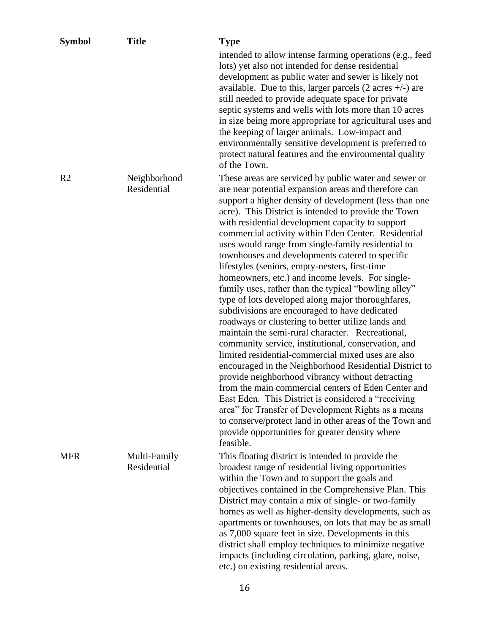| <b>Symbol</b>  | <b>Title</b>                | <b>Type</b>                                                                                                                                                                                                                                                                                                                                                                                                                                                                                                                                                                                                                                                                                                                                                                                                                                                                                                                                                                                                                                                                                                                                                                                                                                                                                                                                                  |
|----------------|-----------------------------|--------------------------------------------------------------------------------------------------------------------------------------------------------------------------------------------------------------------------------------------------------------------------------------------------------------------------------------------------------------------------------------------------------------------------------------------------------------------------------------------------------------------------------------------------------------------------------------------------------------------------------------------------------------------------------------------------------------------------------------------------------------------------------------------------------------------------------------------------------------------------------------------------------------------------------------------------------------------------------------------------------------------------------------------------------------------------------------------------------------------------------------------------------------------------------------------------------------------------------------------------------------------------------------------------------------------------------------------------------------|
|                |                             | intended to allow intense farming operations (e.g., feed<br>lots) yet also not intended for dense residential<br>development as public water and sewer is likely not<br>available. Due to this, larger parcels $(2 \arcsin 4/-)$ are<br>still needed to provide adequate space for private<br>septic systems and wells with lots more than 10 acres<br>in size being more appropriate for agricultural uses and<br>the keeping of larger animals. Low-impact and<br>environmentally sensitive development is preferred to<br>protect natural features and the environmental quality<br>of the Town.                                                                                                                                                                                                                                                                                                                                                                                                                                                                                                                                                                                                                                                                                                                                                          |
| R <sub>2</sub> | Neighborhood<br>Residential | These areas are serviced by public water and sewer or<br>are near potential expansion areas and therefore can<br>support a higher density of development (less than one<br>acre). This District is intended to provide the Town<br>with residential development capacity to support<br>commercial activity within Eden Center. Residential<br>uses would range from single-family residential to<br>townhouses and developments catered to specific<br>lifestyles (seniors, empty-nesters, first-time<br>homeowners, etc.) and income levels. For single-<br>family uses, rather than the typical "bowling alley"<br>type of lots developed along major thoroughfares,<br>subdivisions are encouraged to have dedicated<br>roadways or clustering to better utilize lands and<br>maintain the semi-rural character. Recreational,<br>community service, institutional, conservation, and<br>limited residential-commercial mixed uses are also<br>encouraged in the Neighborhood Residential District to<br>provide neighborhood vibrancy without detracting<br>from the main commercial centers of Eden Center and<br>East Eden. This District is considered a "receiving<br>area" for Transfer of Development Rights as a means<br>to conserve/protect land in other areas of the Town and<br>provide opportunities for greater density where<br>feasible. |
| <b>MFR</b>     | Multi-Family<br>Residential | This floating district is intended to provide the<br>broadest range of residential living opportunities<br>within the Town and to support the goals and<br>objectives contained in the Comprehensive Plan. This<br>District may contain a mix of single- or two-family<br>homes as well as higher-density developments, such as<br>apartments or townhouses, on lots that may be as small<br>as 7,000 square feet in size. Developments in this<br>district shall employ techniques to minimize negative<br>impacts (including circulation, parking, glare, noise,<br>etc.) on existing residential areas.                                                                                                                                                                                                                                                                                                                                                                                                                                                                                                                                                                                                                                                                                                                                                   |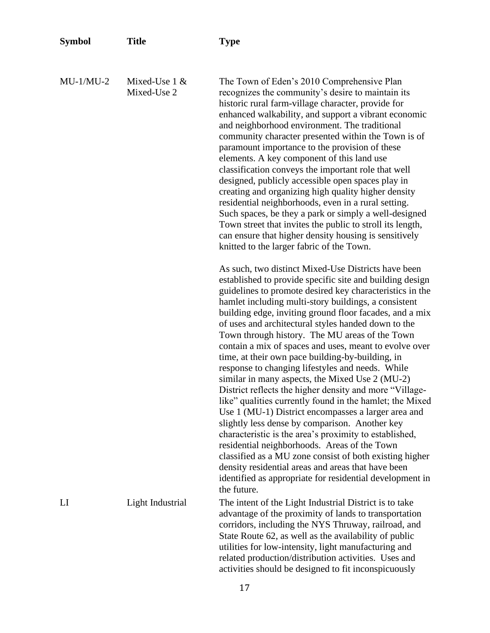| <b>Symbol</b> | <b>Title</b>                   | <b>Type</b>                                                                                                                                                                                                                                                                                                                                                                                                                                                                                                                                                                                                                                                                                                                                                                                                                                                                                                                                                                                                                                                                                                                                                        |
|---------------|--------------------------------|--------------------------------------------------------------------------------------------------------------------------------------------------------------------------------------------------------------------------------------------------------------------------------------------------------------------------------------------------------------------------------------------------------------------------------------------------------------------------------------------------------------------------------------------------------------------------------------------------------------------------------------------------------------------------------------------------------------------------------------------------------------------------------------------------------------------------------------------------------------------------------------------------------------------------------------------------------------------------------------------------------------------------------------------------------------------------------------------------------------------------------------------------------------------|
| $MU-1/MU-2$   | Mixed-Use $1 &$<br>Mixed-Use 2 | The Town of Eden's 2010 Comprehensive Plan<br>recognizes the community's desire to maintain its<br>historic rural farm-village character, provide for<br>enhanced walkability, and support a vibrant economic<br>and neighborhood environment. The traditional<br>community character presented within the Town is of<br>paramount importance to the provision of these<br>elements. A key component of this land use<br>classification conveys the important role that well<br>designed, publicly accessible open spaces play in<br>creating and organizing high quality higher density<br>residential neighborhoods, even in a rural setting.<br>Such spaces, be they a park or simply a well-designed<br>Town street that invites the public to stroll its length,<br>can ensure that higher density housing is sensitively<br>knitted to the larger fabric of the Town.                                                                                                                                                                                                                                                                                        |
|               |                                | As such, two distinct Mixed-Use Districts have been<br>established to provide specific site and building design<br>guidelines to promote desired key characteristics in the<br>hamlet including multi-story buildings, a consistent<br>building edge, inviting ground floor facades, and a mix<br>of uses and architectural styles handed down to the<br>Town through history. The MU areas of the Town<br>contain a mix of spaces and uses, meant to evolve over<br>time, at their own pace building-by-building, in<br>response to changing lifestyles and needs. While<br>similar in many aspects, the Mixed Use 2 (MU-2)<br>District reflects the higher density and more "Village-<br>like" qualities currently found in the hamlet; the Mixed<br>Use 1 (MU-1) District encompasses a larger area and<br>slightly less dense by comparison. Another key<br>characteristic is the area's proximity to established,<br>residential neighborhoods. Areas of the Town<br>classified as a MU zone consist of both existing higher<br>density residential areas and areas that have been<br>identified as appropriate for residential development in<br>the future. |
| LI            | Light Industrial               | The intent of the Light Industrial District is to take<br>advantage of the proximity of lands to transportation<br>corridors, including the NYS Thruway, railroad, and<br>State Route 62, as well as the availability of public<br>utilities for low-intensity, light manufacturing and<br>related production/distribution activities. Uses and<br>activities should be designed to fit inconspicuously                                                                                                                                                                                                                                                                                                                                                                                                                                                                                                                                                                                                                                                                                                                                                            |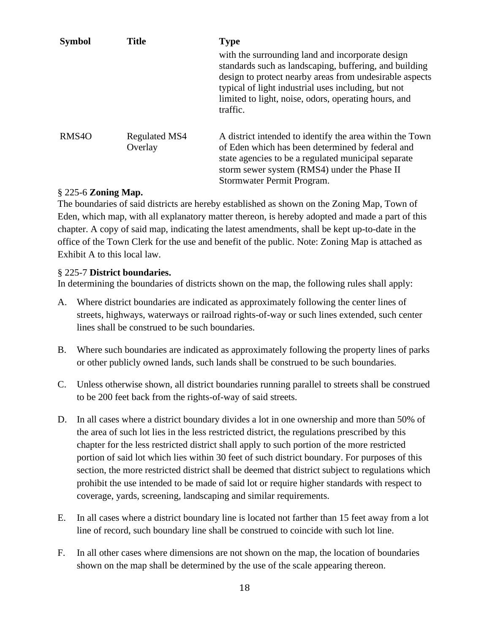| <b>Symbol</b>     | <b>Title</b>             | <b>Type</b><br>with the surrounding land and incorporate design<br>standards such as landscaping, buffering, and building<br>design to protect nearby areas from undesirable aspects<br>typical of light industrial uses including, but not<br>limited to light, noise, odors, operating hours, and<br>traffic. |
|-------------------|--------------------------|-----------------------------------------------------------------------------------------------------------------------------------------------------------------------------------------------------------------------------------------------------------------------------------------------------------------|
| RMS <sub>40</sub> | Regulated MS4<br>Overlay | A district intended to identify the area within the Town<br>of Eden which has been determined by federal and<br>state agencies to be a regulated municipal separate<br>storm sewer system (RMS4) under the Phase II<br>Stormwater Permit Program.                                                               |

### § 225-6 **Zoning Map.**

The boundaries of said districts are hereby established as shown on the Zoning Map, Town of Eden, which map, with all explanatory matter thereon, is hereby adopted and made a part of this chapter. A copy of said map, indicating the latest amendments, shall be kept up-to-date in the office of the Town Clerk for the use and benefit of the public. Note: Zoning Map is attached as Exhibit A to this local law.

### § 225-7 **District boundaries.**

In determining the boundaries of districts shown on the map, the following rules shall apply:

- A. Where district boundaries are indicated as approximately following the center lines of streets, highways, waterways or railroad rights-of-way or such lines extended, such center lines shall be construed to be such boundaries.
- B. Where such boundaries are indicated as approximately following the property lines of parks or other publicly owned lands, such lands shall be construed to be such boundaries.
- C. Unless otherwise shown, all district boundaries running parallel to streets shall be construed to be 200 feet back from the rights-of-way of said streets.
- D. In all cases where a district boundary divides a lot in one ownership and more than 50% of the area of such lot lies in the less restricted district, the regulations prescribed by this chapter for the less restricted district shall apply to such portion of the more restricted portion of said lot which lies within 30 feet of such district boundary. For purposes of this section, the more restricted district shall be deemed that district subject to regulations which prohibit the use intended to be made of said lot or require higher standards with respect to coverage, yards, screening, landscaping and similar requirements.
- E. In all cases where a district boundary line is located not farther than 15 feet away from a lot line of record, such boundary line shall be construed to coincide with such lot line.
- F. In all other cases where dimensions are not shown on the map, the location of boundaries shown on the map shall be determined by the use of the scale appearing thereon.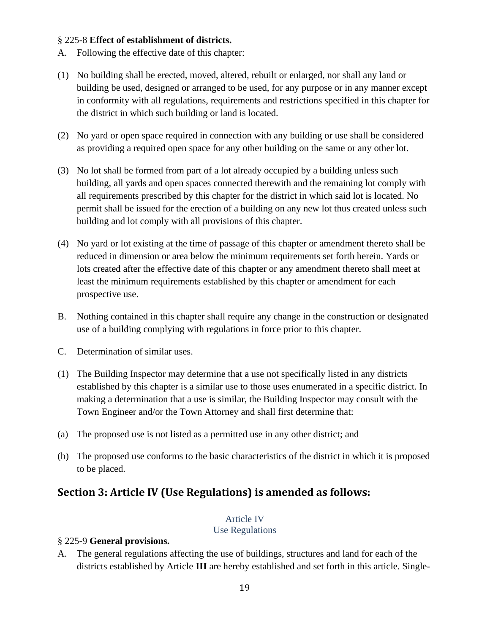#### § 225-8 **Effect of establishment of districts.**

- A. Following the effective date of this chapter:
- (1) No building shall be erected, moved, altered, rebuilt or enlarged, nor shall any land or building be used, designed or arranged to be used, for any purpose or in any manner except in conformity with all regulations, requirements and restrictions specified in this chapter for the district in which such building or land is located.
- (2) No yard or open space required in connection with any building or use shall be considered as providing a required open space for any other building on the same or any other lot.
- (3) No lot shall be formed from part of a lot already occupied by a building unless such building, all yards and open spaces connected therewith and the remaining lot comply with all requirements prescribed by this chapter for the district in which said lot is located. No permit shall be issued for the erection of a building on any new lot thus created unless such building and lot comply with all provisions of this chapter.
- (4) No yard or lot existing at the time of passage of this chapter or amendment thereto shall be reduced in dimension or area below the minimum requirements set forth herein. Yards or lots created after the effective date of this chapter or any amendment thereto shall meet at least the minimum requirements established by this chapter or amendment for each prospective use.
- B. Nothing contained in this chapter shall require any change in the construction or designated use of a building complying with regulations in force prior to this chapter.
- C. Determination of similar uses.
- (1) The Building Inspector may determine that a use not specifically listed in any districts established by this chapter is a similar use to those uses enumerated in a specific district. In making a determination that a use is similar, the Building Inspector may consult with the Town Engineer and/or the Town Attorney and shall first determine that:
- (a) The proposed use is not listed as a permitted use in any other district; and
- (b) The proposed use conforms to the basic characteristics of the district in which it is proposed to be placed.

# **Section 3: Article IV (Use Regulations) is amended as follows:**

#### Article IV

Use Regulations

#### § 225-9 **General provisions.**

A. The general regulations affecting the use of buildings, structures and land for each of the districts established by Article **III** are hereby established and set forth in this article. Single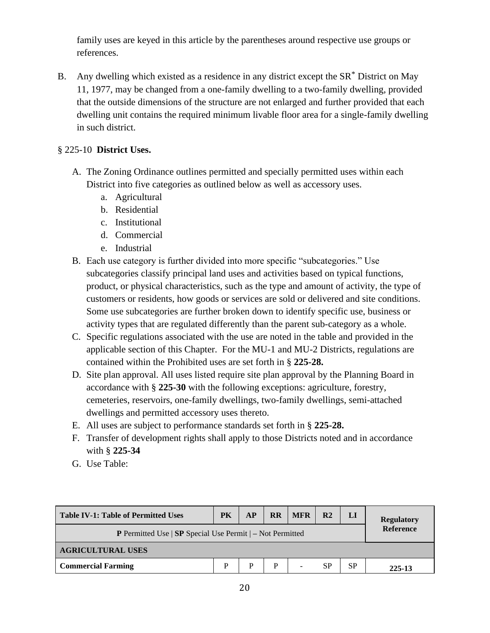family uses are keyed in this article by the parentheses around respective use groups or references.

B. Any dwelling which existed as a residence in any district except the  $SR^*$  District on May 11, 1977, may be changed from a one-family dwelling to a two-family dwelling, provided that the outside dimensions of the structure are not enlarged and further provided that each dwelling unit contains the required minimum livable floor area for a single-family dwelling in such district.

## § 225-10 **District Uses.**

- A. The Zoning Ordinance outlines permitted and specially permitted uses within each District into five categories as outlined below as well as accessory uses.
	- a. Agricultural
	- b. Residential
	- c. Institutional
	- d. Commercial
	- e. Industrial
- B. Each use category is further divided into more specific "subcategories." Use subcategories classify principal land uses and activities based on typical functions, product, or physical characteristics, such as the type and amount of activity, the type of customers or residents, how goods or services are sold or delivered and site conditions. Some use subcategories are further broken down to identify specific use, business or activity types that are regulated differently than the parent sub-category as a whole.
- C. Specific regulations associated with the use are noted in the table and provided in the applicable section of this Chapter. For the MU-1 and MU-2 Districts, regulations are contained within the Prohibited uses are set forth in § **225-28.**
- D. Site plan approval. All uses listed require site plan approval by the Planning Board in accordance with § **225-30** with the following exceptions: agriculture, forestry, cemeteries, reservoirs, one-family dwellings, two-family dwellings, semi-attached dwellings and permitted accessory uses thereto.
- E. All uses are subject to performance standards set forth in § **225-28.**
- F. Transfer of development rights shall apply to those Districts noted and in accordance with § **225-34**
- G. Use Table:

| <b>Table IV-1: Table of Permitted Uses</b>                                  | <b>PK</b>        | <b>AP</b> | <b>RR</b> | <b>MFR</b> | R <sub>2</sub> | LI        | <b>Regulatory</b> |  |
|-----------------------------------------------------------------------------|------------------|-----------|-----------|------------|----------------|-----------|-------------------|--|
| <b>P</b> Permitted Use $ $ <b>SP</b> Special Use Permit $ $ – Not Permitted | <b>Reference</b> |           |           |            |                |           |                   |  |
| <b>AGRICULTURAL USES</b>                                                    |                  |           |           |            |                |           |                   |  |
| <b>Commercial Farming</b>                                                   | P                | P         |           | -          | SP             | <b>SP</b> | 225-13            |  |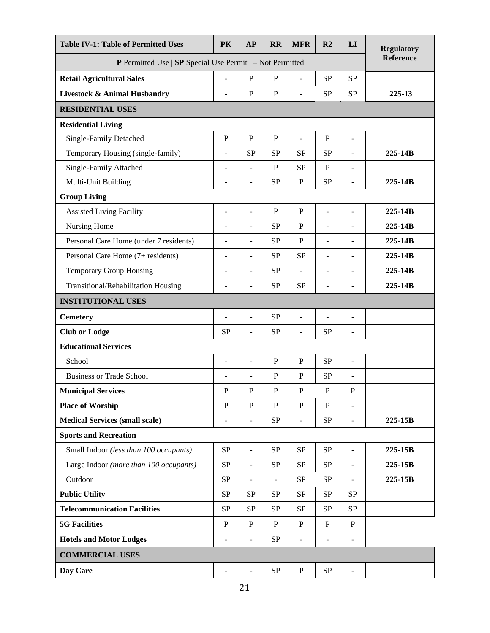| <b>Table IV-1: Table of Permitted Uses</b>                                 | <b>PK</b>                | <b>AP</b>                | <b>RR</b>      | <b>MFR</b>     | R2                       | LI                           | <b>Regulatory</b> |
|----------------------------------------------------------------------------|--------------------------|--------------------------|----------------|----------------|--------------------------|------------------------------|-------------------|
| <b>P</b> Permitted Use $ $ <b>SP</b> Special Use Permit $ -$ Not Permitted |                          |                          |                |                |                          |                              | <b>Reference</b>  |
| <b>Retail Agricultural Sales</b>                                           | $\overline{a}$           | $\mathbf{P}$             | ${\bf P}$      | $\overline{a}$ | <b>SP</b>                | <b>SP</b>                    |                   |
| <b>Livestock &amp; Animal Husbandry</b>                                    | $\overline{\phantom{m}}$ | $\mathbf P$              | $\mathbf P$    | $\blacksquare$ | <b>SP</b>                | <b>SP</b>                    | 225-13            |
| <b>RESIDENTIAL USES</b>                                                    |                          |                          |                |                |                          |                              |                   |
| <b>Residential Living</b>                                                  |                          |                          |                |                |                          |                              |                   |
| Single-Family Detached                                                     | $\mathbf{P}$             | $\overline{P}$           | $\overline{P}$ | $\overline{a}$ | $\mathbf P$              | $\frac{1}{2}$                |                   |
| Temporary Housing (single-family)                                          | L,                       | <b>SP</b>                | <b>SP</b>      | <b>SP</b>      | <b>SP</b>                | $\overline{\phantom{a}}$     | 225-14B           |
| Single-Family Attached                                                     |                          |                          | P              | <b>SP</b>      | $\mathbf{P}$             | $\overline{a}$               |                   |
| Multi-Unit Building                                                        | Ē,                       | $\overline{\phantom{a}}$ | SP             | $\, {\bf P}$   | <b>SP</b>                | $\overline{\phantom{a}}$     | 225-14B           |
| <b>Group Living</b>                                                        |                          |                          |                |                |                          |                              |                   |
| <b>Assisted Living Facility</b>                                            | $\overline{a}$           | ÷,                       | ${\bf P}$      | $\, {\bf P}$   | $\overline{a}$           | $\overline{a}$               | 225-14B           |
| Nursing Home                                                               |                          | $\overline{\phantom{a}}$ | SP             | $\mathbf{P}$   | L,                       | $\overline{\phantom{m}}$     | 225-14B           |
| Personal Care Home (under 7 residents)                                     | L,                       | $\overline{\phantom{a}}$ | <b>SP</b>      | $\mathbf{P}$   | L,                       | $\overline{\phantom{m}}$     | 225-14B           |
| Personal Care Home (7+ residents)                                          | L.                       | $\overline{a}$           | <b>SP</b>      | <b>SP</b>      | $\overline{\phantom{a}}$ | $\overline{\phantom{m}}$     | 225-14B           |
| <b>Temporary Group Housing</b>                                             | Ē,                       | $\overline{\phantom{a}}$ | <b>SP</b>      | $\overline{a}$ | $\overline{\phantom{a}}$ | $\overline{\phantom{a}}$     | 225-14B           |
| Transitional/Rehabilitation Housing                                        | $\overline{\phantom{a}}$ | $\overline{\phantom{a}}$ | <b>SP</b>      | <b>SP</b>      | $\overline{\phantom{a}}$ | $\overline{\phantom{a}}$     | 225-14B           |
| <b>INSTITUTIONAL USES</b>                                                  |                          |                          |                |                |                          |                              |                   |
| <b>Cemetery</b>                                                            |                          | $\overline{a}$           | <b>SP</b>      | $\overline{a}$ |                          | $\qquad \qquad \blacksquare$ |                   |
| <b>Club or Lodge</b>                                                       | <b>SP</b>                | $\sim$                   | <b>SP</b>      | ÷,             | <b>SP</b>                | $\overline{a}$               |                   |
| <b>Educational Services</b>                                                |                          |                          |                |                |                          |                              |                   |
| School                                                                     | $\overline{a}$           | $\overline{a}$           | ${\bf P}$      | $\mathbf P$    | SP                       | $\blacksquare$               |                   |
| <b>Business or Trade School</b>                                            |                          |                          | ${\bf P}$      | ${\bf P}$      | SP                       | $\blacksquare$               |                   |
| <b>Municipal Services</b>                                                  | P                        | P                        | P              | $\mathbf{P}$   | $\mathbf{P}$             | $\mathbf P$                  |                   |
| <b>Place of Worship</b>                                                    | P                        | $\mathbf P$              | $\mathbf{P}$   | $\mathbf P$    | P                        | $\blacksquare$               |                   |
| <b>Medical Services (small scale)</b>                                      |                          | $\blacksquare$           | SP             | $\frac{1}{2}$  | SP                       | $\blacksquare$               | 225-15B           |
| <b>Sports and Recreation</b>                                               |                          |                          |                |                |                          |                              |                   |
| Small Indoor (less than 100 occupants)                                     | SP                       | $\Box$                   | SP             | SP             | SP                       | $\blacksquare$               | 225-15B           |
| Large Indoor (more than 100 occupants)                                     | SP                       | $\overline{\phantom{a}}$ | SP             | ${\rm SP}$     | SP                       | $\overline{\phantom{a}}$     | 225-15B           |
| Outdoor                                                                    | ${\rm SP}$               |                          | $\overline{a}$ | SP             | SP                       |                              | 225-15B           |
| <b>Public Utility</b>                                                      | SP                       | <b>SP</b>                | <b>SP</b>      | SP             | SP                       | <b>SP</b>                    |                   |
| <b>Telecommunication Facilities</b>                                        | <b>SP</b>                | <b>SP</b>                | <b>SP</b>      | SP             | <b>SP</b>                | <b>SP</b>                    |                   |
| <b>5G Facilities</b>                                                       | $\, {\bf P}$             | $\, {\bf P}$             | ${\bf P}$      | ${\bf P}$      | $\, {\bf P}$             | $\, {\bf P}$                 |                   |
| <b>Hotels and Motor Lodges</b>                                             | $\overline{\phantom{m}}$ | $\overline{\phantom{a}}$ | SP             | $\blacksquare$ | $\overline{\phantom{a}}$ | $\overline{\phantom{a}}$     |                   |
| <b>COMMERCIAL USES</b>                                                     |                          |                          |                |                |                          |                              |                   |
| Day Care                                                                   |                          |                          | ${\rm SP}$     | $\, {\bf P}$   | ${\rm SP}$               |                              |                   |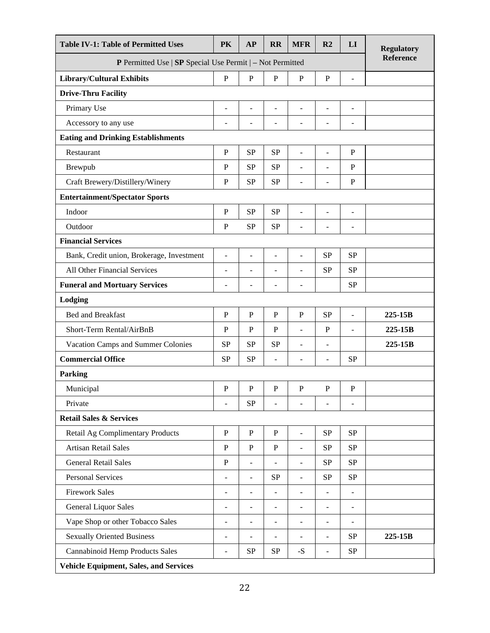| <b>Table IV-1: Table of Permitted Uses</b>                           | PK                       | AP                       | <b>RR</b>                | <b>MFR</b>               | R <sub>2</sub>           | LI                       | <b>Regulatory</b> |
|----------------------------------------------------------------------|--------------------------|--------------------------|--------------------------|--------------------------|--------------------------|--------------------------|-------------------|
| <b>P</b> Permitted Use $ $ SP Special Use Permit $ $ – Not Permitted |                          |                          |                          |                          |                          |                          | Reference         |
| <b>Library/Cultural Exhibits</b>                                     | $\mathbf{P}$             | $\mathbf P$              | $\mathbf P$              | $\mathbf P$              | $\mathbf P$              | $\overline{a}$           |                   |
| <b>Drive-Thru Facility</b>                                           |                          |                          |                          |                          |                          |                          |                   |
| Primary Use                                                          | ÷,                       | $\sim$                   | $\overline{a}$           | L,                       | $\overline{a}$           | $\blacksquare$           |                   |
| Accessory to any use                                                 | $\overline{\phantom{a}}$ | $\overline{\phantom{a}}$ | $\overline{\phantom{m}}$ | ÷                        | $\overline{\phantom{a}}$ | $\overline{\phantom{a}}$ |                   |
| <b>Eating and Drinking Establishments</b>                            |                          |                          |                          |                          |                          |                          |                   |
| Restaurant                                                           | $\mathbf P$              | <b>SP</b>                | SP                       | $\overline{a}$           | $\overline{\phantom{a}}$ | ${\bf P}$                |                   |
| Brewpub                                                              | ${\bf P}$                | <b>SP</b>                | <b>SP</b>                | ÷,                       | $\overline{a}$           | $\mathbf{P}$             |                   |
| Craft Brewery/Distillery/Winery                                      | ${\bf P}$                | <b>SP</b>                | <b>SP</b>                | ÷                        | -                        | $\, {\bf P}$             |                   |
| <b>Entertainment/Spectator Sports</b>                                |                          |                          |                          |                          |                          |                          |                   |
| Indoor                                                               | ${\bf P}$                | <b>SP</b>                | <b>SP</b>                | $\overline{a}$           | $\bar{\phantom{a}}$      | $\sim$                   |                   |
| Outdoor                                                              | ${\bf P}$                | <b>SP</b>                | SP                       | ÷                        | $\overline{\phantom{0}}$ | $\overline{a}$           |                   |
| <b>Financial Services</b>                                            |                          |                          |                          |                          |                          |                          |                   |
| Bank, Credit union, Brokerage, Investment                            | $\overline{\phantom{a}}$ | $\sim$                   | L,                       | L,                       | <b>SP</b>                | <b>SP</b>                |                   |
| All Other Financial Services                                         | $\overline{a}$           | $\overline{\phantom{a}}$ | ä,                       | L,                       | <b>SP</b>                | <b>SP</b>                |                   |
| <b>Funeral and Mortuary Services</b>                                 | $\overline{\phantom{0}}$ | $\overline{\phantom{0}}$ | $\overline{a}$           | $\overline{a}$           |                          | <b>SP</b>                |                   |
| Lodging                                                              |                          |                          |                          |                          |                          |                          |                   |
| Bed and Breakfast                                                    | $\mathbf P$              | $\mathbf P$              | $\mathbf P$              | $\mathbf{P}$             | <b>SP</b>                | $\blacksquare$           | 225-15B           |
| Short-Term Rental/AirBnB                                             | $\mathbf P$              | $\mathbf{P}$             | $\mathbf P$              | $\overline{\phantom{0}}$ | $\mathbf P$              | $\overline{\phantom{a}}$ | 225-15B           |
| Vacation Camps and Summer Colonies                                   | <b>SP</b>                | <b>SP</b>                | SP                       | $\overline{a}$           | $\overline{\phantom{a}}$ |                          | 225-15B           |
| <b>Commercial Office</b>                                             | <b>SP</b>                | <b>SP</b>                | $\overline{a}$           | L,                       | $\blacksquare$           | <b>SP</b>                |                   |
| Parking                                                              |                          |                          |                          |                          |                          |                          |                   |
| Municipal                                                            | ${\bf P}$                | ${\bf P}$                | ${\bf P}$                | ${\bf P}$                | $\mathbf P$              | $\, {\bf P}$             |                   |
| Private                                                              | $\blacksquare$           | <b>SP</b>                |                          |                          |                          |                          |                   |
| <b>Retail Sales &amp; Services</b>                                   |                          |                          |                          |                          |                          |                          |                   |
| Retail Ag Complimentary Products                                     | $\overline{P}$           | $\mathbf{P}$             | ${\bf P}$                | $\overline{a}$           | SP                       | <b>SP</b>                |                   |
| <b>Artisan Retail Sales</b>                                          | $\mathbf{P}$             | $\, {\bf P}$             | ${\bf P}$                | L,                       | <b>SP</b>                | SP                       |                   |
| <b>General Retail Sales</b>                                          | ${\bf P}$                | $\sim$                   | L,                       | L,                       | <b>SP</b>                | <b>SP</b>                |                   |
| <b>Personal Services</b>                                             | $\blacksquare$           | $\overline{\phantom{a}}$ | <b>SP</b>                | $\overline{a}$           | <b>SP</b>                | SP                       |                   |
| <b>Firework Sales</b>                                                | $\overline{\phantom{a}}$ | $\overline{\phantom{a}}$ | $\blacksquare$           | $\overline{\phantom{0}}$ | $\overline{\phantom{a}}$ | $\overline{\phantom{a}}$ |                   |
| General Liquor Sales                                                 | $\overline{\phantom{a}}$ | $\sim$                   | $\overline{\phantom{a}}$ | ÷                        | $\blacksquare$           | $\overline{\phantom{a}}$ |                   |
| Vape Shop or other Tobacco Sales                                     | $\blacksquare$           | $\blacksquare$           | $\overline{a}$           | $\overline{a}$           | $\blacksquare$           | $\blacksquare$           |                   |
| <b>Sexually Oriented Business</b>                                    | $\overline{\phantom{a}}$ | $\overline{\phantom{a}}$ | ÷,                       | ÷                        | $\overline{\phantom{a}}$ | ${\rm SP}$               | 225-15B           |
| Cannabinoid Hemp Products Sales                                      | $\overline{\phantom{a}}$ | <b>SP</b>                | <b>SP</b>                | $-S$                     | $\blacksquare$           | <b>SP</b>                |                   |
| <b>Vehicle Equipment, Sales, and Services</b>                        |                          |                          |                          |                          |                          |                          |                   |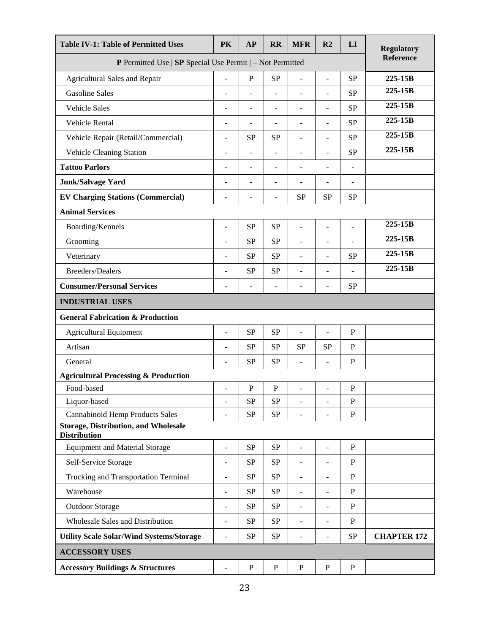| <b>Table IV-1: Table of Permitted Uses</b>                         | <b>PK</b>                | AP                       | <b>RR</b>      | <b>MFR</b>                   | R <sub>2</sub>               | LI                       | <b>Regulatory</b>  |
|--------------------------------------------------------------------|--------------------------|--------------------------|----------------|------------------------------|------------------------------|--------------------------|--------------------|
| P Permitted Use   SP Special Use Permit   - Not Permitted          |                          |                          |                |                              |                              |                          | <b>Reference</b>   |
| Agricultural Sales and Repair                                      | ÷,                       | $\mathbf P$              | <b>SP</b>      | $\overline{a}$               | $\overline{\phantom{a}}$     | <b>SP</b>                | $225 - 15B$        |
| <b>Gasoline Sales</b>                                              | $\overline{\phantom{a}}$ | $\overline{\phantom{a}}$ | $\overline{a}$ | $\overline{\phantom{a}}$     | $\overline{\phantom{a}}$     | <b>SP</b>                | 225-15B            |
| <b>Vehicle Sales</b>                                               | $\overline{\phantom{a}}$ | $\overline{\phantom{a}}$ | ÷,             | $\overline{\phantom{0}}$     | $\overline{\phantom{a}}$     | <b>SP</b>                | 225-15B            |
| Vehicle Rental                                                     | $\sim$                   | $\sim$                   | ÷,             | $\overline{a}$               | $\overline{a}$               | <b>SP</b>                | 225-15B            |
| Vehicle Repair (Retail/Commercial)                                 | $\overline{\phantom{a}}$ | <b>SP</b>                | <b>SP</b>      | ÷,                           | $\overline{a}$               | <b>SP</b>                | 225-15B            |
| Vehicle Cleaning Station                                           | $\overline{\phantom{a}}$ | $\overline{\phantom{m}}$ | $\overline{a}$ | $\overline{\phantom{m}}$     | $\overline{\phantom{a}}$     | <b>SP</b>                | 225-15B            |
| <b>Tattoo Parlors</b>                                              |                          |                          |                |                              | ÷,                           |                          |                    |
| <b>Junk/Salvage Yard</b>                                           | ÷                        | $\sim$                   | ä,             | $\overline{a}$               | $\blacksquare$               | $\overline{\phantom{a}}$ |                    |
| <b>EV Charging Stations (Commercial)</b>                           | $\overline{\phantom{a}}$ | Ē,                       | -              | <b>SP</b>                    | <b>SP</b>                    | <b>SP</b>                |                    |
| <b>Animal Services</b>                                             |                          |                          |                |                              |                              |                          |                    |
| Boarding/Kennels                                                   | $\blacksquare$           | <b>SP</b>                | <b>SP</b>      | $\qquad \qquad \blacksquare$ | $\overline{\phantom{a}}$     | $\overline{a}$           | 225-15B            |
| Grooming                                                           | $\overline{\phantom{a}}$ | <b>SP</b>                | <b>SP</b>      | $\overline{\phantom{m}}$     | ÷,                           | $\overline{\phantom{m}}$ | 225-15B            |
| Veterinary                                                         | $\overline{\phantom{a}}$ | <b>SP</b>                | <b>SP</b>      | $\overline{a}$               | $\overline{a}$               | <b>SP</b>                | 225-15B            |
| <b>Breeders/Dealers</b>                                            | $\overline{\phantom{a}}$ | <b>SP</b>                | <b>SP</b>      | $\overline{\phantom{0}}$     | $\overline{\phantom{a}}$     | $\overline{\phantom{a}}$ | 225-15B            |
| <b>Consumer/Personal Services</b>                                  | $\overline{\phantom{a}}$ | $\overline{\phantom{a}}$ | $\overline{a}$ | $\overline{\phantom{m}}$     | $\overline{\phantom{a}}$     | <b>SP</b>                |                    |
| <b>INDUSTRIAL USES</b>                                             |                          |                          |                |                              |                              |                          |                    |
| <b>General Fabrication &amp; Production</b>                        |                          |                          |                |                              |                              |                          |                    |
| <b>Agricultural Equipment</b>                                      | $\overline{\phantom{a}}$ | <b>SP</b>                | <b>SP</b>      | $\overline{a}$               | $\overline{a}$               | $\mathbf{P}$             |                    |
| Artisan                                                            | $\overline{\phantom{m}}$ | <b>SP</b>                | <b>SP</b>      | <b>SP</b>                    | <b>SP</b>                    | $\mathbf{P}$             |                    |
| General                                                            | $\blacksquare$           | <b>SP</b>                | <b>SP</b>      | $\overline{a}$               | $\overline{\phantom{a}}$     | $\mathbf P$              |                    |
| <b>Agricultural Processing &amp; Production</b>                    |                          |                          |                |                              |                              |                          |                    |
| Food-based                                                         | $\sim$                   | $\mathbf P$              | $\mathbf P$    | $\overline{\phantom{m}}$     | $\overline{a}$               | $\mathbf P$              |                    |
| Liquor-based                                                       | $\overline{\phantom{a}}$ | <b>SP</b>                | <b>SP</b>      | $\overline{a}$               | ÷,                           | $\mathbf P$              |                    |
| <b>Cannabinoid Hemp Products Sales</b>                             | $\overline{\phantom{a}}$ | <b>SP</b>                | SP             | $\frac{1}{2}$                | $\overline{\phantom{a}}$     | ${\bf P}$                |                    |
| <b>Storage, Distribution, and Wholesale</b><br><b>Distribution</b> |                          |                          |                |                              |                              |                          |                    |
| <b>Equipment and Material Storage</b>                              | $\overline{a}$           | <b>SP</b>                | <b>SP</b>      | ÷                            | ÷,                           | $\mathbf P$              |                    |
| Self-Service Storage                                               | $\overline{\phantom{m}}$ | <b>SP</b>                | SP             | $\overline{\phantom{0}}$     | ÷,                           | $\mathbf P$              |                    |
| Trucking and Transportation Terminal                               | $\sim$                   | <b>SP</b>                | <b>SP</b>      | $\overline{a}$               | $\overline{a}$               | $\mathbf P$              |                    |
| Warehouse                                                          | $\overline{\phantom{a}}$ | <b>SP</b>                | SP             | $\overline{\phantom{a}}$     | $\overline{\phantom{a}}$     | $\mathbf{P}$             |                    |
| <b>Outdoor Storage</b>                                             | $\overline{\phantom{a}}$ | <b>SP</b>                | SP             | $\overline{\phantom{a}}$     | $\qquad \qquad \blacksquare$ | $\mathbf{P}$             |                    |
| Wholesale Sales and Distribution                                   | $\blacksquare$           | <b>SP</b>                | SP             | $\overline{\phantom{a}}$     | $\blacksquare$               | $\mathbf{P}$             |                    |
| <b>Utility Scale Solar/Wind Systems/Storage</b>                    | $\blacksquare$           | <b>SP</b>                | SP             | $\overline{a}$               | $\overline{\phantom{a}}$     | ${\rm SP}$               | <b>CHAPTER 172</b> |
| <b>ACCESSORY USES</b>                                              |                          |                          |                |                              |                              |                          |                    |
| <b>Accessory Buildings &amp; Structures</b>                        | $\overline{\phantom{a}}$ | $\mathbf P$              | $\mathbf{P}$   | $\mathbf{P}$                 | $\mathbf P$                  | $\mathbf{P}$             |                    |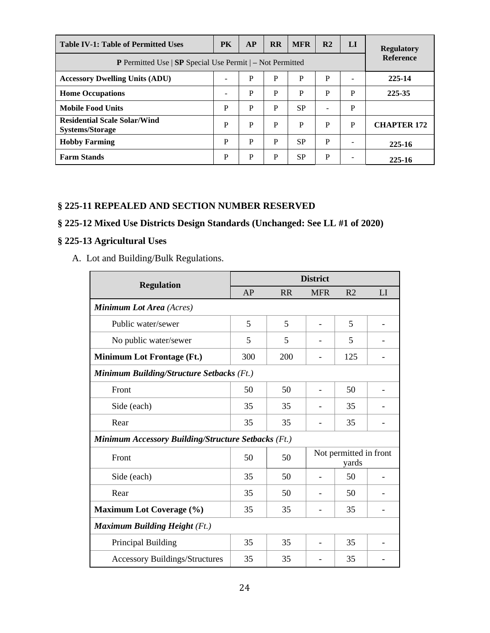| <b>Table IV-1: Table of Permitted Uses</b>                                  | <b>PK</b>        | AP | <b>RR</b> | <b>MFR</b> | R <sub>2</sub> | LI | <b>Regulatory</b>  |  |
|-----------------------------------------------------------------------------|------------------|----|-----------|------------|----------------|----|--------------------|--|
| <b>P</b> Permitted Use $ $ <b>SP</b> Special Use Permit $ $ – Not Permitted | <b>Reference</b> |    |           |            |                |    |                    |  |
| <b>Accessory Dwelling Units (ADU)</b>                                       |                  | P  | P         | P          | P              |    | 225-14             |  |
| <b>Home Occupations</b>                                                     |                  | P  | P         | P          | P              | P  | 225-35             |  |
| <b>Mobile Food Units</b>                                                    | P                | P  | P         | <b>SP</b>  | ÷              | P  |                    |  |
| <b>Residential Scale Solar/Wind</b><br><b>Systems/Storage</b>               | P                | P  | P         | P          | P              | P  | <b>CHAPTER 172</b> |  |
| <b>Hobby Farming</b>                                                        | P                | P  | P         | <b>SP</b>  | P              |    | 225-16             |  |
| <b>Farm Stands</b>                                                          | P                | P  | P         | <b>SP</b>  | P              |    | 225-16             |  |

## **§ 225-11 REPEALED AND SECTION NUMBER RESERVED**

## **§ 225-12 Mixed Use Districts Design Standards (Unchanged: See LL #1 of 2020)**

## **§ 225-13 Agricultural Uses**

A. Lot and Building/Bulk Regulations.

| <b>Regulation</b>                                          | <b>District</b> |           |                                 |                |    |  |  |  |
|------------------------------------------------------------|-----------------|-----------|---------------------------------|----------------|----|--|--|--|
|                                                            | AP              | <b>RR</b> | <b>MFR</b>                      | R <sub>2</sub> | LI |  |  |  |
| <b>Minimum Lot Area</b> (Acres)                            |                 |           |                                 |                |    |  |  |  |
| Public water/sewer                                         | 5               | 5         |                                 | 5              |    |  |  |  |
| No public water/sewer                                      | 5               | 5         |                                 | 5              |    |  |  |  |
| <b>Minimum Lot Frontage (Ft.)</b>                          | 300             | 200       |                                 | 125            |    |  |  |  |
| <b>Minimum Building/Structure Setbacks (Ft.)</b>           |                 |           |                                 |                |    |  |  |  |
| Front                                                      | 50              | 50        |                                 | 50             |    |  |  |  |
| Side (each)                                                | 35              | 35        |                                 | 35             |    |  |  |  |
| Rear                                                       | 35              | 35        |                                 | 35             |    |  |  |  |
| <b>Minimum Accessory Building/Structure Setbacks (Ft.)</b> |                 |           |                                 |                |    |  |  |  |
| Front                                                      | 50              | 50        | Not permitted in front<br>yards |                |    |  |  |  |
| Side (each)                                                | 35              | 50        |                                 | 50             |    |  |  |  |
| Rear                                                       | 35              | 50        |                                 | 50             |    |  |  |  |
| <b>Maximum Lot Coverage (%)</b>                            | 35              | 35        |                                 | 35             |    |  |  |  |
| <b>Maximum Building Height (Ft.)</b>                       |                 |           |                                 |                |    |  |  |  |
| Principal Building                                         | 35              | 35        |                                 | 35             |    |  |  |  |
| <b>Accessory Buildings/Structures</b>                      | 35              | 35        |                                 | 35             |    |  |  |  |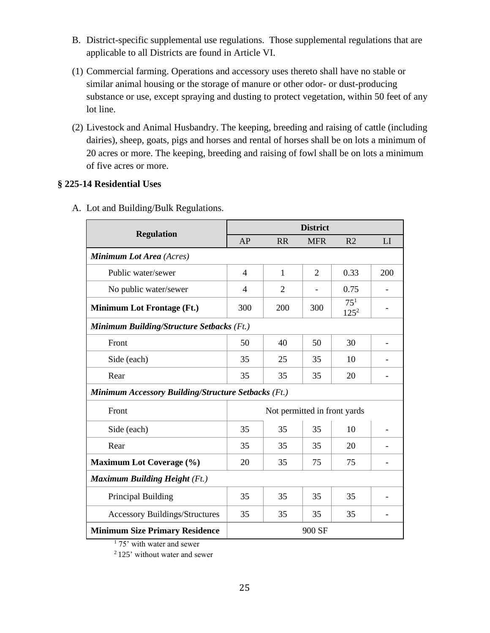- B. District-specific supplemental use regulations. Those supplemental regulations that are applicable to all Districts are found in Article VI.
- (1) Commercial farming. Operations and accessory uses thereto shall have no stable or similar animal housing or the storage of manure or other odor- or dust-producing substance or use, except spraying and dusting to protect vegetation, within 50 feet of any lot line.
- (2) Livestock and Animal Husbandry. The keeping, breeding and raising of cattle (including dairies), sheep, goats, pigs and horses and rental of horses shall be on lots a minimum of 20 acres or more. The keeping, breeding and raising of fowl shall be on lots a minimum of five acres or more.

### **§ 225-14 Residential Uses**

| <b>Regulation</b>                                          | <b>District</b> |                              |                |                            |     |  |  |  |
|------------------------------------------------------------|-----------------|------------------------------|----------------|----------------------------|-----|--|--|--|
|                                                            | AP              | <b>RR</b>                    | <b>MFR</b>     | R <sub>2</sub>             | LI  |  |  |  |
| Minimum Lot Area (Acres)                                   |                 |                              |                |                            |     |  |  |  |
| Public water/sewer                                         | $\overline{4}$  | $\mathbf{1}$                 | $\overline{2}$ | 0.33                       | 200 |  |  |  |
| No public water/sewer                                      | $\overline{4}$  | $\overline{2}$               |                | 0.75                       |     |  |  |  |
| <b>Minimum Lot Frontage (Ft.)</b>                          | 300             | 200                          | 300            | 75 <sup>1</sup><br>$125^2$ |     |  |  |  |
| Minimum Building/Structure Setbacks (Ft.)                  |                 |                              |                |                            |     |  |  |  |
| Front                                                      | 50              | 40                           | 50             | 30                         |     |  |  |  |
| Side (each)                                                | 35              | 25                           | 35             | 10                         |     |  |  |  |
| Rear                                                       | 35              | 35                           | 35             | 20                         |     |  |  |  |
| <b>Minimum Accessory Building/Structure Setbacks (Ft.)</b> |                 |                              |                |                            |     |  |  |  |
| Front                                                      |                 | Not permitted in front yards |                |                            |     |  |  |  |
| Side (each)                                                | 35              | 35                           | 35             | 10                         |     |  |  |  |
| Rear                                                       | 35              | 35                           | 35             | 20                         |     |  |  |  |
| <b>Maximum Lot Coverage (%)</b>                            | 20              | 35                           | 75             | 75                         |     |  |  |  |
| <b>Maximum Building Height (Ft.)</b>                       |                 |                              |                |                            |     |  |  |  |
| Principal Building                                         | 35              | 35                           | 35             | 35                         |     |  |  |  |
| <b>Accessory Buildings/Structures</b>                      | 35              | 35                           | 35             | 35                         |     |  |  |  |
| <b>Minimum Size Primary Residence</b>                      |                 |                              | 900 SF         |                            |     |  |  |  |

A. Lot and Building/Bulk Regulations.

<sup>1</sup> 75' with water and sewer

<sup>2</sup> 125' without water and sewer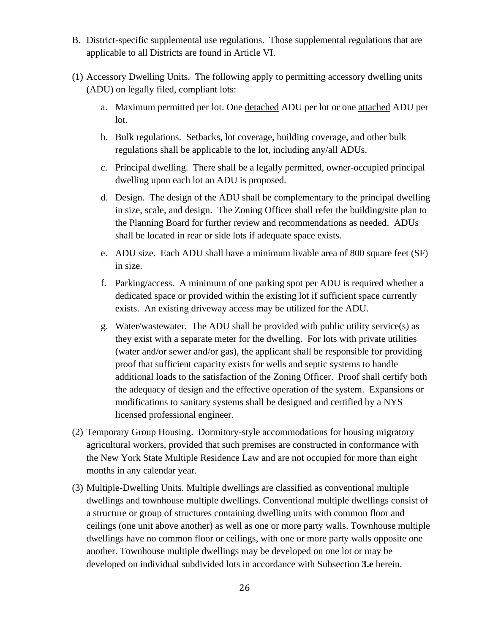- B. District-specific supplemental use regulations. Those supplemental regulations that are applicable to all Districts are found in Article VI.
- (1) Accessory Dwelling Units. The following apply to permitting accessory dwelling units (ADU) on legally filed, compliant lots:
	- a. Maximum permitted per lot. One detached ADU per lot or one attached ADU per lot.
	- b. Bulk regulations. Setbacks, lot coverage, building coverage, and other bulk regulations shall be applicable to the lot, including any/all ADUs.
	- c. Principal dwelling. There shall be a legally permitted, owner-occupied principal dwelling upon each lot an ADU is proposed.
	- d. Design. The design of the ADU shall be complementary to the principal dwelling in size, scale, and design. The Zoning Officer shall refer the building/site plan to the Planning Board for further review and recommendations as needed. ADUs shall be located in rear or side lots if adequate space exists.
	- e. ADU size. Each ADU shall have a minimum livable area of 800 square feet (SF) in size.
	- f. Parking/access. A minimum of one parking spot per ADU is required whether a dedicated space or provided within the existing lot if sufficient space currently exists. An existing driveway access may be utilized for the ADU.
	- g. Water/wastewater. The ADU shall be provided with public utility service(s) as they exist with a separate meter for the dwelling. For lots with private utilities (water and/or sewer and/or gas), the applicant shall be responsible for providing proof that sufficient capacity exists for wells and septic systems to handle additional loads to the satisfaction of the Zoning Officer. Proof shall certify both the adequacy of design and the effective operation of the system. Expansions or modifications to sanitary systems shall be designed and certified by a NYS licensed professional engineer.
- (2) Temporary Group Housing. Dormitory-style accommodations for housing migratory agricultural workers, provided that such premises are constructed in conformance with the New York State Multiple Residence Law and are not occupied for more than eight months in any calendar year.
- (3) Multiple-Dwelling Units. Multiple dwellings are classified as conventional multiple dwellings and townhouse multiple dwellings. Conventional multiple dwellings consist of a structure or group of structures containing dwelling units with common floor and ceilings (one unit above another) as well as one or more party walls. Townhouse multiple dwellings have no common floor or ceilings, with one or more party walls opposite one another. Townhouse multiple dwellings may be developed on one lot or may be developed on individual subdivided lots in accordance with Subsection **3.e** herein.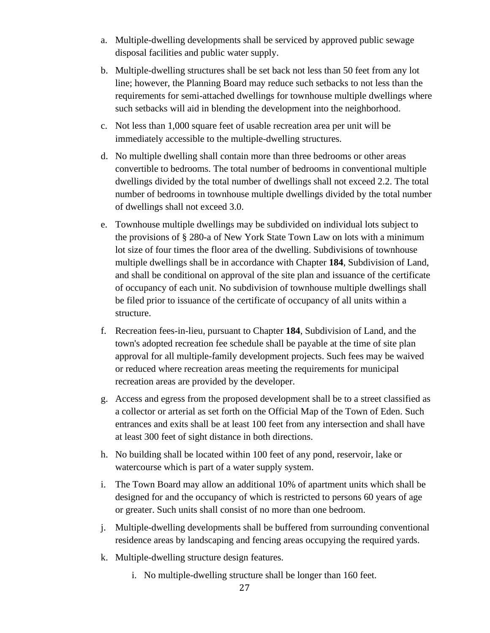- a. Multiple-dwelling developments shall be serviced by approved public sewage disposal facilities and public water supply.
- b. Multiple-dwelling structures shall be set back not less than 50 feet from any lot line; however, the Planning Board may reduce such setbacks to not less than the requirements for semi-attached dwellings for townhouse multiple dwellings where such setbacks will aid in blending the development into the neighborhood.
- c. Not less than 1,000 square feet of usable recreation area per unit will be immediately accessible to the multiple-dwelling structures.
- d. No multiple dwelling shall contain more than three bedrooms or other areas convertible to bedrooms. The total number of bedrooms in conventional multiple dwellings divided by the total number of dwellings shall not exceed 2.2. The total number of bedrooms in townhouse multiple dwellings divided by the total number of dwellings shall not exceed 3.0.
- e. Townhouse multiple dwellings may be subdivided on individual lots subject to the provisions of § 280-a of New York State Town Law on lots with a minimum lot size of four times the floor area of the dwelling. Subdivisions of townhouse multiple dwellings shall be in accordance with Chapter **184**, Subdivision of Land, and shall be conditional on approval of the site plan and issuance of the certificate of occupancy of each unit. No subdivision of townhouse multiple dwellings shall be filed prior to issuance of the certificate of occupancy of all units within a structure.
- f. Recreation fees-in-lieu, pursuant to Chapter **184**, Subdivision of Land, and the town's adopted recreation fee schedule shall be payable at the time of site plan approval for all multiple-family development projects. Such fees may be waived or reduced where recreation areas meeting the requirements for municipal recreation areas are provided by the developer.
- g. Access and egress from the proposed development shall be to a street classified as a collector or arterial as set forth on the Official Map of the Town of Eden. Such entrances and exits shall be at least 100 feet from any intersection and shall have at least 300 feet of sight distance in both directions.
- h. No building shall be located within 100 feet of any pond, reservoir, lake or watercourse which is part of a water supply system.
- i. The Town Board may allow an additional 10% of apartment units which shall be designed for and the occupancy of which is restricted to persons 60 years of age or greater. Such units shall consist of no more than one bedroom.
- j. Multiple-dwelling developments shall be buffered from surrounding conventional residence areas by landscaping and fencing areas occupying the required yards.
- k. Multiple-dwelling structure design features.
	- i. No multiple-dwelling structure shall be longer than 160 feet.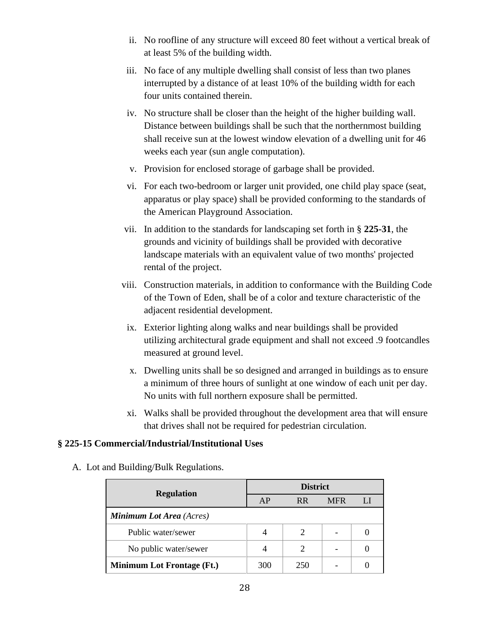- ii. No roofline of any structure will exceed 80 feet without a vertical break of at least 5% of the building width.
- iii. No face of any multiple dwelling shall consist of less than two planes interrupted by a distance of at least 10% of the building width for each four units contained therein.
- iv. No structure shall be closer than the height of the higher building wall. Distance between buildings shall be such that the northernmost building shall receive sun at the lowest window elevation of a dwelling unit for 46 weeks each year (sun angle computation).
- v. Provision for enclosed storage of garbage shall be provided.
- vi. For each two-bedroom or larger unit provided, one child play space (seat, apparatus or play space) shall be provided conforming to the standards of the American Playground Association.
- vii. In addition to the standards for landscaping set forth in § **225-31**, the grounds and vicinity of buildings shall be provided with decorative landscape materials with an equivalent value of two months' projected rental of the project.
- viii. Construction materials, in addition to conformance with the Building Code of the Town of Eden, shall be of a color and texture characteristic of the adjacent residential development.
- ix. Exterior lighting along walks and near buildings shall be provided utilizing architectural grade equipment and shall not exceed .9 footcandles measured at ground level.
- x. Dwelling units shall be so designed and arranged in buildings as to ensure a minimum of three hours of sunlight at one window of each unit per day. No units with full northern exposure shall be permitted.
- xi. Walks shall be provided throughout the development area that will ensure that drives shall not be required for pedestrian circulation.

## **§ 225-15 Commercial/Industrial/Institutional Uses**

- **Regulation District** AP RR MFR LI *Minimum Lot Area (Acres)* Public water/sewer  $\begin{array}{|c|c|c|c|c|c|c|c|} \hline \end{array}$  4  $\begin{array}{|c|c|c|c|c|c|c|c|} \hline 2 & \begin{array}{|c|c|c|c|c|} \hline 2 & \begin{array}{|c|c|c|c|c|} \hline 2 & \begin{array}{|c|c|c|c|c|} \hline \end{array} & \begin{array}{|c|c|c|c|c|c|} \hline 0 & \begin{array}{|c|c|c|c|c|c|} \hline 0 & \begin{array}{|c|c|c|c|$ No public water/sewer  $\begin{vmatrix} 4 & 2 & 2 & 0 \\ 0 & 0 & 0 & 0 \\ 0 & 0 & 0 & 0 \\ 0 & 0 & 0 & 0 \\ 0 & 0 & 0 & 0 \\ 0 & 0 & 0 & 0 \\ 0 & 0 & 0 & 0 \\ 0 & 0 & 0 & 0 \\ 0 & 0 & 0 & 0 \\ 0 & 0 & 0 & 0 \\ 0 & 0 & 0 & 0 \\ 0 & 0 & 0 & 0 \\ 0 & 0 & 0 & 0 \\ 0 & 0 & 0 & 0 \\ 0 & 0 & 0 & 0 & 0 \\ 0 & 0 & 0 &$ **Minimum Lot Frontage (Ft.)** 300 250 - 0
- A. Lot and Building/Bulk Regulations.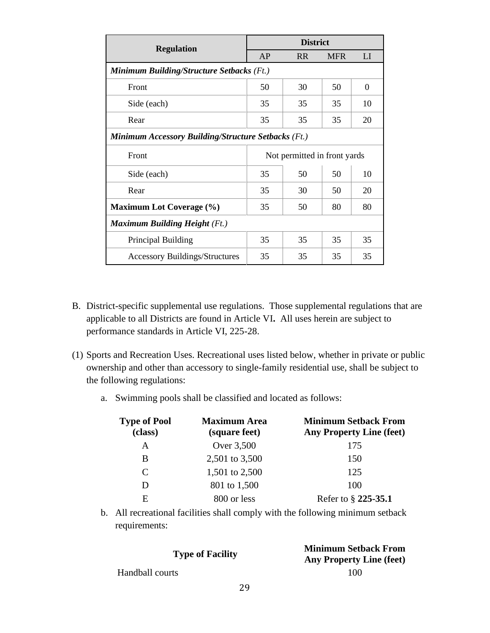| <b>Regulation</b>                                          | <b>District</b>              |                |            |          |  |  |
|------------------------------------------------------------|------------------------------|----------------|------------|----------|--|--|
|                                                            | AP                           | R <sub>R</sub> | <b>MFR</b> | LI       |  |  |
| Minimum Building/Structure Setbacks (Ft.)                  |                              |                |            |          |  |  |
| Front                                                      | 50                           | 30             | 50         | $\theta$ |  |  |
| Side (each)                                                | 35                           | 35             | 35         | 10       |  |  |
| Rear                                                       | 35                           | 35             | 35         | 20       |  |  |
| <b>Minimum Accessory Building/Structure Setbacks (Ft.)</b> |                              |                |            |          |  |  |
| Front                                                      | Not permitted in front yards |                |            |          |  |  |
| Side (each)                                                | 35                           | 50             | 50         | 10       |  |  |
| Rear                                                       | 35                           | 30             | 50         | 20       |  |  |
| <b>Maximum Lot Coverage (%)</b>                            | 35                           | 50             | 80         | 80       |  |  |
| <b>Maximum Building Height</b> (Ft.)                       |                              |                |            |          |  |  |
| Principal Building                                         | 35                           | 35             | 35         | 35       |  |  |
| <b>Accessory Buildings/Structures</b>                      | 35                           | 35             | 35         | 35       |  |  |

- B. District-specific supplemental use regulations. Those supplemental regulations that are applicable to all Districts are found in Article VI**.** All uses herein are subject to performance standards in Article VI, 225-28.
- (1) Sports and Recreation Uses. Recreational uses listed below, whether in private or public ownership and other than accessory to single-family residential use, shall be subject to the following regulations:
	- a. Swimming pools shall be classified and located as follows:

| <b>Type of Pool</b><br>(class) | <b>Maximum Area</b><br>(square feet) | <b>Minimum Setback From</b><br><b>Any Property Line (feet)</b> |
|--------------------------------|--------------------------------------|----------------------------------------------------------------|
| A                              | Over 3,500                           | 175                                                            |
| B                              | 2,501 to 3,500                       | 150                                                            |
| C                              | 1,501 to 2,500                       | 125                                                            |
| D                              | 801 to 1,500                         | 100                                                            |
| E                              | 800 or less                          | Refer to § 225-35.1                                            |

b. All recreational facilities shall comply with the following minimum setback requirements:

| <b>Type of Facility</b> | <b>Minimum Setback From</b><br><b>Any Property Line (feet)</b> |
|-------------------------|----------------------------------------------------------------|
| Handball courts         | 100                                                            |
| 29                      |                                                                |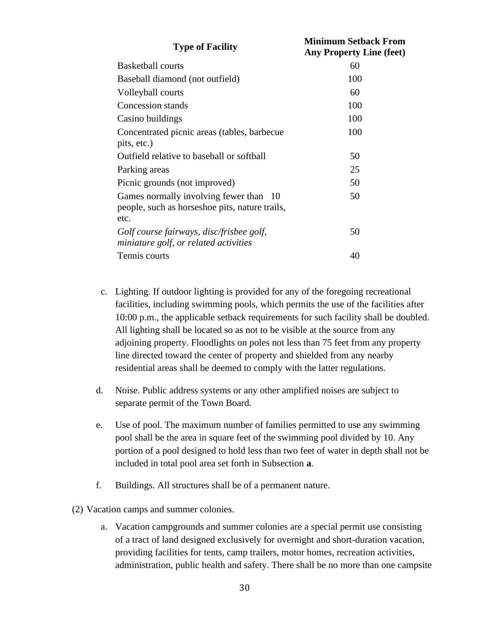| <b>Type of Facility</b>                                                                          | <b>Minimum Setback From</b><br><b>Any Property Line (feet)</b> |
|--------------------------------------------------------------------------------------------------|----------------------------------------------------------------|
| <b>Basketball courts</b>                                                                         | 60                                                             |
| Baseball diamond (not outfield)                                                                  | 100                                                            |
| Volleyball courts                                                                                | 60                                                             |
| Concession stands                                                                                | 100                                                            |
| Casino buildings                                                                                 | 100                                                            |
| Concentrated picnic areas (tables, barbecue<br>pits, etc.)                                       | 100                                                            |
| Outfield relative to baseball or softball                                                        | 50                                                             |
| Parking areas                                                                                    | 25                                                             |
| Picnic grounds (not improved)                                                                    | 50                                                             |
| Games normally involving fewer than 10<br>people, such as horseshoe pits, nature trails,<br>etc. | 50                                                             |
| Golf course fairways, disc/frisbee golf,<br>miniature golf, or related activities                | 50                                                             |
| Tennis courts                                                                                    | 40                                                             |

- c. Lighting. If outdoor lighting is provided for any of the foregoing recreational facilities, including swimming pools, which permits the use of the facilities after 10:00 p.m., the applicable setback requirements for such facility shall be doubled. All lighting shall be located so as not to be visible at the source from any adjoining property. Floodlights on poles not less than 75 feet from any property line directed toward the center of property and shielded from any nearby residential areas shall be deemed to comply with the latter regulations.
- d. Noise. Public address systems or any other amplified noises are subject to separate permit of the Town Board.
- e. Use of pool. The maximum number of families permitted to use any swimming pool shall be the area in square feet of the swimming pool divided by 10. Any portion of a pool designed to hold less than two feet of water in depth shall not be included in total pool area set forth in Subsection **a**.
- f. Buildings. All structures shall be of a permanent nature.

(2) Vacation camps and summer colonies.

a. Vacation campgrounds and summer colonies are a special permit use consisting of a tract of land designed exclusively for overnight and short-duration vacation, providing facilities for tents, camp trailers, motor homes, recreation activities, administration, public health and safety. There shall be no more than one campsite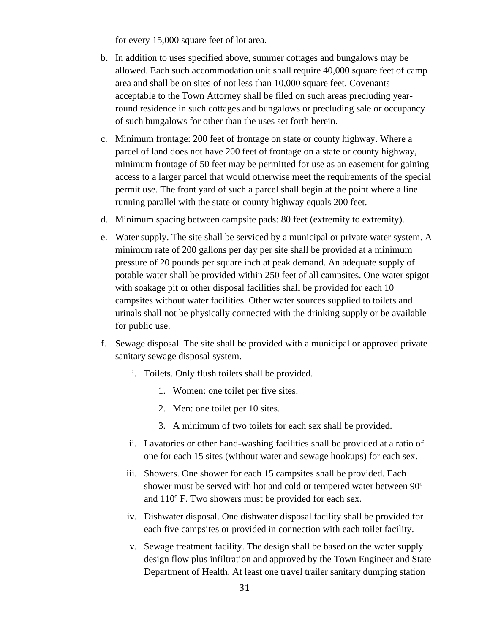for every 15,000 square feet of lot area.

- b. In addition to uses specified above, summer cottages and bungalows may be allowed. Each such accommodation unit shall require 40,000 square feet of camp area and shall be on sites of not less than 10,000 square feet. Covenants acceptable to the Town Attorney shall be filed on such areas precluding yearround residence in such cottages and bungalows or precluding sale or occupancy of such bungalows for other than the uses set forth herein.
- c. Minimum frontage: 200 feet of frontage on state or county highway. Where a parcel of land does not have 200 feet of frontage on a state or county highway, minimum frontage of 50 feet may be permitted for use as an easement for gaining access to a larger parcel that would otherwise meet the requirements of the special permit use. The front yard of such a parcel shall begin at the point where a line running parallel with the state or county highway equals 200 feet.
- d. Minimum spacing between campsite pads: 80 feet (extremity to extremity).
- e. Water supply. The site shall be serviced by a municipal or private water system. A minimum rate of 200 gallons per day per site shall be provided at a minimum pressure of 20 pounds per square inch at peak demand. An adequate supply of potable water shall be provided within 250 feet of all campsites. One water spigot with soakage pit or other disposal facilities shall be provided for each 10 campsites without water facilities. Other water sources supplied to toilets and urinals shall not be physically connected with the drinking supply or be available for public use.
- f. Sewage disposal. The site shall be provided with a municipal or approved private sanitary sewage disposal system.
	- i. Toilets. Only flush toilets shall be provided.
		- 1. Women: one toilet per five sites.
		- 2. Men: one toilet per 10 sites.
		- 3. A minimum of two toilets for each sex shall be provided.
	- ii. Lavatories or other hand-washing facilities shall be provided at a ratio of one for each 15 sites (without water and sewage hookups) for each sex.
	- iii. Showers. One shower for each 15 campsites shall be provided. Each shower must be served with hot and cold or tempered water between 90º and 110º F. Two showers must be provided for each sex.
	- iv. Dishwater disposal. One dishwater disposal facility shall be provided for each five campsites or provided in connection with each toilet facility.
	- v. Sewage treatment facility. The design shall be based on the water supply design flow plus infiltration and approved by the Town Engineer and State Department of Health. At least one travel trailer sanitary dumping station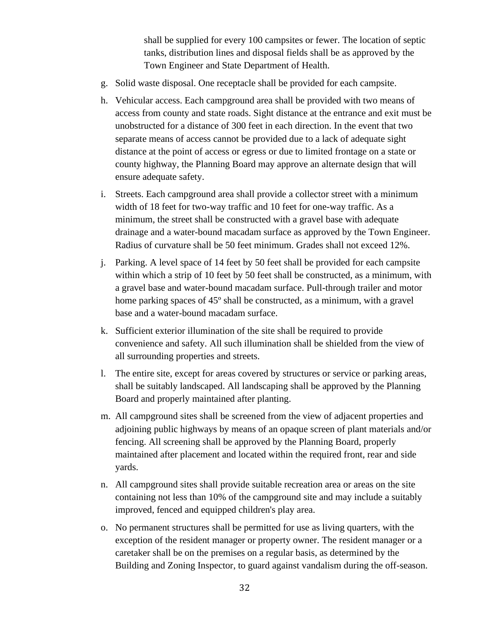shall be supplied for every 100 campsites or fewer. The location of septic tanks, distribution lines and disposal fields shall be as approved by the Town Engineer and State Department of Health.

- g. Solid waste disposal. One receptacle shall be provided for each campsite.
- h. Vehicular access. Each campground area shall be provided with two means of access from county and state roads. Sight distance at the entrance and exit must be unobstructed for a distance of 300 feet in each direction. In the event that two separate means of access cannot be provided due to a lack of adequate sight distance at the point of access or egress or due to limited frontage on a state or county highway, the Planning Board may approve an alternate design that will ensure adequate safety.
- i. Streets. Each campground area shall provide a collector street with a minimum width of 18 feet for two-way traffic and 10 feet for one-way traffic. As a minimum, the street shall be constructed with a gravel base with adequate drainage and a water-bound macadam surface as approved by the Town Engineer. Radius of curvature shall be 50 feet minimum. Grades shall not exceed 12%.
- j. Parking. A level space of 14 feet by 50 feet shall be provided for each campsite within which a strip of 10 feet by 50 feet shall be constructed, as a minimum, with a gravel base and water-bound macadam surface. Pull-through trailer and motor home parking spaces of 45º shall be constructed, as a minimum, with a gravel base and a water-bound macadam surface.
- k. Sufficient exterior illumination of the site shall be required to provide convenience and safety. All such illumination shall be shielded from the view of all surrounding properties and streets.
- l. The entire site, except for areas covered by structures or service or parking areas, shall be suitably landscaped. All landscaping shall be approved by the Planning Board and properly maintained after planting.
- m. All campground sites shall be screened from the view of adjacent properties and adjoining public highways by means of an opaque screen of plant materials and/or fencing. All screening shall be approved by the Planning Board, properly maintained after placement and located within the required front, rear and side yards.
- n. All campground sites shall provide suitable recreation area or areas on the site containing not less than 10% of the campground site and may include a suitably improved, fenced and equipped children's play area.
- o. No permanent structures shall be permitted for use as living quarters, with the exception of the resident manager or property owner. The resident manager or a caretaker shall be on the premises on a regular basis, as determined by the Building and Zoning Inspector, to guard against vandalism during the off-season.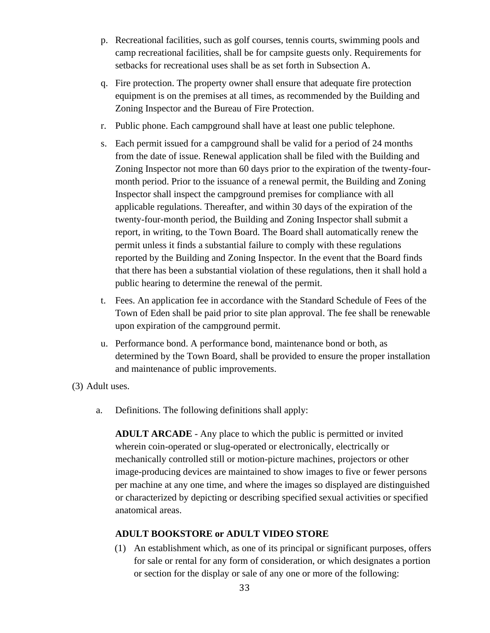- p. Recreational facilities, such as golf courses, tennis courts, swimming pools and camp recreational facilities, shall be for campsite guests only. Requirements for setbacks for recreational uses shall be as set forth in Subsection A.
- q. Fire protection. The property owner shall ensure that adequate fire protection equipment is on the premises at all times, as recommended by the Building and Zoning Inspector and the Bureau of Fire Protection.
- r. Public phone. Each campground shall have at least one public telephone.
- s. Each permit issued for a campground shall be valid for a period of 24 months from the date of issue. Renewal application shall be filed with the Building and Zoning Inspector not more than 60 days prior to the expiration of the twenty-fourmonth period. Prior to the issuance of a renewal permit, the Building and Zoning Inspector shall inspect the campground premises for compliance with all applicable regulations. Thereafter, and within 30 days of the expiration of the twenty-four-month period, the Building and Zoning Inspector shall submit a report, in writing, to the Town Board. The Board shall automatically renew the permit unless it finds a substantial failure to comply with these regulations reported by the Building and Zoning Inspector. In the event that the Board finds that there has been a substantial violation of these regulations, then it shall hold a public hearing to determine the renewal of the permit.
- t. Fees. An application fee in accordance with the Standard Schedule of Fees of the Town of Eden shall be paid prior to site plan approval. The fee shall be renewable upon expiration of the campground permit.
- u. Performance bond. A performance bond, maintenance bond or both, as determined by the Town Board, shall be provided to ensure the proper installation and maintenance of public improvements.

(3) Adult uses.

a. Definitions. The following definitions shall apply:

**ADULT ARCADE** - Any place to which the public is permitted or invited wherein coin-operated or slug-operated or electronically, electrically or mechanically controlled still or motion-picture machines, projectors or other image-producing devices are maintained to show images to five or fewer persons per machine at any one time, and where the images so displayed are distinguished or characterized by depicting or describing specified sexual activities or specified anatomical areas.

## **ADULT BOOKSTORE or ADULT VIDEO STORE**

(1) An establishment which, as one of its principal or significant purposes, offers for sale or rental for any form of consideration, or which designates a portion or section for the display or sale of any one or more of the following: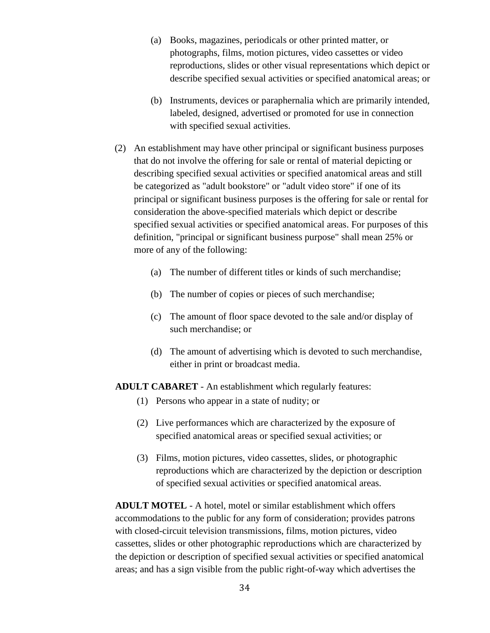- (a) Books, magazines, periodicals or other printed matter, or photographs, films, motion pictures, video cassettes or video reproductions, slides or other visual representations which depict or describe specified sexual activities or specified anatomical areas; or
- (b) Instruments, devices or paraphernalia which are primarily intended, labeled, designed, advertised or promoted for use in connection with specified sexual activities.
- (2) An establishment may have other principal or significant business purposes that do not involve the offering for sale or rental of material depicting or describing specified sexual activities or specified anatomical areas and still be categorized as "adult bookstore" or "adult video store" if one of its principal or significant business purposes is the offering for sale or rental for consideration the above-specified materials which depict or describe specified sexual activities or specified anatomical areas. For purposes of this definition, "principal or significant business purpose" shall mean 25% or more of any of the following:
	- (a) The number of different titles or kinds of such merchandise;
	- (b) The number of copies or pieces of such merchandise;
	- (c) The amount of floor space devoted to the sale and/or display of such merchandise; or
	- (d) The amount of advertising which is devoted to such merchandise, either in print or broadcast media.

**ADULT CABARET** - An establishment which regularly features:

- (1) Persons who appear in a state of nudity; or
- (2) Live performances which are characterized by the exposure of specified anatomical areas or specified sexual activities; or
- (3) Films, motion pictures, video cassettes, slides, or photographic reproductions which are characterized by the depiction or description of specified sexual activities or specified anatomical areas.

**ADULT MOTEL** - A hotel, motel or similar establishment which offers accommodations to the public for any form of consideration; provides patrons with closed-circuit television transmissions, films, motion pictures, video cassettes, slides or other photographic reproductions which are characterized by the depiction or description of specified sexual activities or specified anatomical areas; and has a sign visible from the public right-of-way which advertises the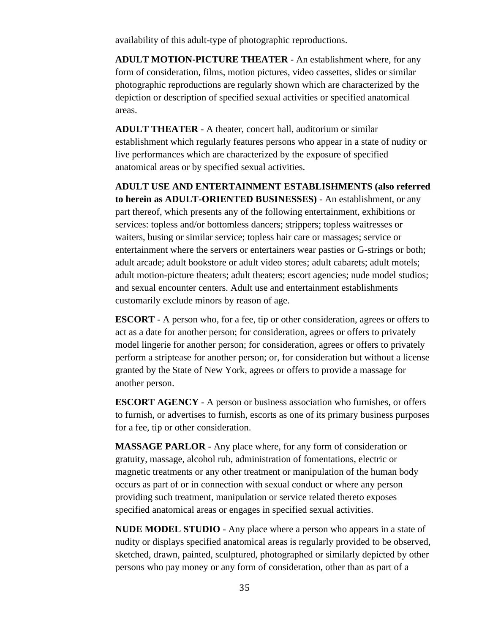availability of this adult-type of photographic reproductions.

**ADULT MOTION-PICTURE THEATER** - An establishment where, for any form of consideration, films, motion pictures, video cassettes, slides or similar photographic reproductions are regularly shown which are characterized by the depiction or description of specified sexual activities or specified anatomical areas.

**ADULT THEATER** - A theater, concert hall, auditorium or similar establishment which regularly features persons who appear in a state of nudity or live performances which are characterized by the exposure of specified anatomical areas or by specified sexual activities.

**ADULT USE AND ENTERTAINMENT ESTABLISHMENTS (also referred to herein as ADULT-ORIENTED BUSINESSES)** - An establishment, or any part thereof, which presents any of the following entertainment, exhibitions or services: topless and/or bottomless dancers; strippers; topless waitresses or waiters, busing or similar service; topless hair care or massages; service or entertainment where the servers or entertainers wear pasties or G-strings or both; adult arcade; adult bookstore or adult video stores; adult cabarets; adult motels; adult motion-picture theaters; adult theaters; escort agencies; nude model studios; and sexual encounter centers. Adult use and entertainment establishments customarily exclude minors by reason of age.

**ESCORT** - A person who, for a fee, tip or other consideration, agrees or offers to act as a date for another person; for consideration, agrees or offers to privately model lingerie for another person; for consideration, agrees or offers to privately perform a striptease for another person; or, for consideration but without a license granted by the State of New York, agrees or offers to provide a massage for another person.

**ESCORT AGENCY** - A person or business association who furnishes, or offers to furnish, or advertises to furnish, escorts as one of its primary business purposes for a fee, tip or other consideration.

**MASSAGE PARLOR** - Any place where, for any form of consideration or gratuity, massage, alcohol rub, administration of fomentations, electric or magnetic treatments or any other treatment or manipulation of the human body occurs as part of or in connection with sexual conduct or where any person providing such treatment, manipulation or service related thereto exposes specified anatomical areas or engages in specified sexual activities.

**NUDE MODEL STUDIO** - Any place where a person who appears in a state of nudity or displays specified anatomical areas is regularly provided to be observed, sketched, drawn, painted, sculptured, photographed or similarly depicted by other persons who pay money or any form of consideration, other than as part of a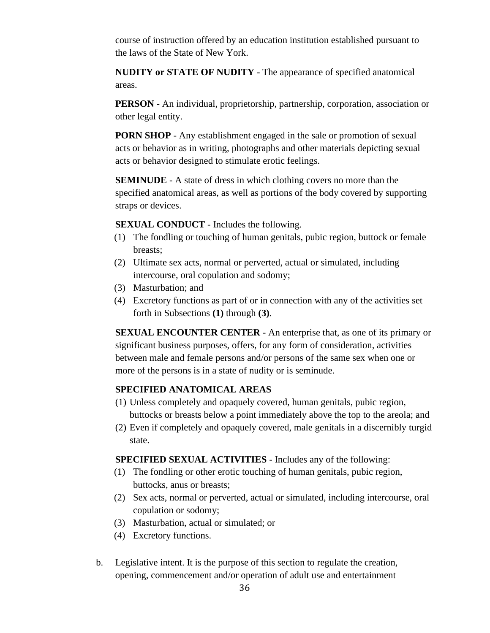course of instruction offered by an education institution established pursuant to the laws of the State of New York.

**NUDITY or STATE OF NUDITY** - The appearance of specified anatomical areas.

**PERSON** - An individual, proprietorship, partnership, corporation, association or other legal entity.

**PORN SHOP** - Any establishment engaged in the sale or promotion of sexual acts or behavior as in writing, photographs and other materials depicting sexual acts or behavior designed to stimulate erotic feelings.

**SEMINUDE** - A state of dress in which clothing covers no more than the specified anatomical areas, as well as portions of the body covered by supporting straps or devices.

**SEXUAL CONDUCT** - Includes the following.

- (1) The fondling or touching of human genitals, pubic region, buttock or female breasts;
- (2) Ultimate sex acts, normal or perverted, actual or simulated, including intercourse, oral copulation and sodomy;
- (3) Masturbation; and
- (4) Excretory functions as part of or in connection with any of the activities set forth in Subsections **(1)** through **(3)**.

**SEXUAL ENCOUNTER CENTER** - An enterprise that, as one of its primary or significant business purposes, offers, for any form of consideration, activities between male and female persons and/or persons of the same sex when one or more of the persons is in a state of nudity or is seminude.

#### **SPECIFIED ANATOMICAL AREAS**

- (1) Unless completely and opaquely covered, human genitals, pubic region, buttocks or breasts below a point immediately above the top to the areola; and
- (2) Even if completely and opaquely covered, male genitals in a discernibly turgid state.

**SPECIFIED SEXUAL ACTIVITIES** - Includes any of the following:

- (1) The fondling or other erotic touching of human genitals, pubic region, buttocks, anus or breasts;
- (2) Sex acts, normal or perverted, actual or simulated, including intercourse, oral copulation or sodomy;
- (3) Masturbation, actual or simulated; or
- (4) Excretory functions.
- b. Legislative intent. It is the purpose of this section to regulate the creation, opening, commencement and/or operation of adult use and entertainment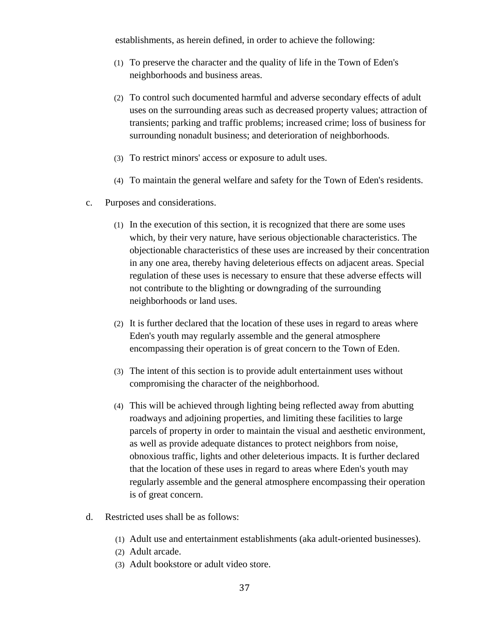establishments, as herein defined, in order to achieve the following:

- (1) To preserve the character and the quality of life in the Town of Eden's neighborhoods and business areas.
- (2) To control such documented harmful and adverse secondary effects of adult uses on the surrounding areas such as decreased property values; attraction of transients; parking and traffic problems; increased crime; loss of business for surrounding nonadult business; and deterioration of neighborhoods.
- (3) To restrict minors' access or exposure to adult uses.
- (4) To maintain the general welfare and safety for the Town of Eden's residents.
- c. Purposes and considerations.
	- (1) In the execution of this section, it is recognized that there are some uses which, by their very nature, have serious objectionable characteristics. The objectionable characteristics of these uses are increased by their concentration in any one area, thereby having deleterious effects on adjacent areas. Special regulation of these uses is necessary to ensure that these adverse effects will not contribute to the blighting or downgrading of the surrounding neighborhoods or land uses.
	- (2) It is further declared that the location of these uses in regard to areas where Eden's youth may regularly assemble and the general atmosphere encompassing their operation is of great concern to the Town of Eden.
	- (3) The intent of this section is to provide adult entertainment uses without compromising the character of the neighborhood.
	- (4) This will be achieved through lighting being reflected away from abutting roadways and adjoining properties, and limiting these facilities to large parcels of property in order to maintain the visual and aesthetic environment, as well as provide adequate distances to protect neighbors from noise, obnoxious traffic, lights and other deleterious impacts. It is further declared that the location of these uses in regard to areas where Eden's youth may regularly assemble and the general atmosphere encompassing their operation is of great concern.
- d. Restricted uses shall be as follows:
	- (1) Adult use and entertainment establishments (aka adult-oriented businesses).
	- (2) Adult arcade.
	- (3) Adult bookstore or adult video store.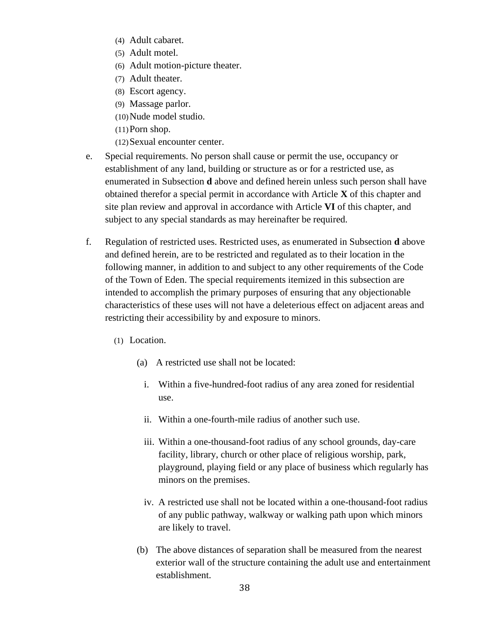- (4) Adult cabaret.
- (5) Adult motel.
- (6) Adult motion-picture theater.
- (7) Adult theater.
- (8) Escort agency.
- (9) Massage parlor.
- (10)Nude model studio.
- (11)Porn shop.
- (12)Sexual encounter center.
- e. Special requirements. No person shall cause or permit the use, occupancy or establishment of any land, building or structure as or for a restricted use, as enumerated in Subsection **d** above and defined herein unless such person shall have obtained therefor a special permit in accordance with Article **X** of this chapter and site plan review and approval in accordance with Article **VI** of this chapter, and subject to any special standards as may hereinafter be required.
- f. Regulation of restricted uses. Restricted uses, as enumerated in Subsection **d** above and defined herein, are to be restricted and regulated as to their location in the following manner, in addition to and subject to any other requirements of the Code of the Town of Eden. The special requirements itemized in this subsection are intended to accomplish the primary purposes of ensuring that any objectionable characteristics of these uses will not have a deleterious effect on adjacent areas and restricting their accessibility by and exposure to minors.
	- (1) Location.
		- (a) A restricted use shall not be located:
			- i. Within a five-hundred-foot radius of any area zoned for residential use.
			- ii. Within a one-fourth-mile radius of another such use.
			- iii. Within a one-thousand-foot radius of any school grounds, day-care facility, library, church or other place of religious worship, park, playground, playing field or any place of business which regularly has minors on the premises.
			- iv. A restricted use shall not be located within a one-thousand-foot radius of any public pathway, walkway or walking path upon which minors are likely to travel.
		- (b) The above distances of separation shall be measured from the nearest exterior wall of the structure containing the adult use and entertainment establishment.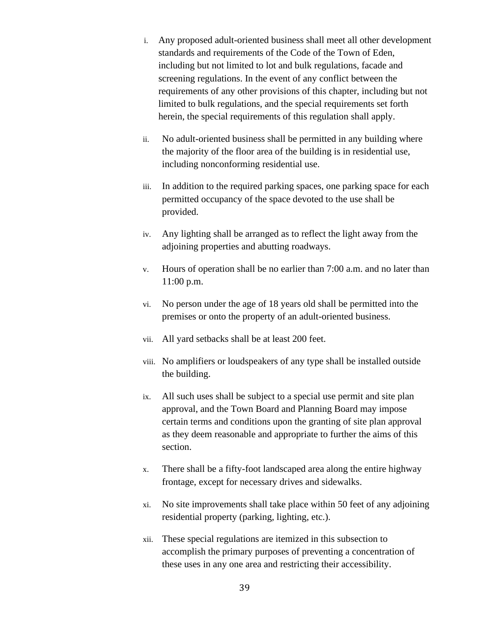- i. Any proposed adult-oriented business shall meet all other development standards and requirements of the Code of the Town of Eden, including but not limited to lot and bulk regulations, facade and screening regulations. In the event of any conflict between the requirements of any other provisions of this chapter, including but not limited to bulk regulations, and the special requirements set forth herein, the special requirements of this regulation shall apply.
- ii. No adult-oriented business shall be permitted in any building where the majority of the floor area of the building is in residential use, including nonconforming residential use.
- iii. In addition to the required parking spaces, one parking space for each permitted occupancy of the space devoted to the use shall be provided.
- iv. Any lighting shall be arranged as to reflect the light away from the adjoining properties and abutting roadways.
- v. Hours of operation shall be no earlier than 7:00 a.m. and no later than 11:00 p.m.
- vi. No person under the age of 18 years old shall be permitted into the premises or onto the property of an adult-oriented business.
- vii. All yard setbacks shall be at least 200 feet.
- viii. No amplifiers or loudspeakers of any type shall be installed outside the building.
- ix. All such uses shall be subject to a special use permit and site plan approval, and the Town Board and Planning Board may impose certain terms and conditions upon the granting of site plan approval as they deem reasonable and appropriate to further the aims of this section.
- x. There shall be a fifty-foot landscaped area along the entire highway frontage, except for necessary drives and sidewalks.
- xi. No site improvements shall take place within 50 feet of any adjoining residential property (parking, lighting, etc.).
- xii. These special regulations are itemized in this subsection to accomplish the primary purposes of preventing a concentration of these uses in any one area and restricting their accessibility.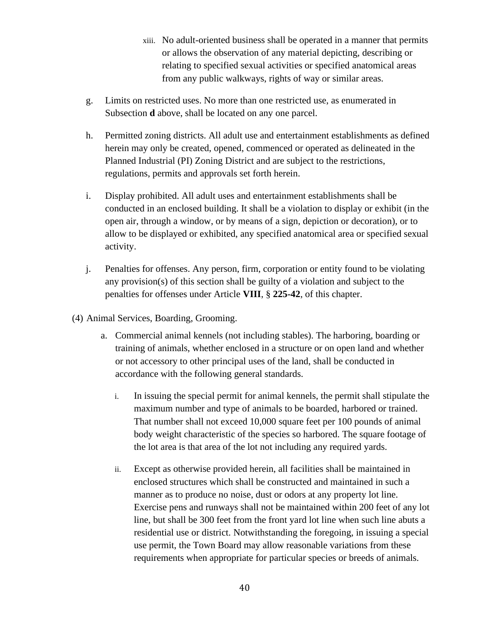- xiii. No adult-oriented business shall be operated in a manner that permits or allows the observation of any material depicting, describing or relating to specified sexual activities or specified anatomical areas from any public walkways, rights of way or similar areas.
- g. Limits on restricted uses. No more than one restricted use, as enumerated in Subsection **d** above, shall be located on any one parcel.
- h. Permitted zoning districts. All adult use and entertainment establishments as defined herein may only be created, opened, commenced or operated as delineated in the Planned Industrial (PI) Zoning District and are subject to the restrictions, regulations, permits and approvals set forth herein.
- i. Display prohibited. All adult uses and entertainment establishments shall be conducted in an enclosed building. It shall be a violation to display or exhibit (in the open air, through a window, or by means of a sign, depiction or decoration), or to allow to be displayed or exhibited, any specified anatomical area or specified sexual activity.
- j. Penalties for offenses. Any person, firm, corporation or entity found to be violating any provision(s) of this section shall be guilty of a violation and subject to the penalties for offenses under Article **VIII**, § **225-42**, of this chapter.
- (4) Animal Services, Boarding, Grooming.
	- a. Commercial animal kennels (not including stables). The harboring, boarding or training of animals, whether enclosed in a structure or on open land and whether or not accessory to other principal uses of the land, shall be conducted in accordance with the following general standards.
		- i. In issuing the special permit for animal kennels, the permit shall stipulate the maximum number and type of animals to be boarded, harbored or trained. That number shall not exceed 10,000 square feet per 100 pounds of animal body weight characteristic of the species so harbored. The square footage of the lot area is that area of the lot not including any required yards.
		- ii. Except as otherwise provided herein, all facilities shall be maintained in enclosed structures which shall be constructed and maintained in such a manner as to produce no noise, dust or odors at any property lot line. Exercise pens and runways shall not be maintained within 200 feet of any lot line, but shall be 300 feet from the front yard lot line when such line abuts a residential use or district. Notwithstanding the foregoing, in issuing a special use permit, the Town Board may allow reasonable variations from these requirements when appropriate for particular species or breeds of animals.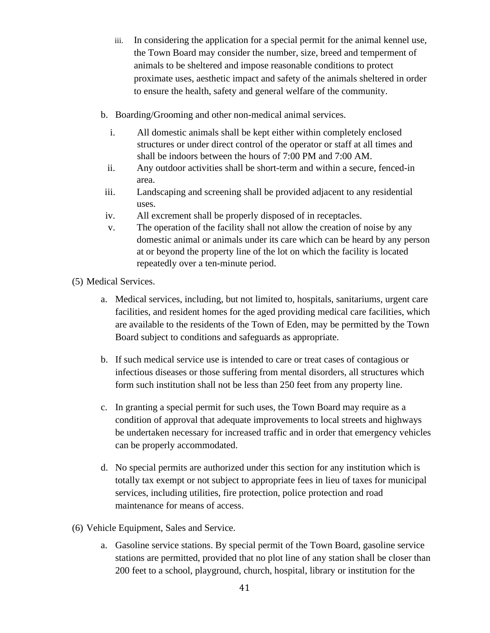- iii. In considering the application for a special permit for the animal kennel use, the Town Board may consider the number, size, breed and temperment of animals to be sheltered and impose reasonable conditions to protect proximate uses, aesthetic impact and safety of the animals sheltered in order to ensure the health, safety and general welfare of the community.
- b. Boarding/Grooming and other non-medical animal services.
	- i. All domestic animals shall be kept either within completely enclosed structures or under direct control of the operator or staff at all times and shall be indoors between the hours of 7:00 PM and 7:00 AM.
	- ii. Any outdoor activities shall be short-term and within a secure, fenced-in area.
- iii. Landscaping and screening shall be provided adjacent to any residential uses.
- iv. All excrement shall be properly disposed of in receptacles.
- v. The operation of the facility shall not allow the creation of noise by any domestic animal or animals under its care which can be heard by any person at or beyond the property line of the lot on which the facility is located repeatedly over a ten-minute period.

(5) Medical Services.

- a. Medical services, including, but not limited to, hospitals, sanitariums, urgent care facilities, and resident homes for the aged providing medical care facilities, which are available to the residents of the Town of Eden, may be permitted by the Town Board subject to conditions and safeguards as appropriate.
- b. If such medical service use is intended to care or treat cases of contagious or infectious diseases or those suffering from mental disorders, all structures which form such institution shall not be less than 250 feet from any property line.
- c. In granting a special permit for such uses, the Town Board may require as a condition of approval that adequate improvements to local streets and highways be undertaken necessary for increased traffic and in order that emergency vehicles can be properly accommodated.
- d. No special permits are authorized under this section for any institution which is totally tax exempt or not subject to appropriate fees in lieu of taxes for municipal services, including utilities, fire protection, police protection and road maintenance for means of access.
- (6) Vehicle Equipment, Sales and Service.
	- a. Gasoline service stations. By special permit of the Town Board, gasoline service stations are permitted, provided that no plot line of any station shall be closer than 200 feet to a school, playground, church, hospital, library or institution for the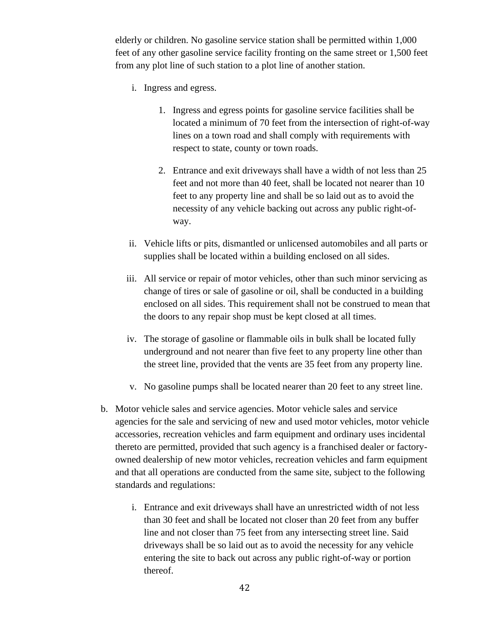elderly or children. No gasoline service station shall be permitted within 1,000 feet of any other gasoline service facility fronting on the same street or 1,500 feet from any plot line of such station to a plot line of another station.

- i. Ingress and egress.
	- 1. Ingress and egress points for gasoline service facilities shall be located a minimum of 70 feet from the intersection of right-of-way lines on a town road and shall comply with requirements with respect to state, county or town roads.
	- 2. Entrance and exit driveways shall have a width of not less than 25 feet and not more than 40 feet, shall be located not nearer than 10 feet to any property line and shall be so laid out as to avoid the necessity of any vehicle backing out across any public right-ofway.
- ii. Vehicle lifts or pits, dismantled or unlicensed automobiles and all parts or supplies shall be located within a building enclosed on all sides.
- iii. All service or repair of motor vehicles, other than such minor servicing as change of tires or sale of gasoline or oil, shall be conducted in a building enclosed on all sides. This requirement shall not be construed to mean that the doors to any repair shop must be kept closed at all times.
- iv. The storage of gasoline or flammable oils in bulk shall be located fully underground and not nearer than five feet to any property line other than the street line, provided that the vents are 35 feet from any property line.
- v. No gasoline pumps shall be located nearer than 20 feet to any street line.
- b. Motor vehicle sales and service agencies. Motor vehicle sales and service agencies for the sale and servicing of new and used motor vehicles, motor vehicle accessories, recreation vehicles and farm equipment and ordinary uses incidental thereto are permitted, provided that such agency is a franchised dealer or factoryowned dealership of new motor vehicles, recreation vehicles and farm equipment and that all operations are conducted from the same site, subject to the following standards and regulations:
	- i. Entrance and exit driveways shall have an unrestricted width of not less than 30 feet and shall be located not closer than 20 feet from any buffer line and not closer than 75 feet from any intersecting street line. Said driveways shall be so laid out as to avoid the necessity for any vehicle entering the site to back out across any public right-of-way or portion thereof.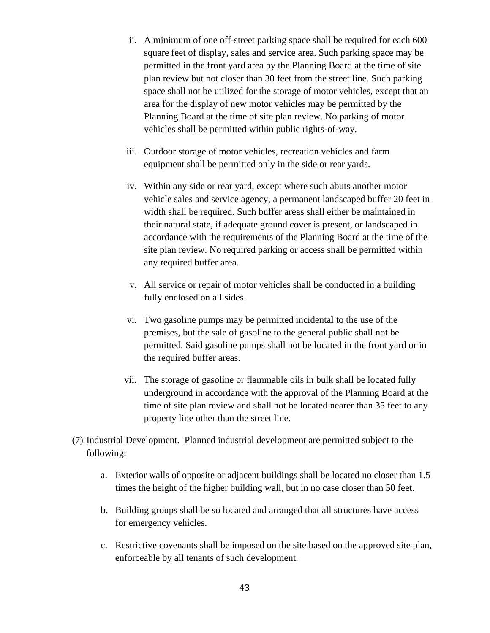- ii. A minimum of one off-street parking space shall be required for each 600 square feet of display, sales and service area. Such parking space may be permitted in the front yard area by the Planning Board at the time of site plan review but not closer than 30 feet from the street line. Such parking space shall not be utilized for the storage of motor vehicles, except that an area for the display of new motor vehicles may be permitted by the Planning Board at the time of site plan review. No parking of motor vehicles shall be permitted within public rights-of-way.
- iii. Outdoor storage of motor vehicles, recreation vehicles and farm equipment shall be permitted only in the side or rear yards.
- iv. Within any side or rear yard, except where such abuts another motor vehicle sales and service agency, a permanent landscaped buffer 20 feet in width shall be required. Such buffer areas shall either be maintained in their natural state, if adequate ground cover is present, or landscaped in accordance with the requirements of the Planning Board at the time of the site plan review. No required parking or access shall be permitted within any required buffer area.
- v. All service or repair of motor vehicles shall be conducted in a building fully enclosed on all sides.
- vi. Two gasoline pumps may be permitted incidental to the use of the premises, but the sale of gasoline to the general public shall not be permitted. Said gasoline pumps shall not be located in the front yard or in the required buffer areas.
- vii. The storage of gasoline or flammable oils in bulk shall be located fully underground in accordance with the approval of the Planning Board at the time of site plan review and shall not be located nearer than 35 feet to any property line other than the street line.
- (7) Industrial Development. Planned industrial development are permitted subject to the following:
	- a. Exterior walls of opposite or adjacent buildings shall be located no closer than 1.5 times the height of the higher building wall, but in no case closer than 50 feet.
	- b. Building groups shall be so located and arranged that all structures have access for emergency vehicles.
	- c. Restrictive covenants shall be imposed on the site based on the approved site plan, enforceable by all tenants of such development.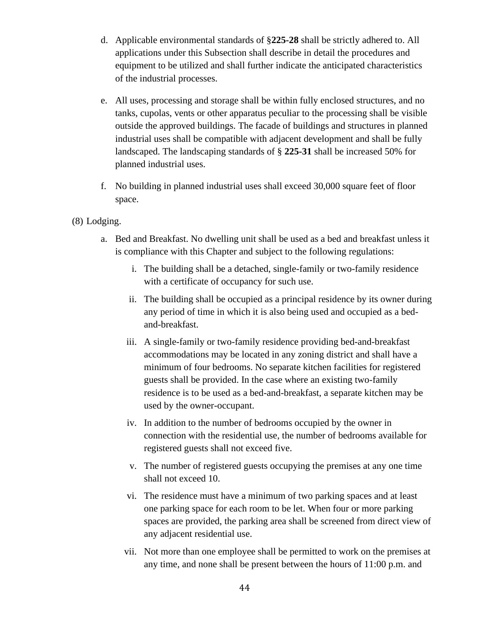- d. Applicable environmental standards of §**225-28** shall be strictly adhered to. All applications under this Subsection shall describe in detail the procedures and equipment to be utilized and shall further indicate the anticipated characteristics of the industrial processes.
- e. All uses, processing and storage shall be within fully enclosed structures, and no tanks, cupolas, vents or other apparatus peculiar to the processing shall be visible outside the approved buildings. The facade of buildings and structures in planned industrial uses shall be compatible with adjacent development and shall be fully landscaped. The landscaping standards of § **225-31** shall be increased 50% for planned industrial uses.
- f. No building in planned industrial uses shall exceed 30,000 square feet of floor space.

#### (8) Lodging.

- a. Bed and Breakfast. No dwelling unit shall be used as a bed and breakfast unless it is compliance with this Chapter and subject to the following regulations:
	- i. The building shall be a detached, single-family or two-family residence with a certificate of occupancy for such use.
	- ii. The building shall be occupied as a principal residence by its owner during any period of time in which it is also being used and occupied as a bedand-breakfast.
	- iii. A single-family or two-family residence providing bed-and-breakfast accommodations may be located in any zoning district and shall have a minimum of four bedrooms. No separate kitchen facilities for registered guests shall be provided. In the case where an existing two-family residence is to be used as a bed-and-breakfast, a separate kitchen may be used by the owner-occupant.
	- iv. In addition to the number of bedrooms occupied by the owner in connection with the residential use, the number of bedrooms available for registered guests shall not exceed five.
	- v. The number of registered guests occupying the premises at any one time shall not exceed 10.
	- vi. The residence must have a minimum of two parking spaces and at least one parking space for each room to be let. When four or more parking spaces are provided, the parking area shall be screened from direct view of any adjacent residential use.
	- vii. Not more than one employee shall be permitted to work on the premises at any time, and none shall be present between the hours of 11:00 p.m. and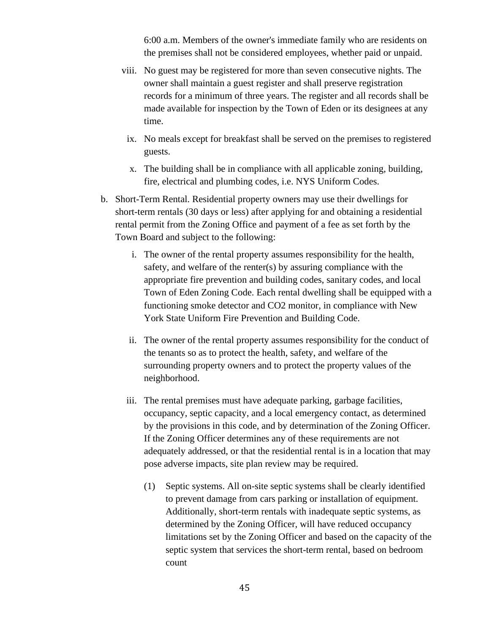6:00 a.m. Members of the owner's immediate family who are residents on the premises shall not be considered employees, whether paid or unpaid.

- viii. No guest may be registered for more than seven consecutive nights. The owner shall maintain a guest register and shall preserve registration records for a minimum of three years. The register and all records shall be made available for inspection by the Town of Eden or its designees at any time.
	- ix. No meals except for breakfast shall be served on the premises to registered guests.
	- x. The building shall be in compliance with all applicable zoning, building, fire, electrical and plumbing codes, i.e. NYS Uniform Codes.
- b. Short-Term Rental. Residential property owners may use their dwellings for short-term rentals (30 days or less) after applying for and obtaining a residential rental permit from the Zoning Office and payment of a fee as set forth by the Town Board and subject to the following:
	- i. The owner of the rental property assumes responsibility for the health, safety, and welfare of the renter(s) by assuring compliance with the appropriate fire prevention and building codes, sanitary codes, and local Town of Eden Zoning Code. Each rental dwelling shall be equipped with a functioning smoke detector and CO2 monitor, in compliance with New York State Uniform Fire Prevention and Building Code.
	- ii. The owner of the rental property assumes responsibility for the conduct of the tenants so as to protect the health, safety, and welfare of the surrounding property owners and to protect the property values of the neighborhood.
	- iii. The rental premises must have adequate parking, garbage facilities, occupancy, septic capacity, and a local emergency contact, as determined by the provisions in this code, and by determination of the Zoning Officer. If the Zoning Officer determines any of these requirements are not adequately addressed, or that the residential rental is in a location that may pose adverse impacts, site plan review may be required.
		- (1) Septic systems. All on-site septic systems shall be clearly identified to prevent damage from cars parking or installation of equipment. Additionally, short-term rentals with inadequate septic systems, as determined by the Zoning Officer, will have reduced occupancy limitations set by the Zoning Officer and based on the capacity of the septic system that services the short-term rental, based on bedroom count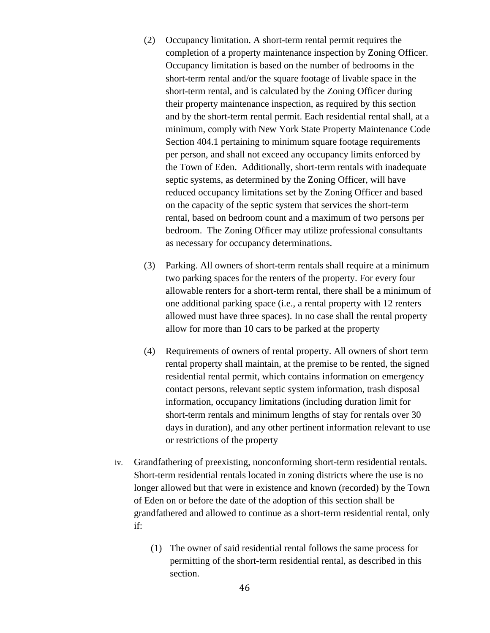- (2) Occupancy limitation. A short-term rental permit requires the completion of a property maintenance inspection by Zoning Officer. Occupancy limitation is based on the number of bedrooms in the short-term rental and/or the square footage of livable space in the short-term rental, and is calculated by the Zoning Officer during their property maintenance inspection, as required by this section and by the short-term rental permit. Each residential rental shall, at a minimum, comply with New York State Property Maintenance Code Section 404.1 pertaining to minimum square footage requirements per person, and shall not exceed any occupancy limits enforced by the Town of Eden. Additionally, short-term rentals with inadequate septic systems, as determined by the Zoning Officer, will have reduced occupancy limitations set by the Zoning Officer and based on the capacity of the septic system that services the short-term rental, based on bedroom count and a maximum of two persons per bedroom. The Zoning Officer may utilize professional consultants as necessary for occupancy determinations.
- (3) Parking. All owners of short-term rentals shall require at a minimum two parking spaces for the renters of the property. For every four allowable renters for a short-term rental, there shall be a minimum of one additional parking space (i.e., a rental property with 12 renters allowed must have three spaces). In no case shall the rental property allow for more than 10 cars to be parked at the property
- (4) Requirements of owners of rental property. All owners of short term rental property shall maintain, at the premise to be rented, the signed residential rental permit, which contains information on emergency contact persons, relevant septic system information, trash disposal information, occupancy limitations (including duration limit for short-term rentals and minimum lengths of stay for rentals over 30 days in duration), and any other pertinent information relevant to use or restrictions of the property
- iv. Grandfathering of preexisting, nonconforming short-term residential rentals. Short-term residential rentals located in zoning districts where the use is no longer allowed but that were in existence and known (recorded) by the Town of Eden on or before the date of the adoption of this section shall be grandfathered and allowed to continue as a short-term residential rental, only if:
	- (1) The owner of said residential rental follows the same process for permitting of the short-term residential rental, as described in this section.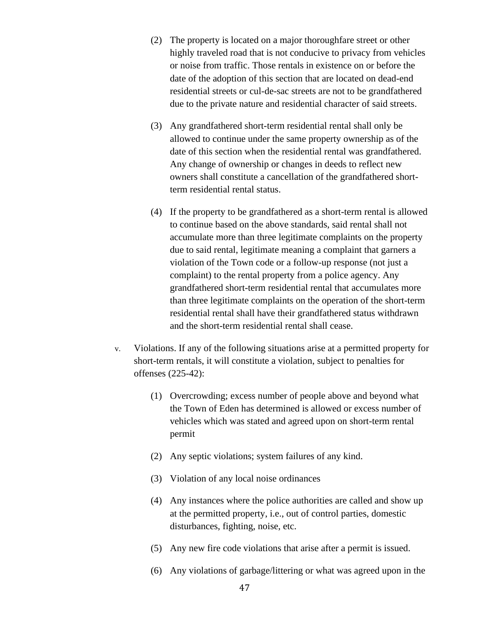- (2) The property is located on a major thoroughfare street or other highly traveled road that is not conducive to privacy from vehicles or noise from traffic. Those rentals in existence on or before the date of the adoption of this section that are located on dead-end residential streets or cul-de-sac streets are not to be grandfathered due to the private nature and residential character of said streets.
- (3) Any grandfathered short-term residential rental shall only be allowed to continue under the same property ownership as of the date of this section when the residential rental was grandfathered. Any change of ownership or changes in deeds to reflect new owners shall constitute a cancellation of the grandfathered shortterm residential rental status.
- (4) If the property to be grandfathered as a short-term rental is allowed to continue based on the above standards, said rental shall not accumulate more than three legitimate complaints on the property due to said rental, legitimate meaning a complaint that garners a violation of the Town code or a follow-up response (not just a complaint) to the rental property from a police agency. Any grandfathered short-term residential rental that accumulates more than three legitimate complaints on the operation of the short-term residential rental shall have their grandfathered status withdrawn and the short-term residential rental shall cease.
- v. Violations. If any of the following situations arise at a permitted property for short-term rentals, it will constitute a violation, subject to penalties for offenses (225-42):
	- (1) Overcrowding; excess number of people above and beyond what the Town of Eden has determined is allowed or excess number of vehicles which was stated and agreed upon on short-term rental permit
	- (2) Any septic violations; system failures of any kind.
	- (3) Violation of any local noise ordinances
	- (4) Any instances where the police authorities are called and show up at the permitted property, i.e., out of control parties, domestic disturbances, fighting, noise, etc.
	- (5) Any new fire code violations that arise after a permit is issued.
	- (6) Any violations of garbage/littering or what was agreed upon in the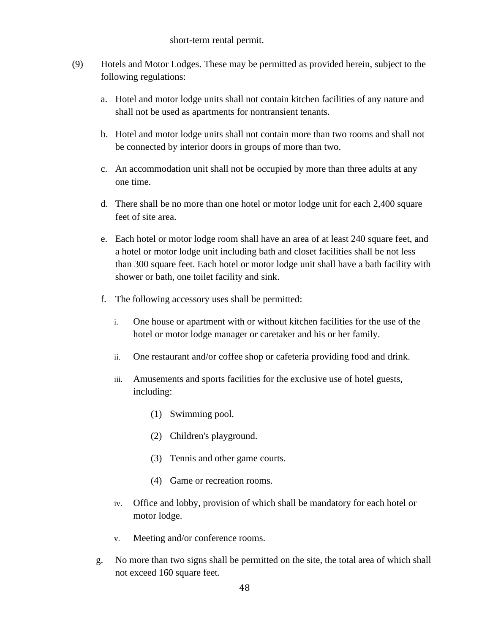#### short-term rental permit.

- (9) Hotels and Motor Lodges. These may be permitted as provided herein, subject to the following regulations:
	- a. Hotel and motor lodge units shall not contain kitchen facilities of any nature and shall not be used as apartments for nontransient tenants.
	- b. Hotel and motor lodge units shall not contain more than two rooms and shall not be connected by interior doors in groups of more than two.
	- c. An accommodation unit shall not be occupied by more than three adults at any one time.
	- d. There shall be no more than one hotel or motor lodge unit for each 2,400 square feet of site area.
	- e. Each hotel or motor lodge room shall have an area of at least 240 square feet, and a hotel or motor lodge unit including bath and closet facilities shall be not less than 300 square feet. Each hotel or motor lodge unit shall have a bath facility with shower or bath, one toilet facility and sink.
	- f. The following accessory uses shall be permitted:
		- i. One house or apartment with or without kitchen facilities for the use of the hotel or motor lodge manager or caretaker and his or her family.
		- ii. One restaurant and/or coffee shop or cafeteria providing food and drink.
		- iii. Amusements and sports facilities for the exclusive use of hotel guests, including:
			- (1) Swimming pool.
			- (2) Children's playground.
			- (3) Tennis and other game courts.
			- (4) Game or recreation rooms.
		- iv. Office and lobby, provision of which shall be mandatory for each hotel or motor lodge.
		- v. Meeting and/or conference rooms.
	- g. No more than two signs shall be permitted on the site, the total area of which shall not exceed 160 square feet.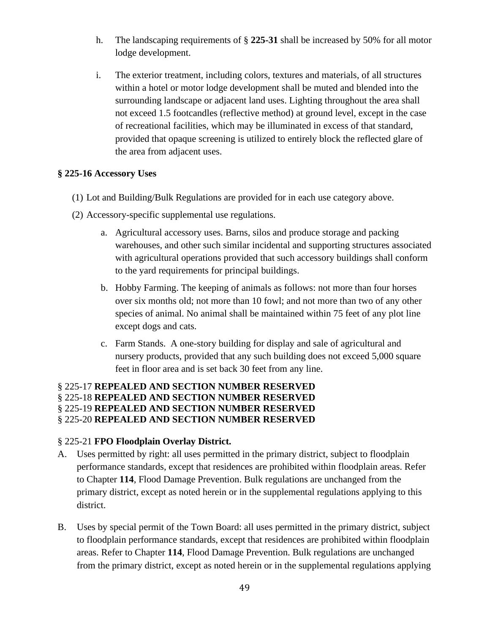- h. The landscaping requirements of § **225-31** shall be increased by 50% for all motor lodge development.
- i. The exterior treatment, including colors, textures and materials, of all structures within a hotel or motor lodge development shall be muted and blended into the surrounding landscape or adjacent land uses. Lighting throughout the area shall not exceed 1.5 footcandles (reflective method) at ground level, except in the case of recreational facilities, which may be illuminated in excess of that standard, provided that opaque screening is utilized to entirely block the reflected glare of the area from adjacent uses.

#### **§ 225-16 Accessory Uses**

- (1) Lot and Building/Bulk Regulations are provided for in each use category above.
- (2) Accessory-specific supplemental use regulations.
	- a. Agricultural accessory uses. Barns, silos and produce storage and packing warehouses, and other such similar incidental and supporting structures associated with agricultural operations provided that such accessory buildings shall conform to the yard requirements for principal buildings.
	- b. Hobby Farming. The keeping of animals as follows: not more than four horses over six months old; not more than 10 fowl; and not more than two of any other species of animal. No animal shall be maintained within 75 feet of any plot line except dogs and cats.
	- c. Farm Stands. A one-story building for display and sale of agricultural and nursery products, provided that any such building does not exceed 5,000 square feet in floor area and is set back 30 feet from any line.

#### § 225-17 **REPEALED AND SECTION NUMBER RESERVED** § 225-18 **REPEALED AND SECTION NUMBER RESERVED** § 225-19 **REPEALED AND SECTION NUMBER RESERVED** § 225-20 **REPEALED AND SECTION NUMBER RESERVED**

#### § 225-21 **FPO Floodplain Overlay District.**

- A. Uses permitted by right: all uses permitted in the primary district, subject to floodplain performance standards, except that residences are prohibited within floodplain areas. Refer to Chapter **114**, Flood Damage Prevention. Bulk regulations are unchanged from the primary district, except as noted herein or in the supplemental regulations applying to this district.
- B. Uses by special permit of the Town Board: all uses permitted in the primary district, subject to floodplain performance standards, except that residences are prohibited within floodplain areas. Refer to Chapter **114**, Flood Damage Prevention. Bulk regulations are unchanged from the primary district, except as noted herein or in the supplemental regulations applying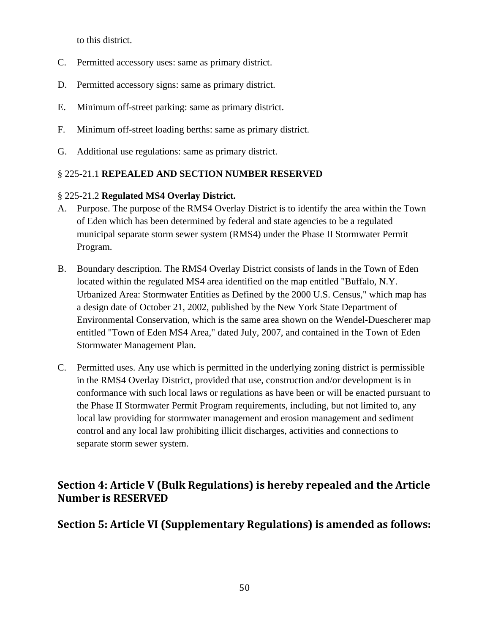to this district.

- C. Permitted accessory uses: same as primary district.
- D. Permitted accessory signs: same as primary district.
- E. Minimum off-street parking: same as primary district.
- F. Minimum off-street loading berths: same as primary district.
- G. Additional use regulations: same as primary district.

# § 225-21.1 **REPEALED AND SECTION NUMBER RESERVED**

# § 225-21.2 **Regulated MS4 Overlay District.**

- A. Purpose. The purpose of the RMS4 Overlay District is to identify the area within the Town of Eden which has been determined by federal and state agencies to be a regulated municipal separate storm sewer system (RMS4) under the Phase II Stormwater Permit Program.
- B. Boundary description. The RMS4 Overlay District consists of lands in the Town of Eden located within the regulated MS4 area identified on the map entitled "Buffalo, N.Y. Urbanized Area: Stormwater Entities as Defined by the 2000 U.S. Census," which map has a design date of October 21, 2002, published by the New York State Department of Environmental Conservation, which is the same area shown on the Wendel-Duescherer map entitled "Town of Eden MS4 Area," dated July, 2007, and contained in the Town of Eden Stormwater Management Plan.
- C. Permitted uses. Any use which is permitted in the underlying zoning district is permissible in the RMS4 Overlay District, provided that use, construction and/or development is in conformance with such local laws or regulations as have been or will be enacted pursuant to the Phase II Stormwater Permit Program requirements, including, but not limited to, any local law providing for stormwater management and erosion management and sediment control and any local law prohibiting illicit discharges, activities and connections to separate storm sewer system.

# **Section 4: Article V (Bulk Regulations) is hereby repealed and the Article Number is RESERVED**

# **Section 5: Article VI (Supplementary Regulations) is amended as follows:**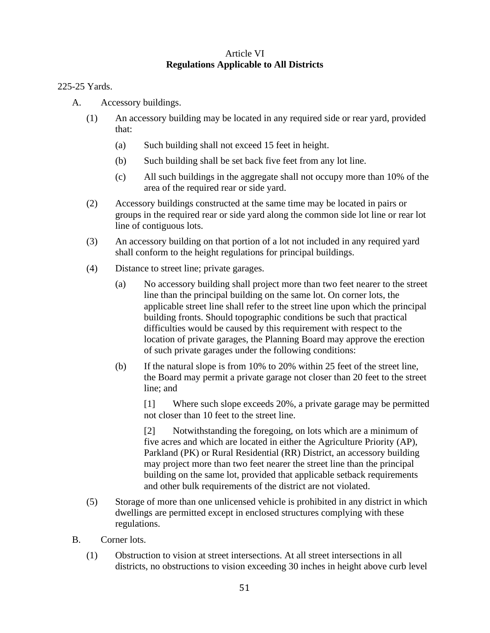## Article VI **Regulations Applicable to All Districts**

#### 225-25 Yards.

- A. Accessory buildings.
	- (1) An accessory building may be located in any required side or rear yard, provided that:
		- (a) Such building shall not exceed 15 feet in height.
		- (b) Such building shall be set back five feet from any lot line.
		- (c) All such buildings in the aggregate shall not occupy more than 10% of the area of the required rear or side yard.
	- (2) Accessory buildings constructed at the same time may be located in pairs or groups in the required rear or side yard along the common side lot line or rear lot line of contiguous lots.
	- (3) An accessory building on that portion of a lot not included in any required yard shall conform to the height regulations for principal buildings.
	- (4) Distance to street line; private garages.
		- (a) No accessory building shall project more than two feet nearer to the street line than the principal building on the same lot. On corner lots, the applicable street line shall refer to the street line upon which the principal building fronts. Should topographic conditions be such that practical difficulties would be caused by this requirement with respect to the location of private garages, the Planning Board may approve the erection of such private garages under the following conditions:
		- (b) If the natural slope is from 10% to 20% within 25 feet of the street line, the Board may permit a private garage not closer than 20 feet to the street line; and

[1] Where such slope exceeds 20%, a private garage may be permitted not closer than 10 feet to the street line.

[2] Notwithstanding the foregoing, on lots which are a minimum of five acres and which are located in either the Agriculture Priority (AP), Parkland (PK) or Rural Residential (RR) District, an accessory building may project more than two feet nearer the street line than the principal building on the same lot, provided that applicable setback requirements and other bulk requirements of the district are not violated.

- (5) Storage of more than one unlicensed vehicle is prohibited in any district in which dwellings are permitted except in enclosed structures complying with these regulations.
- B. Corner lots.
	- (1) Obstruction to vision at street intersections. At all street intersections in all districts, no obstructions to vision exceeding 30 inches in height above curb level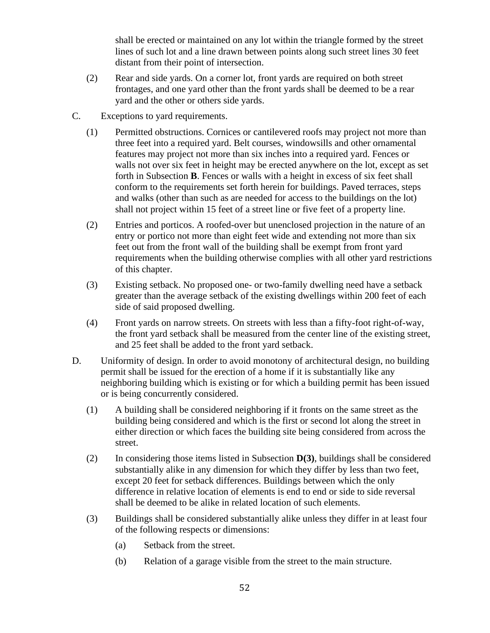shall be erected or maintained on any lot within the triangle formed by the street lines of such lot and a line drawn between points along such street lines 30 feet distant from their point of intersection.

- (2) Rear and side yards. On a corner lot, front yards are required on both street frontages, and one yard other than the front yards shall be deemed to be a rear yard and the other or others side yards.
- C. Exceptions to yard requirements.
	- (1) Permitted obstructions. Cornices or cantilevered roofs may project not more than three feet into a required yard. Belt courses, windowsills and other ornamental features may project not more than six inches into a required yard. Fences or walls not over six feet in height may be erected anywhere on the lot, except as set forth in Subsection **B**. Fences or walls with a height in excess of six feet shall conform to the requirements set forth herein for buildings. Paved terraces, steps and walks (other than such as are needed for access to the buildings on the lot) shall not project within 15 feet of a street line or five feet of a property line.
	- (2) Entries and porticos. A roofed-over but unenclosed projection in the nature of an entry or portico not more than eight feet wide and extending not more than six feet out from the front wall of the building shall be exempt from front yard requirements when the building otherwise complies with all other yard restrictions of this chapter.
	- (3) Existing setback. No proposed one- or two-family dwelling need have a setback greater than the average setback of the existing dwellings within 200 feet of each side of said proposed dwelling.
	- (4) Front yards on narrow streets. On streets with less than a fifty-foot right-of-way, the front yard setback shall be measured from the center line of the existing street, and 25 feet shall be added to the front yard setback.
- D. Uniformity of design. In order to avoid monotony of architectural design, no building permit shall be issued for the erection of a home if it is substantially like any neighboring building which is existing or for which a building permit has been issued or is being concurrently considered.
	- (1) A building shall be considered neighboring if it fronts on the same street as the building being considered and which is the first or second lot along the street in either direction or which faces the building site being considered from across the street.
	- (2) In considering those items listed in Subsection **D(3)**, buildings shall be considered substantially alike in any dimension for which they differ by less than two feet, except 20 feet for setback differences. Buildings between which the only difference in relative location of elements is end to end or side to side reversal shall be deemed to be alike in related location of such elements.
	- (3) Buildings shall be considered substantially alike unless they differ in at least four of the following respects or dimensions:
		- (a) Setback from the street.
		- (b) Relation of a garage visible from the street to the main structure.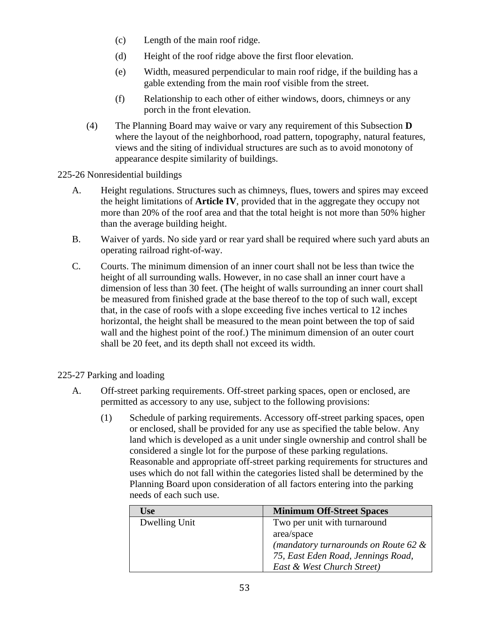- (c) Length of the main roof ridge.
- (d) Height of the roof ridge above the first floor elevation.
- (e) Width, measured perpendicular to main roof ridge, if the building has a gable extending from the main roof visible from the street.
- (f) Relationship to each other of either windows, doors, chimneys or any porch in the front elevation.
- (4) The Planning Board may waive or vary any requirement of this Subsection **D** where the layout of the neighborhood, road pattern, topography, natural features, views and the siting of individual structures are such as to avoid monotony of appearance despite similarity of buildings.

### 225-26 Nonresidential buildings

- A. Height regulations. Structures such as chimneys, flues, towers and spires may exceed the height limitations of **Article IV**, provided that in the aggregate they occupy not more than 20% of the roof area and that the total height is not more than 50% higher than the average building height.
- B. Waiver of yards. No side yard or rear yard shall be required where such yard abuts an operating railroad right-of-way.
- C. Courts. The minimum dimension of an inner court shall not be less than twice the height of all surrounding walls. However, in no case shall an inner court have a dimension of less than 30 feet. (The height of walls surrounding an inner court shall be measured from finished grade at the base thereof to the top of such wall, except that, in the case of roofs with a slope exceeding five inches vertical to 12 inches horizontal, the height shall be measured to the mean point between the top of said wall and the highest point of the roof.) The minimum dimension of an outer court shall be 20 feet, and its depth shall not exceed its width.

## 225-27 Parking and loading

- A. Off-street parking requirements. Off-street parking spaces, open or enclosed, are permitted as accessory to any use, subject to the following provisions:
	- (1) Schedule of parking requirements. Accessory off-street parking spaces, open or enclosed, shall be provided for any use as specified the table below. Any land which is developed as a unit under single ownership and control shall be considered a single lot for the purpose of these parking regulations. Reasonable and appropriate off-street parking requirements for structures and uses which do not fall within the categories listed shall be determined by the Planning Board upon consideration of all factors entering into the parking needs of each such use.

| Use           | <b>Minimum Off-Street Spaces</b>        |
|---------------|-----------------------------------------|
| Dwelling Unit | Two per unit with turnaround            |
|               | area/space                              |
|               | (mandatory turnarounds on Route 62 $\&$ |
|               | 75, East Eden Road, Jennings Road,      |
|               | East & West Church Street)              |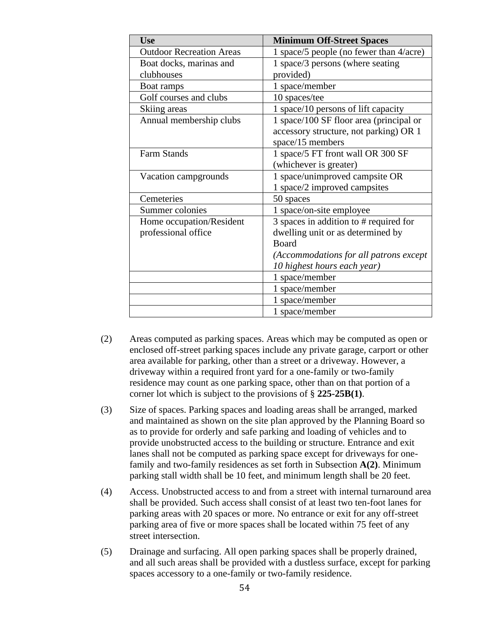| <b>Use</b>                      | <b>Minimum Off-Street Spaces</b>        |
|---------------------------------|-----------------------------------------|
| <b>Outdoor Recreation Areas</b> | 1 space/5 people (no fewer than 4/acre) |
| Boat docks, marinas and         | 1 space/3 persons (where seating        |
| clubhouses                      | provided)                               |
| Boat ramps                      | 1 space/member                          |
| Golf courses and clubs          | 10 spaces/tee                           |
| Skiing areas                    | 1 space/10 persons of lift capacity     |
| Annual membership clubs         | 1 space/100 SF floor area (principal or |
|                                 | accessory structure, not parking) OR 1  |
|                                 | space/15 members                        |
| <b>Farm Stands</b>              | 1 space/5 FT front wall OR 300 SF       |
|                                 | (whichever is greater)                  |
| Vacation campgrounds            | 1 space/unimproved campsite OR          |
|                                 | 1 space/2 improved campsites            |
| Cemeteries                      | 50 spaces                               |
| Summer colonies                 | 1 space/on-site employee                |
| Home occupation/Resident        | 3 spaces in addition to # required for  |
| professional office             | dwelling unit or as determined by       |
|                                 | <b>Board</b>                            |
|                                 | (Accommodations for all patrons except  |
|                                 | 10 highest hours each year)             |
|                                 | 1 space/member                          |
|                                 | 1 space/member                          |
|                                 | 1 space/member                          |
|                                 | 1 space/member                          |

- (2) Areas computed as parking spaces. Areas which may be computed as open or enclosed off-street parking spaces include any private garage, carport or other area available for parking, other than a street or a driveway. However, a driveway within a required front yard for a one-family or two-family residence may count as one parking space, other than on that portion of a corner lot which is subject to the provisions of § **225-25B(1)**.
- (3) Size of spaces. Parking spaces and loading areas shall be arranged, marked and maintained as shown on the site plan approved by the Planning Board so as to provide for orderly and safe parking and loading of vehicles and to provide unobstructed access to the building or structure. Entrance and exit lanes shall not be computed as parking space except for driveways for onefamily and two-family residences as set forth in Subsection **A(2)**. Minimum parking stall width shall be 10 feet, and minimum length shall be 20 feet.
- (4) Access. Unobstructed access to and from a street with internal turnaround area shall be provided. Such access shall consist of at least two ten-foot lanes for parking areas with 20 spaces or more. No entrance or exit for any off-street parking area of five or more spaces shall be located within 75 feet of any street intersection.
- (5) Drainage and surfacing. All open parking spaces shall be properly drained, and all such areas shall be provided with a dustless surface, except for parking spaces accessory to a one-family or two-family residence.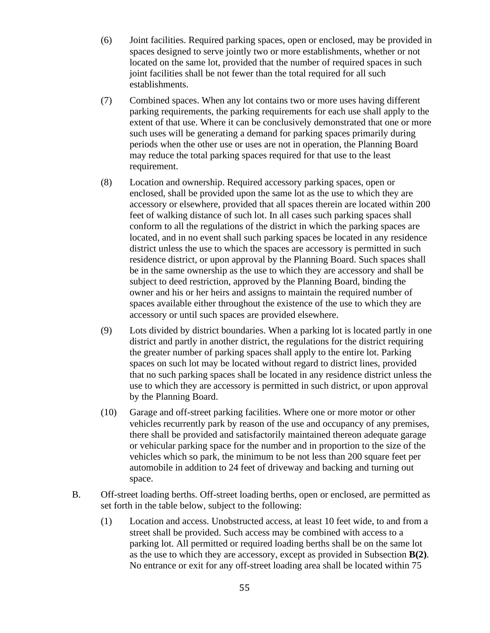- (6) Joint facilities. Required parking spaces, open or enclosed, may be provided in spaces designed to serve jointly two or more establishments, whether or not located on the same lot, provided that the number of required spaces in such joint facilities shall be not fewer than the total required for all such establishments.
- (7) Combined spaces. When any lot contains two or more uses having different parking requirements, the parking requirements for each use shall apply to the extent of that use. Where it can be conclusively demonstrated that one or more such uses will be generating a demand for parking spaces primarily during periods when the other use or uses are not in operation, the Planning Board may reduce the total parking spaces required for that use to the least requirement.
- (8) Location and ownership. Required accessory parking spaces, open or enclosed, shall be provided upon the same lot as the use to which they are accessory or elsewhere, provided that all spaces therein are located within 200 feet of walking distance of such lot. In all cases such parking spaces shall conform to all the regulations of the district in which the parking spaces are located, and in no event shall such parking spaces be located in any residence district unless the use to which the spaces are accessory is permitted in such residence district, or upon approval by the Planning Board. Such spaces shall be in the same ownership as the use to which they are accessory and shall be subject to deed restriction, approved by the Planning Board, binding the owner and his or her heirs and assigns to maintain the required number of spaces available either throughout the existence of the use to which they are accessory or until such spaces are provided elsewhere.
- (9) Lots divided by district boundaries. When a parking lot is located partly in one district and partly in another district, the regulations for the district requiring the greater number of parking spaces shall apply to the entire lot. Parking spaces on such lot may be located without regard to district lines, provided that no such parking spaces shall be located in any residence district unless the use to which they are accessory is permitted in such district, or upon approval by the Planning Board.
- (10) Garage and off-street parking facilities. Where one or more motor or other vehicles recurrently park by reason of the use and occupancy of any premises, there shall be provided and satisfactorily maintained thereon adequate garage or vehicular parking space for the number and in proportion to the size of the vehicles which so park, the minimum to be not less than 200 square feet per automobile in addition to 24 feet of driveway and backing and turning out space.
- B. Off-street loading berths. Off-street loading berths, open or enclosed, are permitted as set forth in the table below, subject to the following:
	- (1) Location and access. Unobstructed access, at least 10 feet wide, to and from a street shall be provided. Such access may be combined with access to a parking lot. All permitted or required loading berths shall be on the same lot as the use to which they are accessory, except as provided in Subsection **B(2)**. No entrance or exit for any off-street loading area shall be located within 75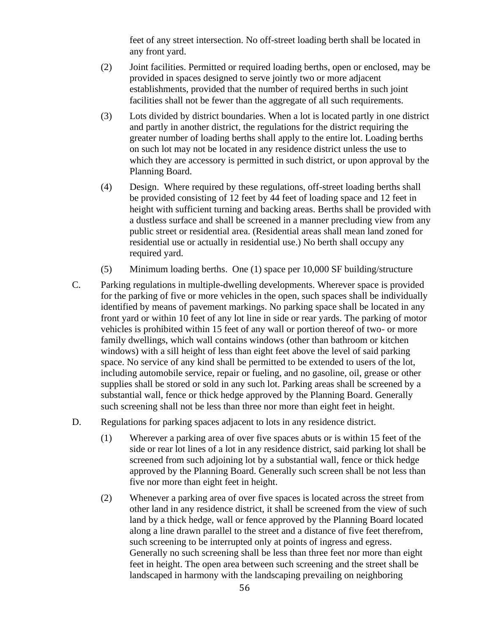feet of any street intersection. No off-street loading berth shall be located in any front yard.

- (2) Joint facilities. Permitted or required loading berths, open or enclosed, may be provided in spaces designed to serve jointly two or more adjacent establishments, provided that the number of required berths in such joint facilities shall not be fewer than the aggregate of all such requirements.
- (3) Lots divided by district boundaries. When a lot is located partly in one district and partly in another district, the regulations for the district requiring the greater number of loading berths shall apply to the entire lot. Loading berths on such lot may not be located in any residence district unless the use to which they are accessory is permitted in such district, or upon approval by the Planning Board.
- (4) Design. Where required by these regulations, off-street loading berths shall be provided consisting of 12 feet by 44 feet of loading space and 12 feet in height with sufficient turning and backing areas. Berths shall be provided with a dustless surface and shall be screened in a manner precluding view from any public street or residential area. (Residential areas shall mean land zoned for residential use or actually in residential use.) No berth shall occupy any required yard.
- (5) Minimum loading berths. One (1) space per 10,000 SF building/structure
- C. Parking regulations in multiple-dwelling developments. Wherever space is provided for the parking of five or more vehicles in the open, such spaces shall be individually identified by means of pavement markings. No parking space shall be located in any front yard or within 10 feet of any lot line in side or rear yards. The parking of motor vehicles is prohibited within 15 feet of any wall or portion thereof of two- or more family dwellings, which wall contains windows (other than bathroom or kitchen windows) with a sill height of less than eight feet above the level of said parking space. No service of any kind shall be permitted to be extended to users of the lot, including automobile service, repair or fueling, and no gasoline, oil, grease or other supplies shall be stored or sold in any such lot. Parking areas shall be screened by a substantial wall, fence or thick hedge approved by the Planning Board. Generally such screening shall not be less than three nor more than eight feet in height.
- D. Regulations for parking spaces adjacent to lots in any residence district.
	- (1) Wherever a parking area of over five spaces abuts or is within 15 feet of the side or rear lot lines of a lot in any residence district, said parking lot shall be screened from such adjoining lot by a substantial wall, fence or thick hedge approved by the Planning Board. Generally such screen shall be not less than five nor more than eight feet in height.
	- (2) Whenever a parking area of over five spaces is located across the street from other land in any residence district, it shall be screened from the view of such land by a thick hedge, wall or fence approved by the Planning Board located along a line drawn parallel to the street and a distance of five feet therefrom, such screening to be interrupted only at points of ingress and egress. Generally no such screening shall be less than three feet nor more than eight feet in height. The open area between such screening and the street shall be landscaped in harmony with the landscaping prevailing on neighboring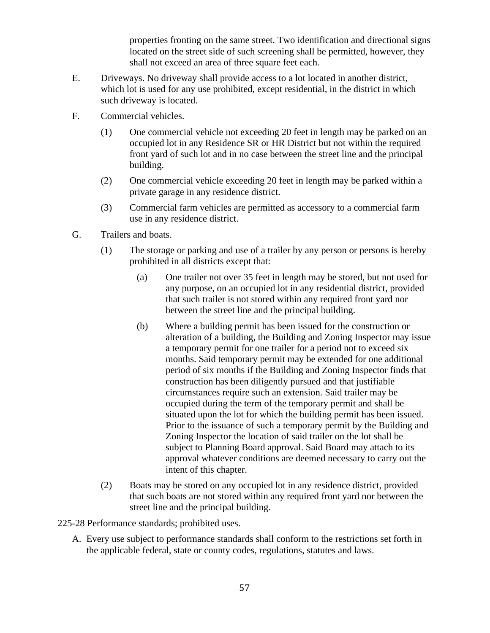properties fronting on the same street. Two identification and directional signs located on the street side of such screening shall be permitted, however, they shall not exceed an area of three square feet each.

- E. Driveways. No driveway shall provide access to a lot located in another district, which lot is used for any use prohibited, except residential, in the district in which such driveway is located.
- F. Commercial vehicles.
	- (1) One commercial vehicle not exceeding 20 feet in length may be parked on an occupied lot in any Residence SR or HR District but not within the required front yard of such lot and in no case between the street line and the principal building.
	- (2) One commercial vehicle exceeding 20 feet in length may be parked within a private garage in any residence district.
	- (3) Commercial farm vehicles are permitted as accessory to a commercial farm use in any residence district.
- G. Trailers and boats.
	- (1) The storage or parking and use of a trailer by any person or persons is hereby prohibited in all districts except that:
		- (a) One trailer not over 35 feet in length may be stored, but not used for any purpose, on an occupied lot in any residential district, provided that such trailer is not stored within any required front yard nor between the street line and the principal building.
		- (b) Where a building permit has been issued for the construction or alteration of a building, the Building and Zoning Inspector may issue a temporary permit for one trailer for a period not to exceed six months. Said temporary permit may be extended for one additional period of six months if the Building and Zoning Inspector finds that construction has been diligently pursued and that justifiable circumstances require such an extension. Said trailer may be occupied during the term of the temporary permit and shall be situated upon the lot for which the building permit has been issued. Prior to the issuance of such a temporary permit by the Building and Zoning Inspector the location of said trailer on the lot shall be subject to Planning Board approval. Said Board may attach to its approval whatever conditions are deemed necessary to carry out the intent of this chapter.
	- (2) Boats may be stored on any occupied lot in any residence district, provided that such boats are not stored within any required front yard nor between the street line and the principal building.
- 225-28 Performance standards; prohibited uses.
	- A. Every use subject to performance standards shall conform to the restrictions set forth in the applicable federal, state or county codes, regulations, statutes and laws.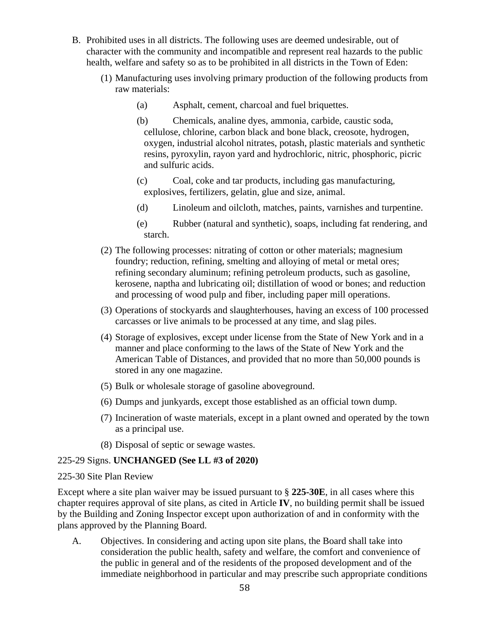- B. Prohibited uses in all districts. The following uses are deemed undesirable, out of character with the community and incompatible and represent real hazards to the public health, welfare and safety so as to be prohibited in all districts in the Town of Eden:
	- (1) Manufacturing uses involving primary production of the following products from raw materials:
		- (a) Asphalt, cement, charcoal and fuel briquettes.
		- (b) Chemicals, analine dyes, ammonia, carbide, caustic soda, cellulose, chlorine, carbon black and bone black, creosote, hydrogen, oxygen, industrial alcohol nitrates, potash, plastic materials and synthetic resins, pyroxylin, rayon yard and hydrochloric, nitric, phosphoric, picric and sulfuric acids.
		- (c) Coal, coke and tar products, including gas manufacturing, explosives, fertilizers, gelatin, glue and size, animal.
		- (d) Linoleum and oilcloth, matches, paints, varnishes and turpentine.
		- (e) Rubber (natural and synthetic), soaps, including fat rendering, and starch.
	- (2) The following processes: nitrating of cotton or other materials; magnesium foundry; reduction, refining, smelting and alloying of metal or metal ores; refining secondary aluminum; refining petroleum products, such as gasoline, kerosene, naptha and lubricating oil; distillation of wood or bones; and reduction and processing of wood pulp and fiber, including paper mill operations.
	- (3) Operations of stockyards and slaughterhouses, having an excess of 100 processed carcasses or live animals to be processed at any time, and slag piles.
	- (4) Storage of explosives, except under license from the State of New York and in a manner and place conforming to the laws of the State of New York and the American Table of Distances, and provided that no more than 50,000 pounds is stored in any one magazine.
	- (5) Bulk or wholesale storage of gasoline aboveground.
	- (6) Dumps and junkyards, except those established as an official town dump.
	- (7) Incineration of waste materials, except in a plant owned and operated by the town as a principal use.
	- (8) Disposal of septic or sewage wastes.

#### 225-29 Signs. **UNCHANGED (See LL #3 of 2020)**

#### 225-30 Site Plan Review

Except where a site plan waiver may be issued pursuant to § **225-30E**, in all cases where this chapter requires approval of site plans, as cited in Article **IV**, no building permit shall be issued by the Building and Zoning Inspector except upon authorization of and in conformity with the plans approved by the Planning Board.

A. Objectives. In considering and acting upon site plans, the Board shall take into consideration the public health, safety and welfare, the comfort and convenience of the public in general and of the residents of the proposed development and of the immediate neighborhood in particular and may prescribe such appropriate conditions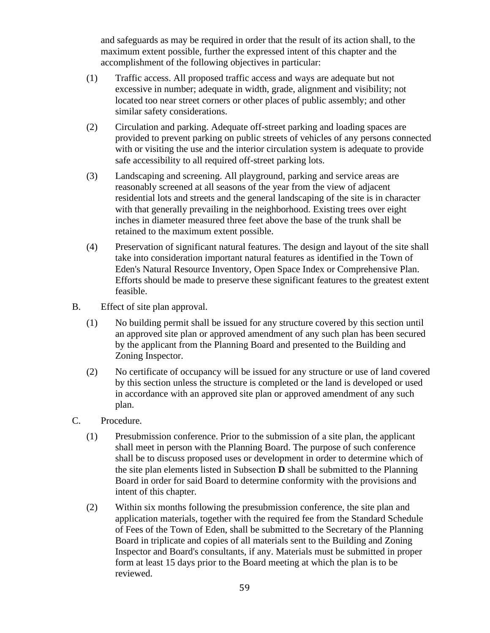and safeguards as may be required in order that the result of its action shall, to the maximum extent possible, further the expressed intent of this chapter and the accomplishment of the following objectives in particular:

- (1) Traffic access. All proposed traffic access and ways are adequate but not excessive in number; adequate in width, grade, alignment and visibility; not located too near street corners or other places of public assembly; and other similar safety considerations.
- (2) Circulation and parking. Adequate off-street parking and loading spaces are provided to prevent parking on public streets of vehicles of any persons connected with or visiting the use and the interior circulation system is adequate to provide safe accessibility to all required off-street parking lots.
- (3) Landscaping and screening. All playground, parking and service areas are reasonably screened at all seasons of the year from the view of adjacent residential lots and streets and the general landscaping of the site is in character with that generally prevailing in the neighborhood. Existing trees over eight inches in diameter measured three feet above the base of the trunk shall be retained to the maximum extent possible.
- (4) Preservation of significant natural features. The design and layout of the site shall take into consideration important natural features as identified in the Town of Eden's Natural Resource Inventory, Open Space Index or Comprehensive Plan. Efforts should be made to preserve these significant features to the greatest extent feasible.
- B. Effect of site plan approval.
	- (1) No building permit shall be issued for any structure covered by this section until an approved site plan or approved amendment of any such plan has been secured by the applicant from the Planning Board and presented to the Building and Zoning Inspector.
	- (2) No certificate of occupancy will be issued for any structure or use of land covered by this section unless the structure is completed or the land is developed or used in accordance with an approved site plan or approved amendment of any such plan.
- C. Procedure.
	- (1) Presubmission conference. Prior to the submission of a site plan, the applicant shall meet in person with the Planning Board. The purpose of such conference shall be to discuss proposed uses or development in order to determine which of the site plan elements listed in Subsection **D** shall be submitted to the Planning Board in order for said Board to determine conformity with the provisions and intent of this chapter.
	- (2) Within six months following the presubmission conference, the site plan and application materials, together with the required fee from the Standard Schedule of Fees of the Town of Eden, shall be submitted to the Secretary of the Planning Board in triplicate and copies of all materials sent to the Building and Zoning Inspector and Board's consultants, if any. Materials must be submitted in proper form at least 15 days prior to the Board meeting at which the plan is to be reviewed.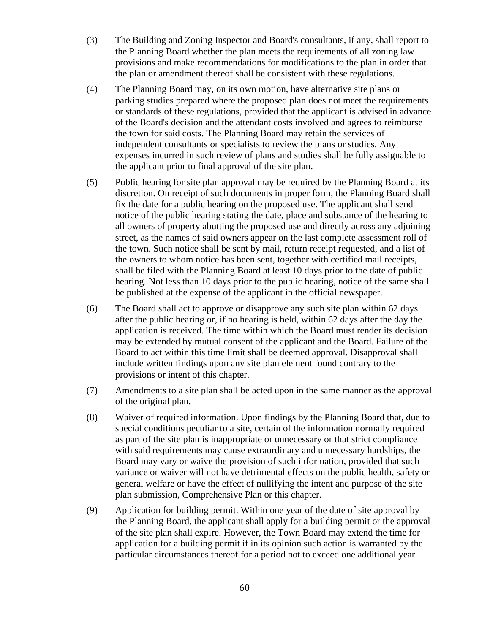- (3) The Building and Zoning Inspector and Board's consultants, if any, shall report to the Planning Board whether the plan meets the requirements of all zoning law provisions and make recommendations for modifications to the plan in order that the plan or amendment thereof shall be consistent with these regulations.
- (4) The Planning Board may, on its own motion, have alternative site plans or parking studies prepared where the proposed plan does not meet the requirements or standards of these regulations, provided that the applicant is advised in advance of the Board's decision and the attendant costs involved and agrees to reimburse the town for said costs. The Planning Board may retain the services of independent consultants or specialists to review the plans or studies. Any expenses incurred in such review of plans and studies shall be fully assignable to the applicant prior to final approval of the site plan.
- (5) Public hearing for site plan approval may be required by the Planning Board at its discretion. On receipt of such documents in proper form, the Planning Board shall fix the date for a public hearing on the proposed use. The applicant shall send notice of the public hearing stating the date, place and substance of the hearing to all owners of property abutting the proposed use and directly across any adjoining street, as the names of said owners appear on the last complete assessment roll of the town. Such notice shall be sent by mail, return receipt requested, and a list of the owners to whom notice has been sent, together with certified mail receipts, shall be filed with the Planning Board at least 10 days prior to the date of public hearing. Not less than 10 days prior to the public hearing, notice of the same shall be published at the expense of the applicant in the official newspaper.
- (6) The Board shall act to approve or disapprove any such site plan within 62 days after the public hearing or, if no hearing is held, within 62 days after the day the application is received. The time within which the Board must render its decision may be extended by mutual consent of the applicant and the Board. Failure of the Board to act within this time limit shall be deemed approval. Disapproval shall include written findings upon any site plan element found contrary to the provisions or intent of this chapter.
- (7) Amendments to a site plan shall be acted upon in the same manner as the approval of the original plan.
- (8) Waiver of required information. Upon findings by the Planning Board that, due to special conditions peculiar to a site, certain of the information normally required as part of the site plan is inappropriate or unnecessary or that strict compliance with said requirements may cause extraordinary and unnecessary hardships, the Board may vary or waive the provision of such information, provided that such variance or waiver will not have detrimental effects on the public health, safety or general welfare or have the effect of nullifying the intent and purpose of the site plan submission, Comprehensive Plan or this chapter.
- (9) Application for building permit. Within one year of the date of site approval by the Planning Board, the applicant shall apply for a building permit or the approval of the site plan shall expire. However, the Town Board may extend the time for application for a building permit if in its opinion such action is warranted by the particular circumstances thereof for a period not to exceed one additional year.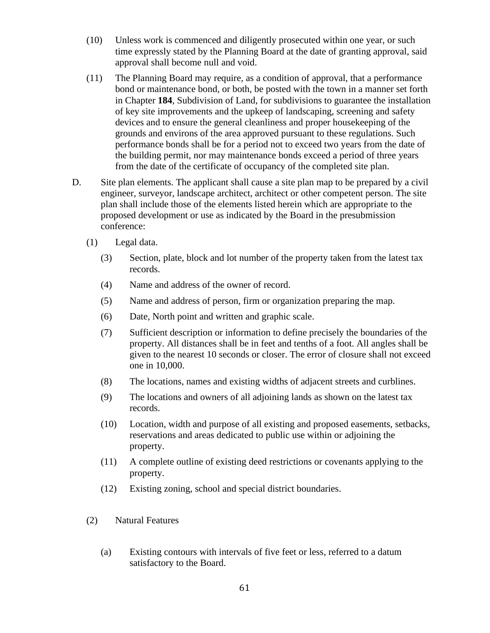- (10) Unless work is commenced and diligently prosecuted within one year, or such time expressly stated by the Planning Board at the date of granting approval, said approval shall become null and void.
- (11) The Planning Board may require, as a condition of approval, that a performance bond or maintenance bond, or both, be posted with the town in a manner set forth in Chapter **184**, Subdivision of Land, for subdivisions to guarantee the installation of key site improvements and the upkeep of landscaping, screening and safety devices and to ensure the general cleanliness and proper housekeeping of the grounds and environs of the area approved pursuant to these regulations. Such performance bonds shall be for a period not to exceed two years from the date of the building permit, nor may maintenance bonds exceed a period of three years from the date of the certificate of occupancy of the completed site plan.
- D. Site plan elements. The applicant shall cause a site plan map to be prepared by a civil engineer, surveyor, landscape architect, architect or other competent person. The site plan shall include those of the elements listed herein which are appropriate to the proposed development or use as indicated by the Board in the presubmission conference:
	- (1) Legal data.
		- (3) Section, plate, block and lot number of the property taken from the latest tax records.
		- (4) Name and address of the owner of record.
		- (5) Name and address of person, firm or organization preparing the map.
		- (6) Date, North point and written and graphic scale.
		- (7) Sufficient description or information to define precisely the boundaries of the property. All distances shall be in feet and tenths of a foot. All angles shall be given to the nearest 10 seconds or closer. The error of closure shall not exceed one in 10,000.
		- (8) The locations, names and existing widths of adjacent streets and curblines.
		- (9) The locations and owners of all adjoining lands as shown on the latest tax records.
		- (10) Location, width and purpose of all existing and proposed easements, setbacks, reservations and areas dedicated to public use within or adjoining the property.
		- (11) A complete outline of existing deed restrictions or covenants applying to the property.
		- (12) Existing zoning, school and special district boundaries.
	- (2) Natural Features
		- (a) Existing contours with intervals of five feet or less, referred to a datum satisfactory to the Board.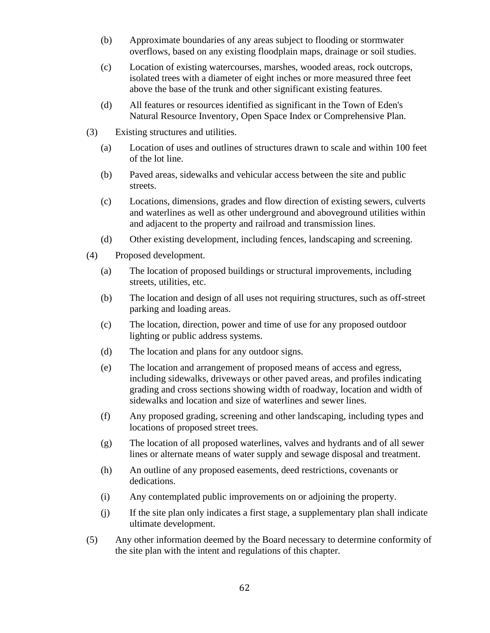- (b) Approximate boundaries of any areas subject to flooding or stormwater overflows, based on any existing floodplain maps, drainage or soil studies.
- (c) Location of existing watercourses, marshes, wooded areas, rock outcrops, isolated trees with a diameter of eight inches or more measured three feet above the base of the trunk and other significant existing features.
- (d) All features or resources identified as significant in the Town of Eden's Natural Resource Inventory, Open Space Index or Comprehensive Plan.
- (3) Existing structures and utilities.
	- (a) Location of uses and outlines of structures drawn to scale and within 100 feet of the lot line.
	- (b) Paved areas, sidewalks and vehicular access between the site and public streets.
	- (c) Locations, dimensions, grades and flow direction of existing sewers, culverts and waterlines as well as other underground and aboveground utilities within and adjacent to the property and railroad and transmission lines.
	- (d) Other existing development, including fences, landscaping and screening.
- (4) Proposed development.
	- (a) The location of proposed buildings or structural improvements, including streets, utilities, etc.
	- (b) The location and design of all uses not requiring structures, such as off-street parking and loading areas.
	- (c) The location, direction, power and time of use for any proposed outdoor lighting or public address systems.
	- (d) The location and plans for any outdoor signs.
	- (e) The location and arrangement of proposed means of access and egress, including sidewalks, driveways or other paved areas, and profiles indicating grading and cross sections showing width of roadway, location and width of sidewalks and location and size of waterlines and sewer lines.
	- (f) Any proposed grading, screening and other landscaping, including types and locations of proposed street trees.
	- (g) The location of all proposed waterlines, valves and hydrants and of all sewer lines or alternate means of water supply and sewage disposal and treatment.
	- (h) An outline of any proposed easements, deed restrictions, covenants or dedications.
	- (i) Any contemplated public improvements on or adjoining the property.
	- (j) If the site plan only indicates a first stage, a supplementary plan shall indicate ultimate development.
- (5) Any other information deemed by the Board necessary to determine conformity of the site plan with the intent and regulations of this chapter.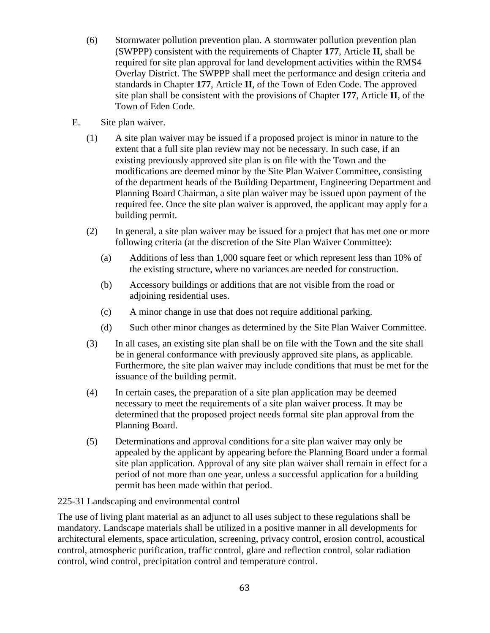- (6) Stormwater pollution prevention plan. A stormwater pollution prevention plan (SWPPP) consistent with the requirements of Chapter **177**, Article **II**, shall be required for site plan approval for land development activities within the RMS4 Overlay District. The SWPPP shall meet the performance and design criteria and standards in Chapter **177**, Article **II**, of the Town of Eden Code. The approved site plan shall be consistent with the provisions of Chapter **177**, Article **II**, of the Town of Eden Code.
- E. Site plan waiver.
	- (1) A site plan waiver may be issued if a proposed project is minor in nature to the extent that a full site plan review may not be necessary. In such case, if an existing previously approved site plan is on file with the Town and the modifications are deemed minor by the Site Plan Waiver Committee, consisting of the department heads of the Building Department, Engineering Department and Planning Board Chairman, a site plan waiver may be issued upon payment of the required fee. Once the site plan waiver is approved, the applicant may apply for a building permit.
	- (2) In general, a site plan waiver may be issued for a project that has met one or more following criteria (at the discretion of the Site Plan Waiver Committee):
		- (a) Additions of less than 1,000 square feet or which represent less than 10% of the existing structure, where no variances are needed for construction.
		- (b) Accessory buildings or additions that are not visible from the road or adjoining residential uses.
		- (c) A minor change in use that does not require additional parking.
		- (d) Such other minor changes as determined by the Site Plan Waiver Committee.
	- (3) In all cases, an existing site plan shall be on file with the Town and the site shall be in general conformance with previously approved site plans, as applicable. Furthermore, the site plan waiver may include conditions that must be met for the issuance of the building permit.
	- (4) In certain cases, the preparation of a site plan application may be deemed necessary to meet the requirements of a site plan waiver process. It may be determined that the proposed project needs formal site plan approval from the Planning Board.
	- (5) Determinations and approval conditions for a site plan waiver may only be appealed by the applicant by appearing before the Planning Board under a formal site plan application. Approval of any site plan waiver shall remain in effect for a period of not more than one year, unless a successful application for a building permit has been made within that period.

#### 225-31 Landscaping and environmental control

The use of living plant material as an adjunct to all uses subject to these regulations shall be mandatory. Landscape materials shall be utilized in a positive manner in all developments for architectural elements, space articulation, screening, privacy control, erosion control, acoustical control, atmospheric purification, traffic control, glare and reflection control, solar radiation control, wind control, precipitation control and temperature control.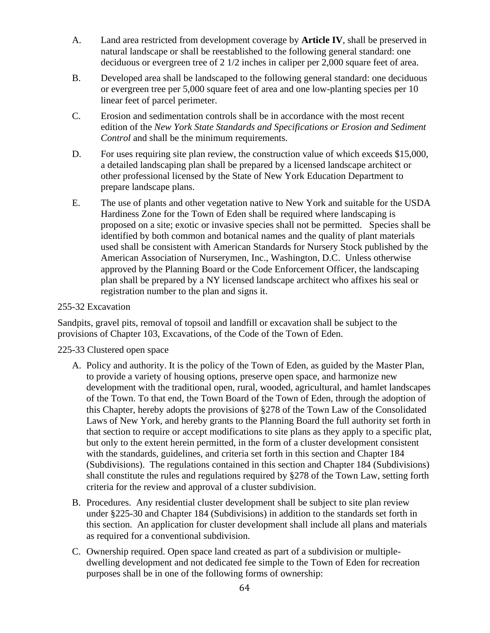- A. Land area restricted from development coverage by **Article IV**, shall be preserved in natural landscape or shall be reestablished to the following general standard: one deciduous or evergreen tree of 2 1/2 inches in caliper per 2,000 square feet of area.
- B. Developed area shall be landscaped to the following general standard: one deciduous or evergreen tree per 5,000 square feet of area and one low-planting species per 10 linear feet of parcel perimeter.
- C. Erosion and sedimentation controls shall be in accordance with the most recent edition of the *New York State Standards and Specifications or Erosion and Sediment Control* and shall be the minimum requirements.
- D. For uses requiring site plan review, the construction value of which exceeds \$15,000, a detailed landscaping plan shall be prepared by a licensed landscape architect or other professional licensed by the State of New York Education Department to prepare landscape plans.
- E. The use of plants and other vegetation native to New York and suitable for the USDA Hardiness Zone for the Town of Eden shall be required where landscaping is proposed on a site; exotic or invasive species shall not be permitted. Species shall be identified by both common and botanical names and the quality of plant materials used shall be consistent with American Standards for Nursery Stock published by the American Association of Nurserymen, Inc., Washington, D.C. Unless otherwise approved by the Planning Board or the Code Enforcement Officer, the landscaping plan shall be prepared by a NY licensed landscape architect who affixes his seal or registration number to the plan and signs it.

## 255-32 Excavation

Sandpits, gravel pits, removal of topsoil and landfill or excavation shall be subject to the provisions of Chapter 103, Excavations, of the Code of the Town of Eden.

#### 225-33 Clustered open space

- A. Policy and authority. It is the policy of the Town of Eden, as guided by the Master Plan, to provide a variety of housing options, preserve open space, and harmonize new development with the traditional open, rural, wooded, agricultural, and hamlet landscapes of the Town. To that end, the Town Board of the Town of Eden, through the adoption of this Chapter, hereby adopts the provisions of §278 of the Town Law of the Consolidated Laws of New York, and hereby grants to the Planning Board the full authority set forth in that section to require or accept modifications to site plans as they apply to a specific plat, but only to the extent herein permitted, in the form of a cluster development consistent with the standards, guidelines, and criteria set forth in this section and Chapter 184 (Subdivisions). The regulations contained in this section and Chapter 184 (Subdivisions) shall constitute the rules and regulations required by §278 of the Town Law, setting forth criteria for the review and approval of a cluster subdivision.
- B. Procedures. Any residential cluster development shall be subject to site plan review under §225-30 and Chapter 184 (Subdivisions) in addition to the standards set forth in this section. An application for cluster development shall include all plans and materials as required for a conventional subdivision.
- C. Ownership required. Open space land created as part of a subdivision or multipledwelling development and not dedicated fee simple to the Town of Eden for recreation purposes shall be in one of the following forms of ownership: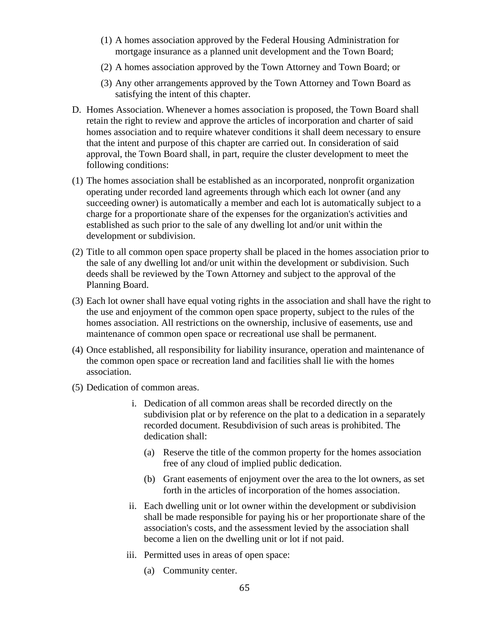- (1) A homes association approved by the Federal Housing Administration for mortgage insurance as a planned unit development and the Town Board;
- (2) A homes association approved by the Town Attorney and Town Board; or
- (3) Any other arrangements approved by the Town Attorney and Town Board as satisfying the intent of this chapter.
- D. Homes Association. Whenever a homes association is proposed, the Town Board shall retain the right to review and approve the articles of incorporation and charter of said homes association and to require whatever conditions it shall deem necessary to ensure that the intent and purpose of this chapter are carried out. In consideration of said approval, the Town Board shall, in part, require the cluster development to meet the following conditions:
- (1) The homes association shall be established as an incorporated, nonprofit organization operating under recorded land agreements through which each lot owner (and any succeeding owner) is automatically a member and each lot is automatically subject to a charge for a proportionate share of the expenses for the organization's activities and established as such prior to the sale of any dwelling lot and/or unit within the development or subdivision.
- (2) Title to all common open space property shall be placed in the homes association prior to the sale of any dwelling lot and/or unit within the development or subdivision. Such deeds shall be reviewed by the Town Attorney and subject to the approval of the Planning Board.
- (3) Each lot owner shall have equal voting rights in the association and shall have the right to the use and enjoyment of the common open space property, subject to the rules of the homes association. All restrictions on the ownership, inclusive of easements, use and maintenance of common open space or recreational use shall be permanent.
- (4) Once established, all responsibility for liability insurance, operation and maintenance of the common open space or recreation land and facilities shall lie with the homes association.
- (5) Dedication of common areas.
	- i. Dedication of all common areas shall be recorded directly on the subdivision plat or by reference on the plat to a dedication in a separately recorded document. Resubdivision of such areas is prohibited. The dedication shall:
		- (a) Reserve the title of the common property for the homes association free of any cloud of implied public dedication.
		- (b) Grant easements of enjoyment over the area to the lot owners, as set forth in the articles of incorporation of the homes association.
	- ii. Each dwelling unit or lot owner within the development or subdivision shall be made responsible for paying his or her proportionate share of the association's costs, and the assessment levied by the association shall become a lien on the dwelling unit or lot if not paid.
	- iii. Permitted uses in areas of open space:
		- (a) Community center.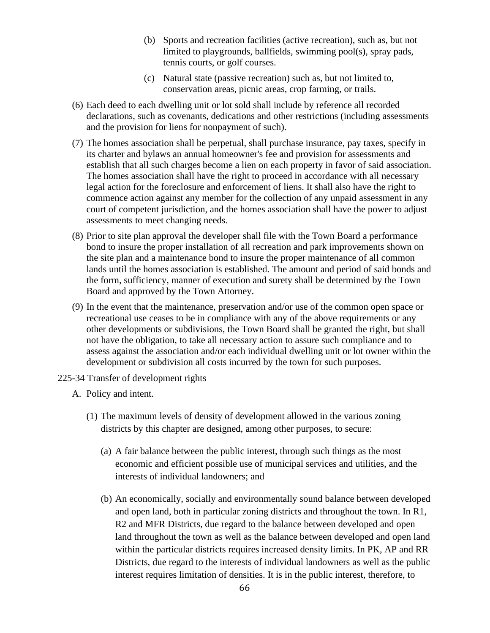- (b) Sports and recreation facilities (active recreation), such as, but not limited to playgrounds, ballfields, swimming pool(s), spray pads, tennis courts, or golf courses.
- (c) Natural state (passive recreation) such as, but not limited to, conservation areas, picnic areas, crop farming, or trails.
- (6) Each deed to each dwelling unit or lot sold shall include by reference all recorded declarations, such as covenants, dedications and other restrictions (including assessments and the provision for liens for nonpayment of such).
- (7) The homes association shall be perpetual, shall purchase insurance, pay taxes, specify in its charter and bylaws an annual homeowner's fee and provision for assessments and establish that all such charges become a lien on each property in favor of said association. The homes association shall have the right to proceed in accordance with all necessary legal action for the foreclosure and enforcement of liens. It shall also have the right to commence action against any member for the collection of any unpaid assessment in any court of competent jurisdiction, and the homes association shall have the power to adjust assessments to meet changing needs.
- (8) Prior to site plan approval the developer shall file with the Town Board a performance bond to insure the proper installation of all recreation and park improvements shown on the site plan and a maintenance bond to insure the proper maintenance of all common lands until the homes association is established. The amount and period of said bonds and the form, sufficiency, manner of execution and surety shall be determined by the Town Board and approved by the Town Attorney.
- (9) In the event that the maintenance, preservation and/or use of the common open space or recreational use ceases to be in compliance with any of the above requirements or any other developments or subdivisions, the Town Board shall be granted the right, but shall not have the obligation, to take all necessary action to assure such compliance and to assess against the association and/or each individual dwelling unit or lot owner within the development or subdivision all costs incurred by the town for such purposes.
- 225-34 Transfer of development rights
	- A. Policy and intent.
		- (1) The maximum levels of density of development allowed in the various zoning districts by this chapter are designed, among other purposes, to secure:
			- (a) A fair balance between the public interest, through such things as the most economic and efficient possible use of municipal services and utilities, and the interests of individual landowners; and
			- (b) An economically, socially and environmentally sound balance between developed and open land, both in particular zoning districts and throughout the town. In R1, R2 and MFR Districts, due regard to the balance between developed and open land throughout the town as well as the balance between developed and open land within the particular districts requires increased density limits. In PK, AP and RR Districts, due regard to the interests of individual landowners as well as the public interest requires limitation of densities. It is in the public interest, therefore, to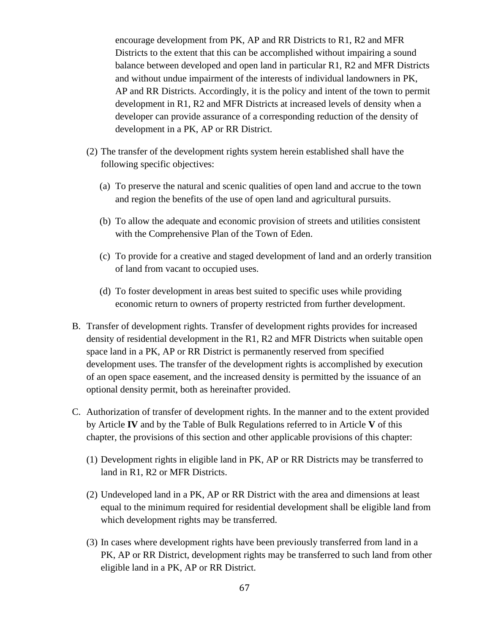encourage development from PK, AP and RR Districts to R1, R2 and MFR Districts to the extent that this can be accomplished without impairing a sound balance between developed and open land in particular R1, R2 and MFR Districts and without undue impairment of the interests of individual landowners in PK, AP and RR Districts. Accordingly, it is the policy and intent of the town to permit development in R1, R2 and MFR Districts at increased levels of density when a developer can provide assurance of a corresponding reduction of the density of development in a PK, AP or RR District.

- (2) The transfer of the development rights system herein established shall have the following specific objectives:
	- (a) To preserve the natural and scenic qualities of open land and accrue to the town and region the benefits of the use of open land and agricultural pursuits.
	- (b) To allow the adequate and economic provision of streets and utilities consistent with the Comprehensive Plan of the Town of Eden.
	- (c) To provide for a creative and staged development of land and an orderly transition of land from vacant to occupied uses.
	- (d) To foster development in areas best suited to specific uses while providing economic return to owners of property restricted from further development.
- B. Transfer of development rights. Transfer of development rights provides for increased density of residential development in the R1, R2 and MFR Districts when suitable open space land in a PK, AP or RR District is permanently reserved from specified development uses. The transfer of the development rights is accomplished by execution of an open space easement, and the increased density is permitted by the issuance of an optional density permit, both as hereinafter provided.
- C. Authorization of transfer of development rights. In the manner and to the extent provided by Article **IV** and by the Table of Bulk Regulations referred to in Article **V** of this chapter, the provisions of this section and other applicable provisions of this chapter:
	- (1) Development rights in eligible land in PK, AP or RR Districts may be transferred to land in R1, R2 or MFR Districts.
	- (2) Undeveloped land in a PK, AP or RR District with the area and dimensions at least equal to the minimum required for residential development shall be eligible land from which development rights may be transferred.
	- (3) In cases where development rights have been previously transferred from land in a PK, AP or RR District, development rights may be transferred to such land from other eligible land in a PK, AP or RR District.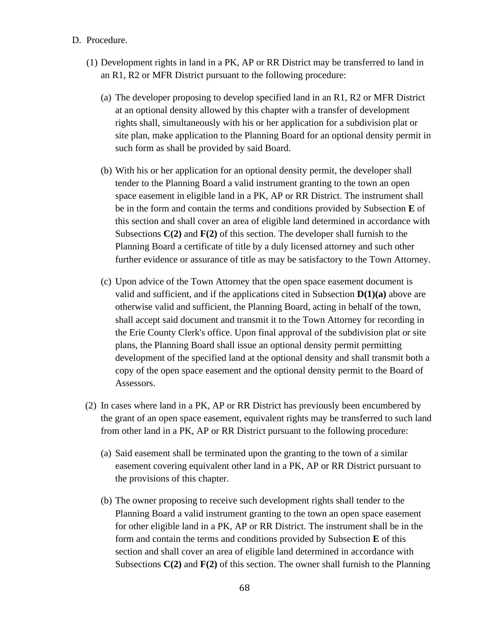- D. Procedure.
	- (1) Development rights in land in a PK, AP or RR District may be transferred to land in an R1, R2 or MFR District pursuant to the following procedure:
		- (a) The developer proposing to develop specified land in an R1, R2 or MFR District at an optional density allowed by this chapter with a transfer of development rights shall, simultaneously with his or her application for a subdivision plat or site plan, make application to the Planning Board for an optional density permit in such form as shall be provided by said Board.
		- (b) With his or her application for an optional density permit, the developer shall tender to the Planning Board a valid instrument granting to the town an open space easement in eligible land in a PK, AP or RR District. The instrument shall be in the form and contain the terms and conditions provided by Subsection **E** of this section and shall cover an area of eligible land determined in accordance with Subsections **C(2)** and **F(2)** of this section. The developer shall furnish to the Planning Board a certificate of title by a duly licensed attorney and such other further evidence or assurance of title as may be satisfactory to the Town Attorney.
		- (c) Upon advice of the Town Attorney that the open space easement document is valid and sufficient, and if the applications cited in Subsection **D(1)(a)** above are otherwise valid and sufficient, the Planning Board, acting in behalf of the town, shall accept said document and transmit it to the Town Attorney for recording in the Erie County Clerk's office. Upon final approval of the subdivision plat or site plans, the Planning Board shall issue an optional density permit permitting development of the specified land at the optional density and shall transmit both a copy of the open space easement and the optional density permit to the Board of Assessors.
	- (2) In cases where land in a PK, AP or RR District has previously been encumbered by the grant of an open space easement, equivalent rights may be transferred to such land from other land in a PK, AP or RR District pursuant to the following procedure:
		- (a) Said easement shall be terminated upon the granting to the town of a similar easement covering equivalent other land in a PK, AP or RR District pursuant to the provisions of this chapter.
		- (b) The owner proposing to receive such development rights shall tender to the Planning Board a valid instrument granting to the town an open space easement for other eligible land in a PK, AP or RR District. The instrument shall be in the form and contain the terms and conditions provided by Subsection **E** of this section and shall cover an area of eligible land determined in accordance with Subsections **C(2)** and **F(2)** of this section. The owner shall furnish to the Planning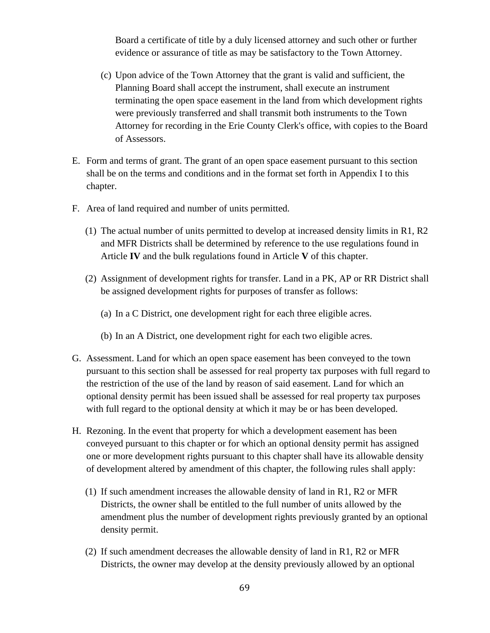Board a certificate of title by a duly licensed attorney and such other or further evidence or assurance of title as may be satisfactory to the Town Attorney.

- (c) Upon advice of the Town Attorney that the grant is valid and sufficient, the Planning Board shall accept the instrument, shall execute an instrument terminating the open space easement in the land from which development rights were previously transferred and shall transmit both instruments to the Town Attorney for recording in the Erie County Clerk's office, with copies to the Board of Assessors.
- E. Form and terms of grant. The grant of an open space easement pursuant to this section shall be on the terms and conditions and in the format set forth in Appendix I to this chapter.
- F. Area of land required and number of units permitted.
	- (1) The actual number of units permitted to develop at increased density limits in R1, R2 and MFR Districts shall be determined by reference to the use regulations found in Article **IV** and the bulk regulations found in Article **V** of this chapter.
	- (2) Assignment of development rights for transfer. Land in a PK, AP or RR District shall be assigned development rights for purposes of transfer as follows:
		- (a) In a C District, one development right for each three eligible acres.
		- (b) In an A District, one development right for each two eligible acres.
- G. Assessment. Land for which an open space easement has been conveyed to the town pursuant to this section shall be assessed for real property tax purposes with full regard to the restriction of the use of the land by reason of said easement. Land for which an optional density permit has been issued shall be assessed for real property tax purposes with full regard to the optional density at which it may be or has been developed.
- H. Rezoning. In the event that property for which a development easement has been conveyed pursuant to this chapter or for which an optional density permit has assigned one or more development rights pursuant to this chapter shall have its allowable density of development altered by amendment of this chapter, the following rules shall apply:
	- (1) If such amendment increases the allowable density of land in R1, R2 or MFR Districts, the owner shall be entitled to the full number of units allowed by the amendment plus the number of development rights previously granted by an optional density permit.
	- (2) If such amendment decreases the allowable density of land in R1, R2 or MFR Districts, the owner may develop at the density previously allowed by an optional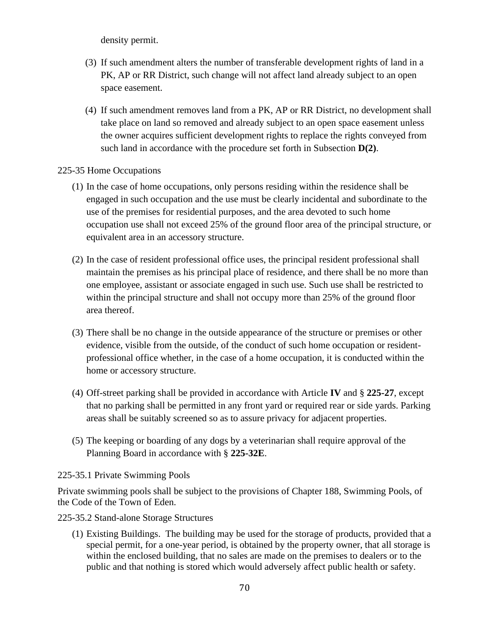density permit.

- (3) If such amendment alters the number of transferable development rights of land in a PK, AP or RR District, such change will not affect land already subject to an open space easement.
- (4) If such amendment removes land from a PK, AP or RR District, no development shall take place on land so removed and already subject to an open space easement unless the owner acquires sufficient development rights to replace the rights conveyed from such land in accordance with the procedure set forth in Subsection **D(2)**.

### 225-35 Home Occupations

- (1) In the case of home occupations, only persons residing within the residence shall be engaged in such occupation and the use must be clearly incidental and subordinate to the use of the premises for residential purposes, and the area devoted to such home occupation use shall not exceed 25% of the ground floor area of the principal structure, or equivalent area in an accessory structure.
- (2) In the case of resident professional office uses, the principal resident professional shall maintain the premises as his principal place of residence, and there shall be no more than one employee, assistant or associate engaged in such use. Such use shall be restricted to within the principal structure and shall not occupy more than 25% of the ground floor area thereof.
- (3) There shall be no change in the outside appearance of the structure or premises or other evidence, visible from the outside, of the conduct of such home occupation or residentprofessional office whether, in the case of a home occupation, it is conducted within the home or accessory structure.
- (4) Off-street parking shall be provided in accordance with Article **IV** and § **225-27**, except that no parking shall be permitted in any front yard or required rear or side yards. Parking areas shall be suitably screened so as to assure privacy for adjacent properties.
- (5) The keeping or boarding of any dogs by a veterinarian shall require approval of the Planning Board in accordance with § **225-32E**.

225-35.1 Private Swimming Pools

Private swimming pools shall be subject to the provisions of Chapter 188, Swimming Pools, of the Code of the Town of Eden.

225-35.2 Stand-alone Storage Structures

(1) Existing Buildings. The building may be used for the storage of products, provided that a special permit, for a one-year period, is obtained by the property owner, that all storage is within the enclosed building, that no sales are made on the premises to dealers or to the public and that nothing is stored which would adversely affect public health or safety.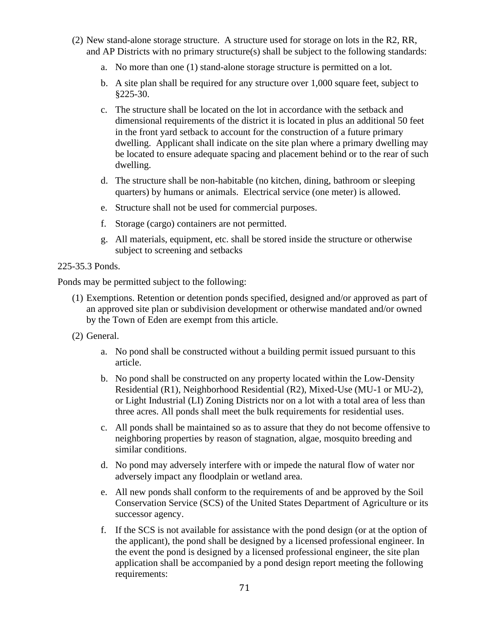- (2) New stand-alone storage structure. A structure used for storage on lots in the R2, RR, and AP Districts with no primary structure(s) shall be subject to the following standards:
	- a. No more than one (1) stand-alone storage structure is permitted on a lot.
	- b. A site plan shall be required for any structure over 1,000 square feet, subject to §225-30.
	- c. The structure shall be located on the lot in accordance with the setback and dimensional requirements of the district it is located in plus an additional 50 feet in the front yard setback to account for the construction of a future primary dwelling. Applicant shall indicate on the site plan where a primary dwelling may be located to ensure adequate spacing and placement behind or to the rear of such dwelling.
	- d. The structure shall be non-habitable (no kitchen, dining, bathroom or sleeping quarters) by humans or animals. Electrical service (one meter) is allowed.
	- e. Structure shall not be used for commercial purposes.
	- f. Storage (cargo) containers are not permitted.
	- g. All materials, equipment, etc. shall be stored inside the structure or otherwise subject to screening and setbacks
- 225-35.3 Ponds.

Ponds may be permitted subject to the following:

- (1) Exemptions. Retention or detention ponds specified, designed and/or approved as part of an approved site plan or subdivision development or otherwise mandated and/or owned by the Town of Eden are exempt from this article.
- (2) General.
	- a. No pond shall be constructed without a building permit issued pursuant to this article.
	- b. No pond shall be constructed on any property located within the Low-Density Residential (R1), Neighborhood Residential (R2), Mixed-Use (MU-1 or MU-2), or Light Industrial (LI) Zoning Districts nor on a lot with a total area of less than three acres. All ponds shall meet the bulk requirements for residential uses.
	- c. All ponds shall be maintained so as to assure that they do not become offensive to neighboring properties by reason of stagnation, algae, mosquito breeding and similar conditions.
	- d. No pond may adversely interfere with or impede the natural flow of water nor adversely impact any floodplain or wetland area.
	- e. All new ponds shall conform to the requirements of and be approved by the Soil Conservation Service (SCS) of the United States Department of Agriculture or its successor agency.
	- f. If the SCS is not available for assistance with the pond design (or at the option of the applicant), the pond shall be designed by a licensed professional engineer. In the event the pond is designed by a licensed professional engineer, the site plan application shall be accompanied by a pond design report meeting the following requirements: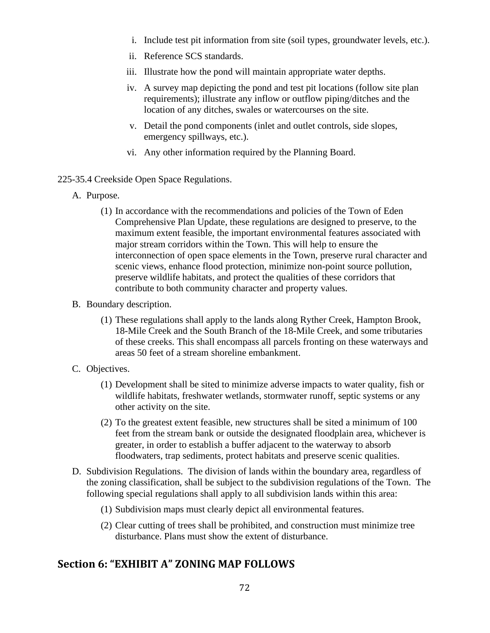- i. Include test pit information from site (soil types, groundwater levels, etc.).
- ii. Reference SCS standards.
- iii. Illustrate how the pond will maintain appropriate water depths.
- iv. A survey map depicting the pond and test pit locations (follow site plan requirements); illustrate any inflow or outflow piping/ditches and the location of any ditches, swales or watercourses on the site.
- v. Detail the pond components (inlet and outlet controls, side slopes, emergency spillways, etc.).
- vi. Any other information required by the Planning Board.
- 225-35.4 Creekside Open Space Regulations.
	- A. Purpose.
		- (1) In accordance with the recommendations and policies of the Town of Eden Comprehensive Plan Update, these regulations are designed to preserve, to the maximum extent feasible, the important environmental features associated with major stream corridors within the Town. This will help to ensure the interconnection of open space elements in the Town, preserve rural character and scenic views, enhance flood protection, minimize non-point source pollution, preserve wildlife habitats, and protect the qualities of these corridors that contribute to both community character and property values.
	- B. Boundary description.
		- (1) These regulations shall apply to the lands along Ryther Creek, Hampton Brook, 18-Mile Creek and the South Branch of the 18-Mile Creek, and some tributaries of these creeks. This shall encompass all parcels fronting on these waterways and areas 50 feet of a stream shoreline embankment.
	- C. Objectives.
		- (1) Development shall be sited to minimize adverse impacts to water quality, fish or wildlife habitats, freshwater wetlands, stormwater runoff, septic systems or any other activity on the site.
		- (2) To the greatest extent feasible, new structures shall be sited a minimum of 100 feet from the stream bank or outside the designated floodplain area, whichever is greater, in order to establish a buffer adjacent to the waterway to absorb floodwaters, trap sediments, protect habitats and preserve scenic qualities.
	- D. Subdivision Regulations. The division of lands within the boundary area, regardless of the zoning classification, shall be subject to the subdivision regulations of the Town. The following special regulations shall apply to all subdivision lands within this area:
		- (1) Subdivision maps must clearly depict all environmental features.
		- (2) Clear cutting of trees shall be prohibited, and construction must minimize tree disturbance. Plans must show the extent of disturbance.

# **Section 6: "EXHIBIT A" ZONING MAP FOLLOWS**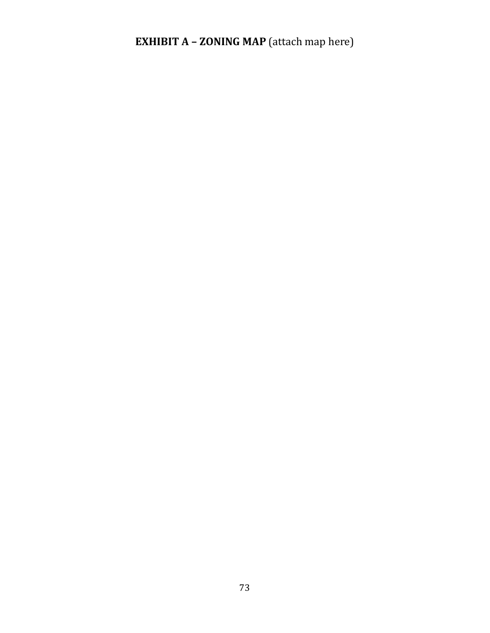## **EXHIBIT A - ZONING MAP** (attach map here)